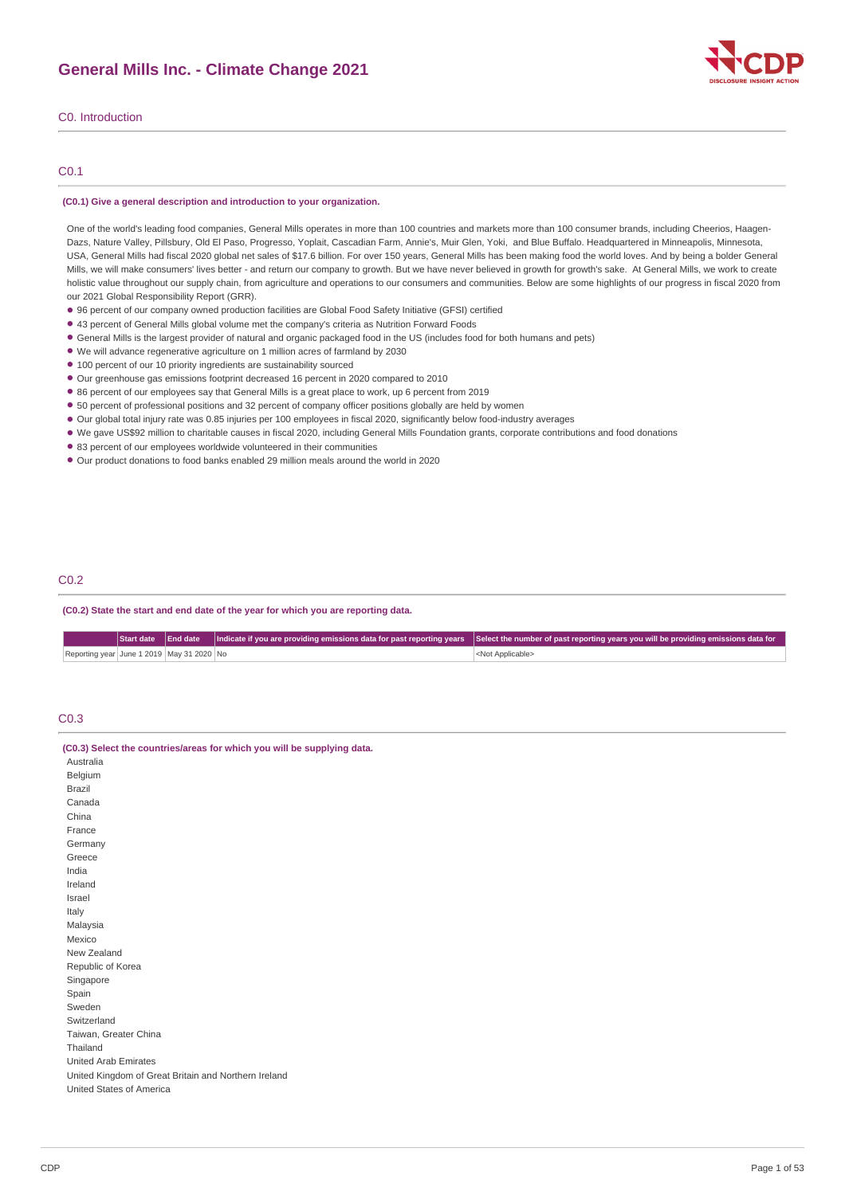

### C0. Introduction

### C0.1

#### **(C0.1) Give a general description and introduction to your organization.**

One of the world's leading food companies, General Mills operates in more than 100 countries and markets more than 100 consumer brands, including Cheerios, Haagen-Dazs, Nature Valley, Pillsbury, Old El Paso, Progresso, Yoplait, Cascadian Farm, Annie's, Muir Glen, Yoki, and Blue Buffalo. Headquartered in Minneapolis, Minnesota, USA, General Mills had fiscal 2020 global net sales of \$17.6 billion. For over 150 years, General Mills has been making food the world loves. And by being a bolder General Mills, we will make consumers' lives better - and return our company to growth. But we have never believed in growth for growth's sake. At General Mills, we work to create holistic value throughout our supply chain, from agriculture and operations to our consumers and communities. Below are some highlights of our progress in fiscal 2020 from our 2021 Global Responsibility Report (GRR).

- 96 percent of our company owned production facilities are Global Food Safety Initiative (GFSI) certified
- 43 percent of General Mills global volume met the company's criteria as Nutrition Forward Foods •
- General Mills is the largest provider of natural and organic packaged food in the US (includes food for both humans and pets)
- We will advance regenerative agriculture on 1 million acres of farmland by 2030
- 100 percent of our 10 priority ingredients are sustainability sourced
- Our greenhouse gas emissions footprint decreased 16 percent in 2020 compared to 2010
- 86 percent of our employees say that General Mills is a great place to work, up 6 percent from 2019
- 50 percent of professional positions and 32 percent of company officer positions globally are held by women •
- Our global total injury rate was 0.85 injuries per 100 employees in fiscal 2020, significantly below food-industry averages •
- We gave US\$92 million to charitable causes in fiscal 2020, including General Mills Foundation grants, corporate contributions and food donations •
- 83 percent of our employees worldwide volunteered in their communities
- Our product donations to food banks enabled 29 million meals around the world in 2020

#### C0.2

**(C0.2) State the start and end date of the year for which you are reporting data.**

|                                           |  | Start date End date Indicate if you are providing emissions data for past reporting years Select the number of past reporting years you will be providing emissions data for |
|-------------------------------------------|--|------------------------------------------------------------------------------------------------------------------------------------------------------------------------------|
| Reporting year June 1 2019 May 31 2020 No |  | <not applicable=""></not>                                                                                                                                                    |

### C0.3

|  | (C0.3) Select the countries/areas for which you will be supplying data. |
|--|-------------------------------------------------------------------------|
|  |                                                                         |

| Australia                                            |
|------------------------------------------------------|
| Belgium                                              |
| Brazil                                               |
| Canada                                               |
| China                                                |
| France                                               |
| Germany                                              |
| Greece                                               |
| India                                                |
| Ireland                                              |
| Israel                                               |
| Italy                                                |
| Malaysia                                             |
| Mexico                                               |
| New Zealand                                          |
| Republic of Korea                                    |
| Singapore                                            |
| Spain                                                |
| Sweden                                               |
| Switzerland                                          |
| Taiwan, Greater China                                |
| Thailand                                             |
| <b>United Arab Emirates</b>                          |
| United Kingdom of Great Britain and Northern Ireland |
| United States of America                             |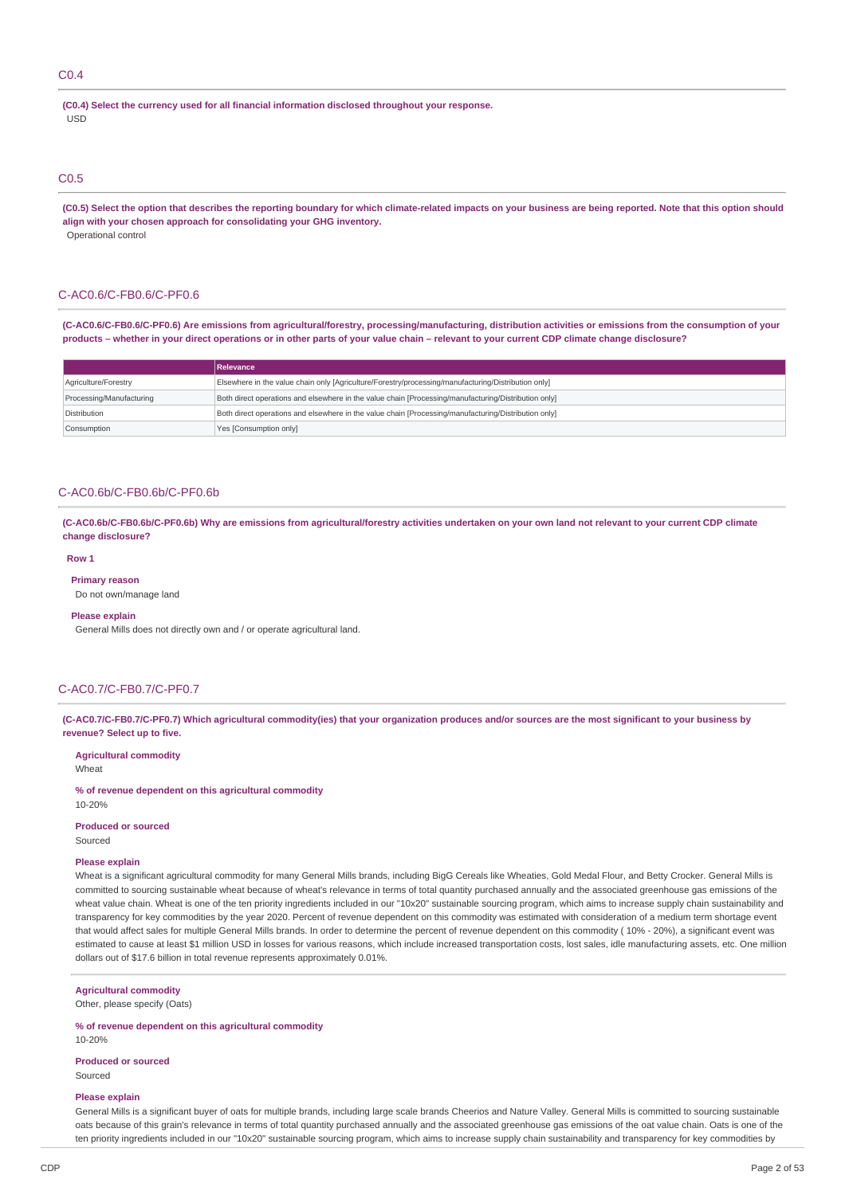### C0.4

**(C0.4) Select the currency used for all financial information disclosed throughout your response.** USD

### C0.5

(C0.5) Select the option that describes the reporting boundary for which climate-related impacts on your business are being reported. Note that this option should **align with your chosen approach for consolidating your GHG inventory.** Operational control

#### C-AC0.6/C-FB0.6/C-PF0.6

(C-AC0.6/C-FB0.6/C-PF0.6) Are emissions from agricultural/forestry, processing/manufacturing, distribution activities or emissions from the consumption of your products - whether in your direct operations or in other parts of your value chain - relevant to your current CDP climate change disclosure?

|                          | Relevance                                                                                            |
|--------------------------|------------------------------------------------------------------------------------------------------|
| Agriculture/Forestry     | Elsewhere in the value chain only [Agriculture/Forestry/processing/manufacturing/Distribution only]  |
| Processing/Manufacturing | Both direct operations and elsewhere in the value chain [Processing/manufacturing/Distribution only] |
| Distribution             | Both direct operations and elsewhere in the value chain [Processing/manufacturing/Distribution only] |
| Consumption              | Yes [Consumption only]                                                                               |

### C-AC0.6b/C-FB0.6b/C-PF0.6b

(C-AC0.6b/C-FB0.6b/C-PF0.6b) Why are emissions from agricultural/forestry activities undertaken on your own land not relevant to your current CDP climate **change disclosure?**

#### **Row 1**

**Primary reason**

Do not own/manage land

#### **Please explain**

General Mills does not directly own and / or operate agricultural land.

### C-AC0.7/C-FB0.7/C-PF0.7

(C-AC0.7/C-FB0.7/C-PF0.7) Which agricultural commodity(ies) that your organization produces and/or sources are the most significant to your business by **revenue? Select up to five.**

#### **Agricultural commodity**

Wheat

**% of revenue dependent on this agricultural commodity** 10-20%

#### **Produced or sourced**

Sourced

#### **Please explain**

Wheat is a significant agricultural commodity for many General Mills brands, including BigG Cereals like Wheaties, Gold Medal Flour, and Betty Crocker. General Mills is committed to sourcing sustainable wheat because of wheat's relevance in terms of total quantity purchased annually and the associated greenhouse gas emissions of the wheat value chain. Wheat is one of the ten priority ingredients included in our "10x20" sustainable sourcing program, which aims to increase supply chain sustainability and transparency for key commodities by the year 2020. Percent of revenue dependent on this commodity was estimated with consideration of a medium term shortage event that would affect sales for multiple General Mills brands. In order to determine the percent of revenue dependent on this commodity ( 10% - 20%), a significant event was estimated to cause at least \$1 million USD in losses for various reasons, which include increased transportation costs, lost sales, idle manufacturing assets, etc. One million dollars out of \$17.6 billion in total revenue represents approximately 0.01%.

#### **Agricultural commodity**

Other, please specify (Oats)

#### **% of revenue dependent on this agricultural commodity**

10-20%

### **Produced or sourced**

Sourced

### **Please explain**

General Mills is a significant buyer of oats for multiple brands, including large scale brands Cheerios and Nature Valley. General Mills is committed to sourcing sustainable oats because of this grain's relevance in terms of total quantity purchased annually and the associated greenhouse gas emissions of the oat value chain. Oats is one of the ten priority ingredients included in our "10x20" sustainable sourcing program, which aims to increase supply chain sustainability and transparency for key commodities by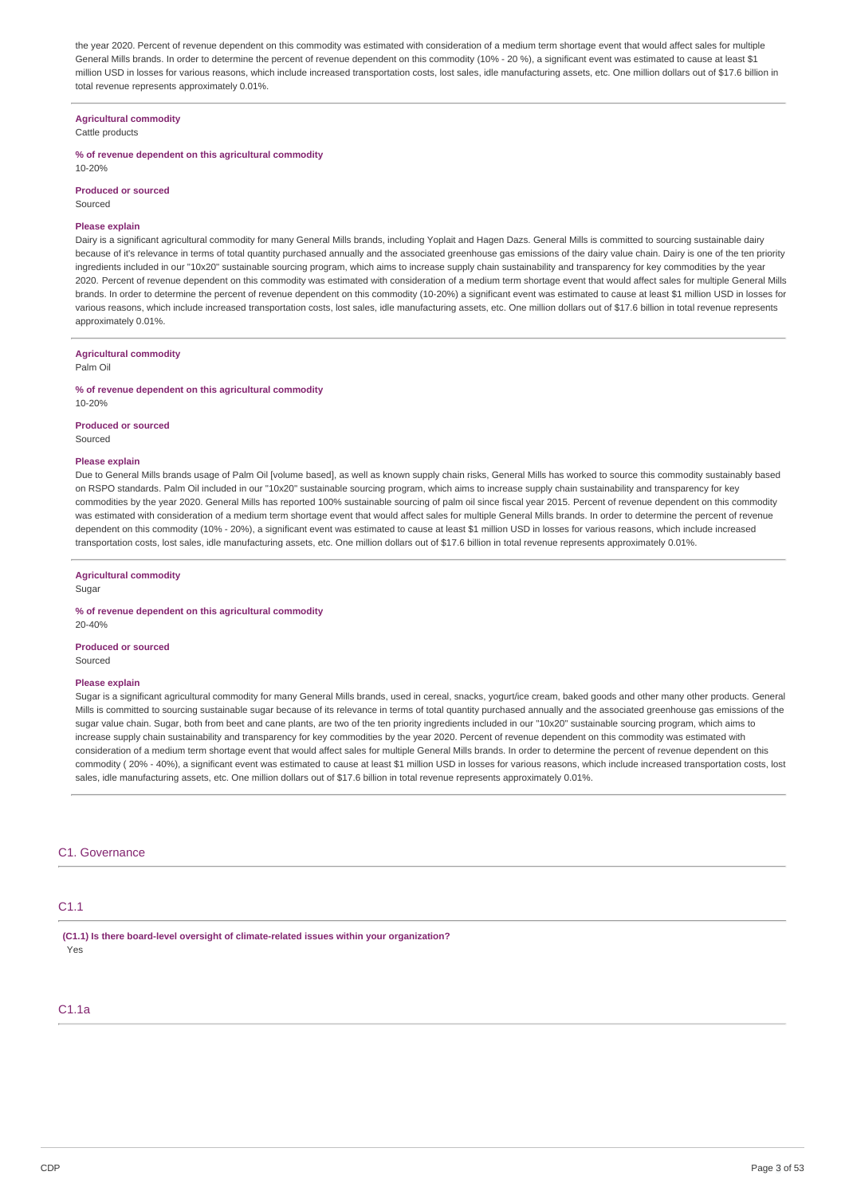the year 2020. Percent of revenue dependent on this commodity was estimated with consideration of a medium term shortage event that would affect sales for multiple General Mills brands. In order to determine the percent of revenue dependent on this commodity (10% - 20 %), a significant event was estimated to cause at least \$1 million USD in losses for various reasons, which include increased transportation costs, lost sales, idle manufacturing assets, etc. One million dollars out of \$17.6 billion in total revenue represents approximately 0.01%.

#### **Agricultural commodity**

Cattle products

### **% of revenue dependent on this agricultural commodity**

10-20%

#### **Produced or sourced**

Sourced

### **Please explain**

Dairy is a significant agricultural commodity for many General Mills brands, including Yoplait and Hagen Dazs. General Mills is committed to sourcing sustainable dairy because of it's relevance in terms of total quantity purchased annually and the associated greenhouse gas emissions of the dairy value chain. Dairy is one of the ten priority ingredients included in our "10x20" sustainable sourcing program, which aims to increase supply chain sustainability and transparency for key commodities by the year 2020. Percent of revenue dependent on this commodity was estimated with consideration of a medium term shortage event that would affect sales for multiple General Mills brands. In order to determine the percent of revenue dependent on this commodity (10-20%) a significant event was estimated to cause at least \$1 million USD in losses for various reasons, which include increased transportation costs, lost sales, idle manufacturing assets, etc. One million dollars out of \$17.6 billion in total revenue represents approximately 0.01%.

#### **Agricultural commodity**

Palm Oil

#### **% of revenue dependent on this agricultural commodity**

10-20%

### **Produced or sourced**

Sourced

#### **Please explain**

Due to General Mills brands usage of Palm Oil [volume based], as well as known supply chain risks, General Mills has worked to source this commodity sustainably based on RSPO standards. Palm Oil included in our "10x20" sustainable sourcing program, which aims to increase supply chain sustainability and transparency for key commodities by the year 2020. General Mills has reported 100% sustainable sourcing of palm oil since fiscal year 2015. Percent of revenue dependent on this commodity was estimated with consideration of a medium term shortage event that would affect sales for multiple General Mills brands. In order to determine the percent of revenue dependent on this commodity (10% - 20%), a significant event was estimated to cause at least \$1 million USD in losses for various reasons, which include increased transportation costs, lost sales, idle manufacturing assets, etc. One million dollars out of \$17.6 billion in total revenue represents approximately 0.01%.

### **Agricultural commodity**

Sugar

#### **% of revenue dependent on this agricultural commodity** 20-40%

**Produced or sourced** Sourced

### **Please explain**

Sugar is a significant agricultural commodity for many General Mills brands, used in cereal, snacks, yogurt/ice cream, baked goods and other many other products. General Mills is committed to sourcing sustainable sugar because of its relevance in terms of total quantity purchased annually and the associated greenhouse gas emissions of the sugar value chain. Sugar, both from beet and cane plants, are two of the ten priority ingredients included in our "10x20" sustainable sourcing program, which aims to increase supply chain sustainability and transparency for key commodities by the year 2020. Percent of revenue dependent on this commodity was estimated with consideration of a medium term shortage event that would affect sales for multiple General Mills brands. In order to determine the percent of revenue dependent on this commodity ( 20% - 40%), a significant event was estimated to cause at least \$1 million USD in losses for various reasons, which include increased transportation costs, lost sales, idle manufacturing assets, etc. One million dollars out of \$17.6 billion in total revenue represents approximately 0.01%.

### C1. Governance

### C1.1

**(C1.1) Is there board-level oversight of climate-related issues within your organization?** Yes

### C1.1a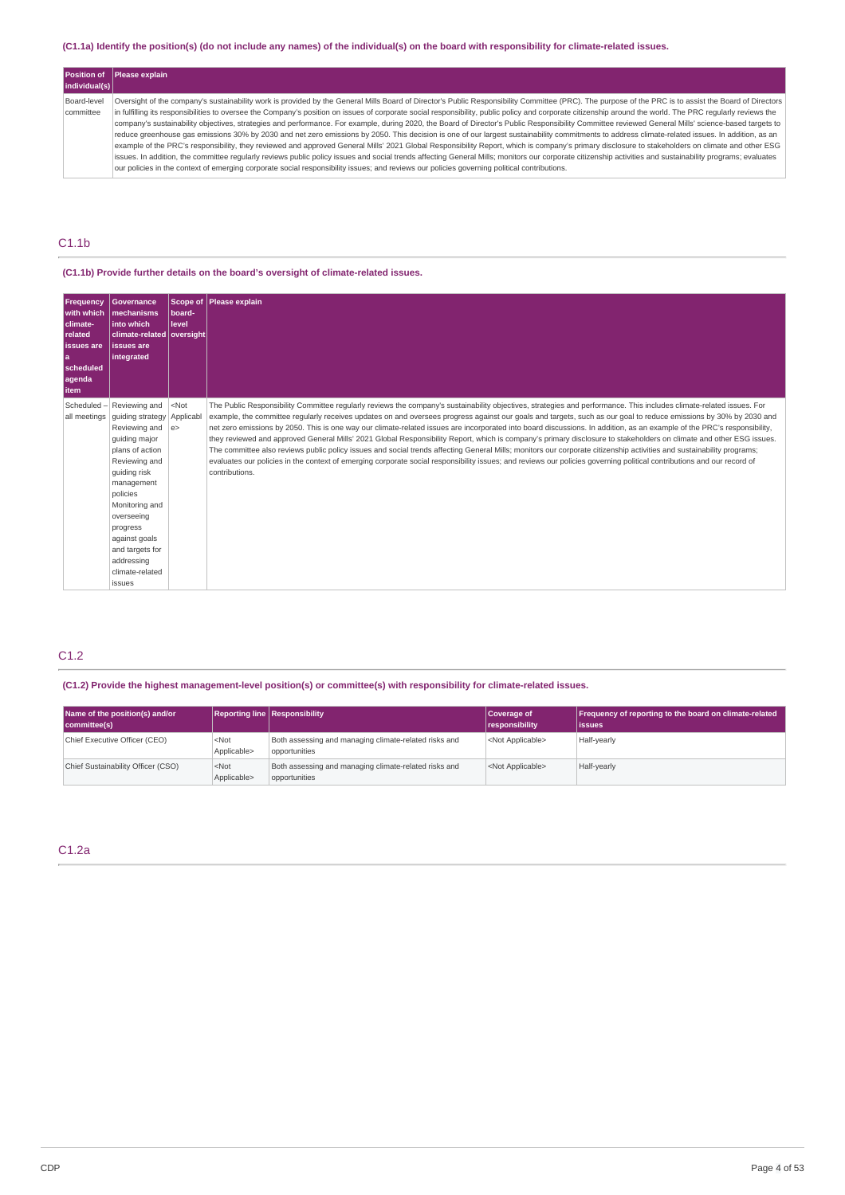### (C1.1a) Identify the position(s) (do not include any names) of the individual(s) on the board with responsibility for climate-related issues.

| individual(s)            | <b>Position of Please explain</b>                                                                                                                                                                                                                                                                                                                                                                                                                                                                                                                                                                                                                                                                                                                                                                                                                                                                                                                                                                                                                                                                                                                                                                                                                                                                                                                                                              |
|--------------------------|------------------------------------------------------------------------------------------------------------------------------------------------------------------------------------------------------------------------------------------------------------------------------------------------------------------------------------------------------------------------------------------------------------------------------------------------------------------------------------------------------------------------------------------------------------------------------------------------------------------------------------------------------------------------------------------------------------------------------------------------------------------------------------------------------------------------------------------------------------------------------------------------------------------------------------------------------------------------------------------------------------------------------------------------------------------------------------------------------------------------------------------------------------------------------------------------------------------------------------------------------------------------------------------------------------------------------------------------------------------------------------------------|
| Board-level<br>committee | Oversight of the company's sustainability work is provided by the General Mills Board of Director's Public Responsibility Committee (PRC). The purpose of the PRC is to assist the Board of Directors<br>in fulfilling its responsibilities to oversee the Company's position on issues of corporate social responsibility, public policy and corporate citizenship around the world. The PRC reqularly reviews the<br>company's sustainability objectives, strategies and performance. For example, during 2020, the Board of Director's Public Responsibility Committee reviewed General Mills' science-based targets to<br>reduce greenhouse gas emissions 30% by 2030 and net zero emissions by 2050. This decision is one of our largest sustainability commitments to address climate-related issues. In addition, as an<br>example of the PRC's responsibility, they reviewed and approved General Mills' 2021 Global Responsibility Report, which is company's primary disclosure to stakeholders on climate and other ESG<br>issues. In addition, the committee regularly reviews public policy issues and social trends affecting General Mills; monitors our corporate citizenship activities and sustainability programs; evaluates<br>our policies in the context of emerging corporate social responsibility issues; and reviews our policies governing political contributions. |

# C1.1b

### **(C1.1b) Provide further details on the board's oversight of climate-related issues.**

| <b>Frequency</b><br>with which<br>climate-<br>related<br><b>issues</b> are<br>l a<br><b>Scheduled</b><br>agenda<br>l item | Governance<br>Imechanisms<br>linto which<br>  climate-related   oversight  <br>lissues are<br>integrated                                                                                                                                                                     | Scope of<br>board-<br>level | Please explain                                                                                                                                                                                                                                                                                                                                                                                                                                                                                                                                                                                                                                                                                                                                                                                                                                                                                                                                                                                                                                                   |
|---------------------------------------------------------------------------------------------------------------------------|------------------------------------------------------------------------------------------------------------------------------------------------------------------------------------------------------------------------------------------------------------------------------|-----------------------------|------------------------------------------------------------------------------------------------------------------------------------------------------------------------------------------------------------------------------------------------------------------------------------------------------------------------------------------------------------------------------------------------------------------------------------------------------------------------------------------------------------------------------------------------------------------------------------------------------------------------------------------------------------------------------------------------------------------------------------------------------------------------------------------------------------------------------------------------------------------------------------------------------------------------------------------------------------------------------------------------------------------------------------------------------------------|
| Scheduled-<br>all meetings                                                                                                | Reviewing and<br>quiding strategy<br>Reviewing and<br>quiding major<br>plans of action<br>Reviewing and<br>quiding risk<br>management<br>policies<br>Monitoring and<br>overseeing<br>progress<br>against goals<br>and targets for<br>addressing<br>climate-related<br>issues | $<$ Not<br>Applicabl<br> e> | The Public Responsibility Committee regularly reviews the company's sustainability objectives, strategies and performance. This includes climate-related issues. For<br>example, the committee regularly receives updates on and oversees progress against our goals and targets, such as our goal to reduce emissions by 30% by 2030 and<br>net zero emissions by 2050. This is one way our climate-related issues are incorporated into board discussions. In addition, as an example of the PRC's responsibility,<br>they reviewed and approved General Mills' 2021 Global Responsibility Report, which is company's primary disclosure to stakeholders on climate and other ESG issues.<br>The committee also reviews public policy issues and social trends affecting General Mills; monitors our corporate citizenship activities and sustainability programs;<br>evaluates our policies in the context of emerging corporate social responsibility issues; and reviews our policies governing political contributions and our record of<br>contributions. |

### C1.2

### **(C1.2) Provide the highest management-level position(s) or committee(s) with responsibility for climate-related issues.**

| Name of the position(s) and/or<br>committee(s) |                        | <b>Reporting line Responsibility</b>                                   | Coverage of<br>responsibility | Frequency of reporting to the board on climate-related<br>lissues |
|------------------------------------------------|------------------------|------------------------------------------------------------------------|-------------------------------|-------------------------------------------------------------------|
| Chief Executive Officer (CEO)                  | $<$ Not<br>Applicable> | Both assessing and managing climate-related risks and<br>opportunities | <not applicable=""></not>     | Half-yearly                                                       |
| Chief Sustainability Officer (CSO)             | $<$ Not<br>Applicable> | Both assessing and managing climate-related risks and<br>opportunities | <not applicable=""></not>     | Half-yearly                                                       |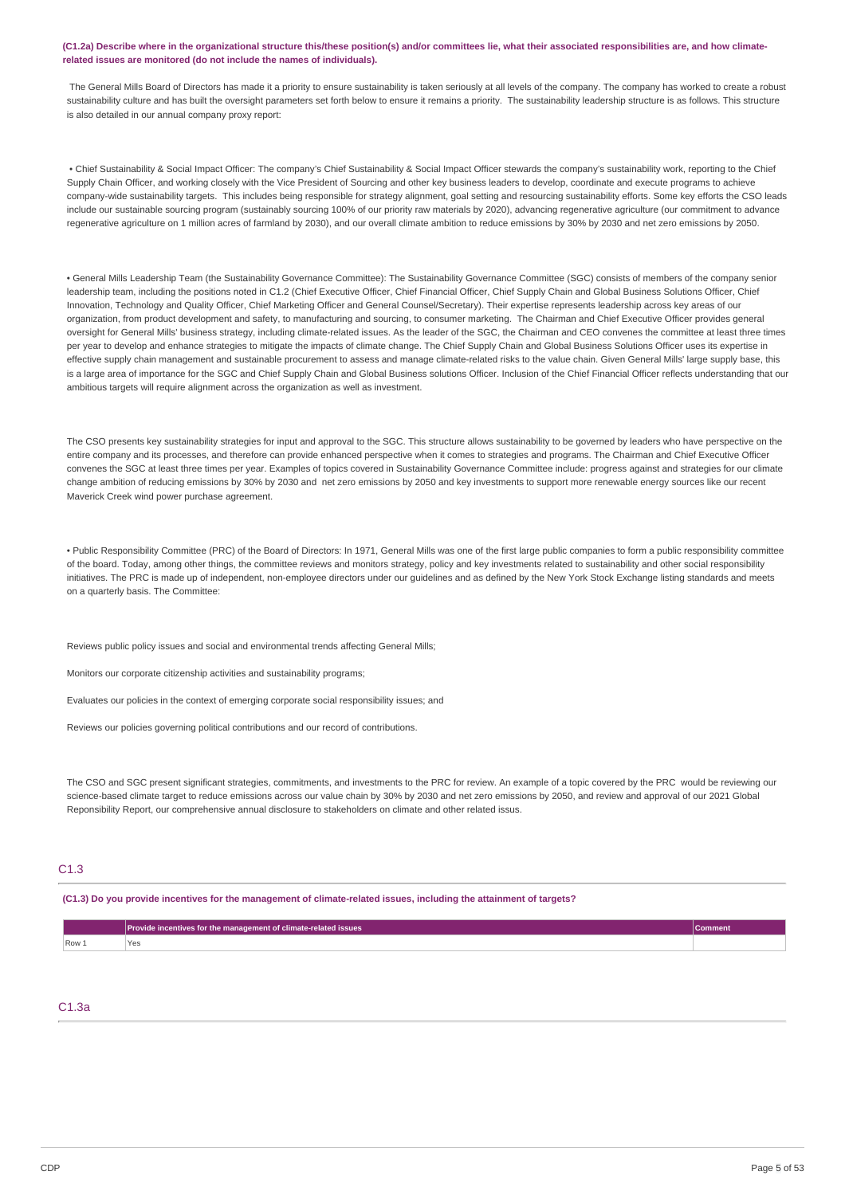#### (C1.2a) Describe where in the organizational structure this/these position(s) and/or committees lie, what their associated responsibilities are, and how climate**related issues are monitored (do not include the names of individuals).**

The General Mills Board of Directors has made it a priority to ensure sustainability is taken seriously at all levels of the company. The company has worked to create a robust sustainability culture and has built the oversight parameters set forth below to ensure it remains a priority. The sustainability leadership structure is as follows. This structure is also detailed in our annual company proxy report:

• Chief Sustainability & Social Impact Officer: The company's Chief Sustainability & Social Impact Officer stewards the company's sustainability work, reporting to the Chief Supply Chain Officer, and working closely with the Vice President of Sourcing and other key business leaders to develop, coordinate and execute programs to achieve company-wide sustainability targets. This includes being responsible for strategy alignment, goal setting and resourcing sustainability efforts. Some key efforts the CSO leads include our sustainable sourcing program (sustainably sourcing 100% of our priority raw materials by 2020), advancing regenerative agriculture (our commitment to advance regenerative agriculture on 1 million acres of farmland by 2030), and our overall climate ambition to reduce emissions by 30% by 2030 and net zero emissions by 2050.

• General Mills Leadership Team (the Sustainability Governance Committee): The Sustainability Governance Committee (SGC) consists of members of the company senior leadership team, including the positions noted in C1.2 (Chief Executive Officer, Chief Financial Officer, Chief Supply Chain and Global Business Solutions Officer, Chief Innovation, Technology and Quality Officer, Chief Marketing Officer and General Counsel/Secretary). Their expertise represents leadership across key areas of our organization, from product development and safety, to manufacturing and sourcing, to consumer marketing. The Chairman and Chief Executive Officer provides general oversight for General Mills' business strategy, including climate-related issues. As the leader of the SGC, the Chairman and CEO convenes the committee at least three times per year to develop and enhance strategies to mitigate the impacts of climate change. The Chief Supply Chain and Global Business Solutions Officer uses its expertise in effective supply chain management and sustainable procurement to assess and manage climate-related risks to the value chain. Given General Mills' large supply base, this is a large area of importance for the SGC and Chief Supply Chain and Global Business solutions Officer. Inclusion of the Chief Financial Officer reflects understanding that our ambitious targets will require alignment across the organization as well as investment.

The CSO presents key sustainability strategies for input and approval to the SGC. This structure allows sustainability to be governed by leaders who have perspective on the entire company and its processes, and therefore can provide enhanced perspective when it comes to strategies and programs. The Chairman and Chief Executive Officer convenes the SGC at least three times per year. Examples of topics covered in Sustainability Governance Committee include: progress against and strategies for our climate change ambition of reducing emissions by 30% by 2030 and net zero emissions by 2050 and key investments to support more renewable energy sources like our recent Maverick Creek wind power purchase agreement.

• Public Responsibility Committee (PRC) of the Board of Directors: In 1971, General Mills was one of the first large public companies to form a public responsibility committee of the board. Today, among other things, the committee reviews and monitors strategy, policy and key investments related to sustainability and other social responsibility initiatives. The PRC is made up of independent, non-employee directors under our guidelines and as defined by the New York Stock Exchange listing standards and meets on a quarterly basis. The Committee:

Reviews public policy issues and social and environmental trends affecting General Mills;

Monitors our corporate citizenship activities and sustainability programs;

Evaluates our policies in the context of emerging corporate social responsibility issues; and

Reviews our policies governing political contributions and our record of contributions.

The CSO and SGC present significant strategies, commitments, and investments to the PRC for review. An example of a topic covered by the PRC would be reviewing our science-based climate target to reduce emissions across our value chain by 30% by 2030 and net zero emissions by 2050, and review and approval of our 2021 Global Reponsibility Report, our comprehensive annual disclosure to stakeholders on climate and other related issus.

### C1.3

#### (C1.3) Do you provide incentives for the management of climate-related issues, including the attainment of targets?

|                       | <b>Provide incentives for the management of climate-related issues</b> | Comment |
|-----------------------|------------------------------------------------------------------------|---------|
| $\sqrt{$ Row $\angle$ | .                                                                      |         |

### C1.3a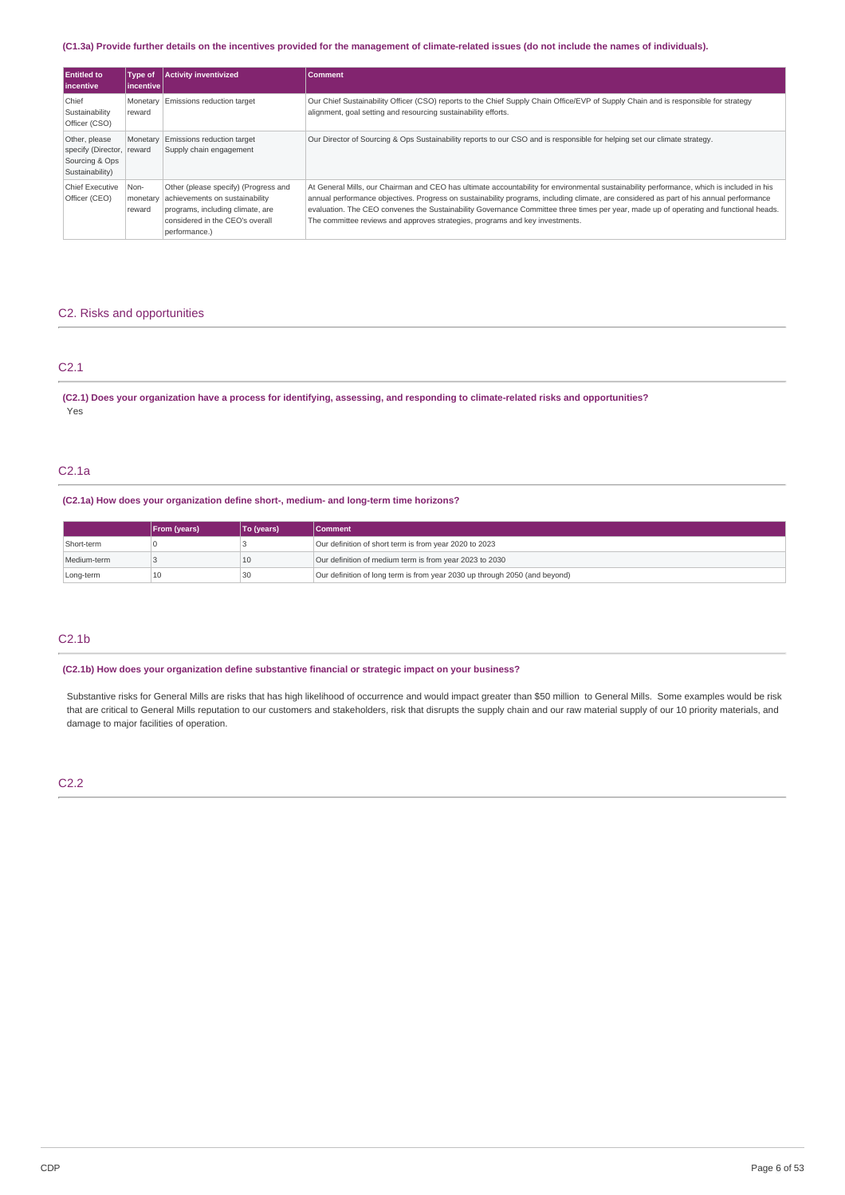### (C1.3a) Provide further details on the incentives provided for the management of climate-related issues (do not include the names of individuals).

| <b>Entitled to</b><br><b>lincentive</b>                                         | Type of<br>incentive       | <b>Activity inventivized</b>                                                                                                                                   | Comment                                                                                                                                                                                                                                                                                                                                                                                                                                                                                                       |
|---------------------------------------------------------------------------------|----------------------------|----------------------------------------------------------------------------------------------------------------------------------------------------------------|---------------------------------------------------------------------------------------------------------------------------------------------------------------------------------------------------------------------------------------------------------------------------------------------------------------------------------------------------------------------------------------------------------------------------------------------------------------------------------------------------------------|
| Chief<br>Sustainability<br>Officer (CSO)                                        | Monetary<br>reward         | Emissions reduction target                                                                                                                                     | Our Chief Sustainability Officer (CSO) reports to the Chief Supply Chain Office/EVP of Supply Chain and is responsible for strategy<br>alignment, goal setting and resourcing sustainability efforts.                                                                                                                                                                                                                                                                                                         |
| Other, please<br>specify (Director, reward<br>Sourcing & Ops<br>Sustainability) | Monetary                   | Emissions reduction target<br>Supply chain engagement                                                                                                          | Our Director of Sourcing & Ops Sustainability reports to our CSO and is responsible for helping set our climate strategy.                                                                                                                                                                                                                                                                                                                                                                                     |
| Chief Executive<br>Officer (CEO)                                                | Non-<br>monetary<br>reward | Other (please specify) (Progress and<br>achievements on sustainability<br>programs, including climate, are<br>considered in the CEO's overall<br>performance.) | At General Mills, our Chairman and CEO has ultimate accountability for environmental sustainability performance, which is included in his<br>annual performance objectives. Progress on sustainability programs, including climate, are considered as part of his annual performance<br>evaluation. The CEO convenes the Sustainability Governance Committee three times per year, made up of operating and functional heads.<br>The committee reviews and approves strategies, programs and key investments. |

### C2. Risks and opportunities

### C2.1

(C2.1) Does your organization have a process for identifying, assessing, and responding to climate-related risks and opportunities? Yes

### C2.1a

### **(C2.1a) How does your organization define short-, medium- and long-term time horizons?**

|             | <b>From (years)</b> | To (years) | <b>Comment</b>                                                             |
|-------------|---------------------|------------|----------------------------------------------------------------------------|
| Short-term  |                     |            | Our definition of short term is from year 2020 to 2023                     |
| Medium-term |                     | 10         | Our definition of medium term is from year 2023 to 2030                    |
| Long-term   |                     | 30         | Our definition of long term is from year 2030 up through 2050 (and beyond) |

### C2.1b

**(C2.1b) How does your organization define substantive financial or strategic impact on your business?**

Substantive risks for General Mills are risks that has high likelihood of occurrence and would impact greater than \$50 million to General Mills. Some examples would be risk that are critical to General Mills reputation to our customers and stakeholders, risk that disrupts the supply chain and our raw material supply of our 10 priority materials, and damage to major facilities of operation.

### C2.2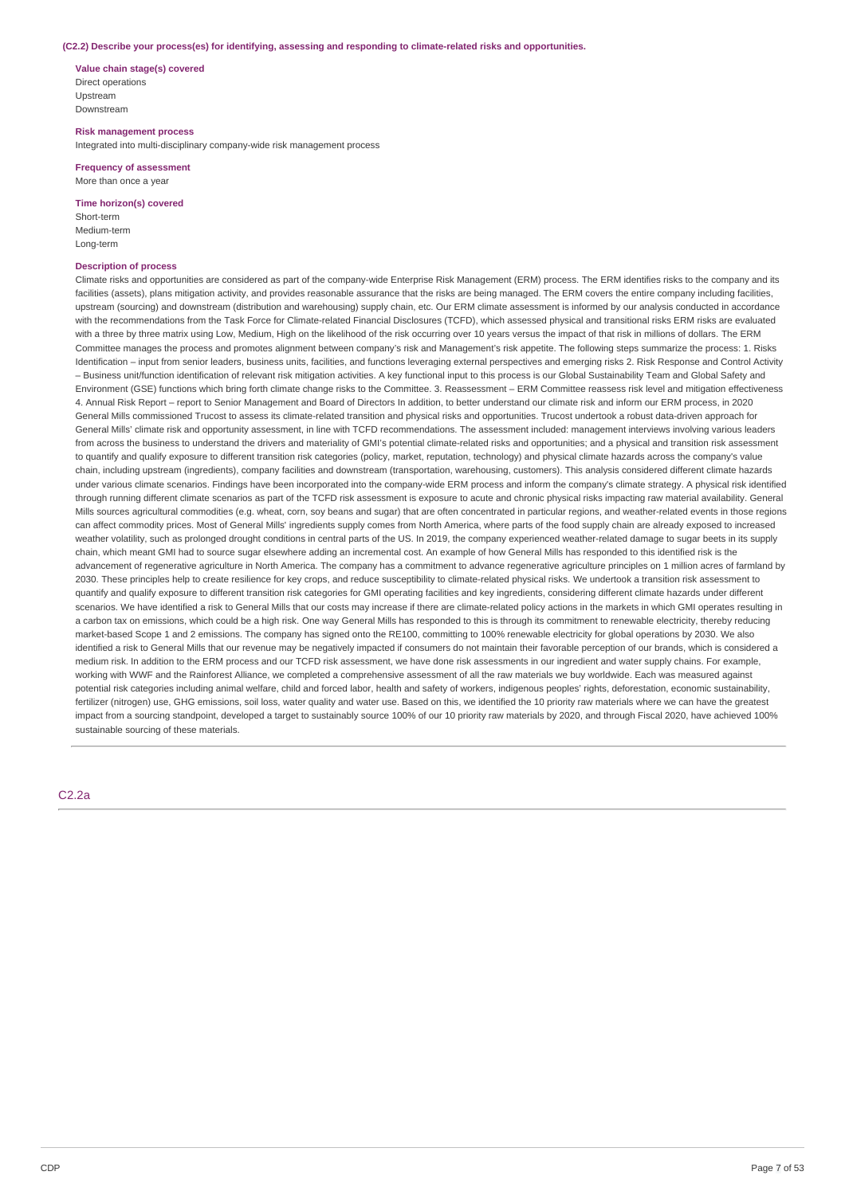#### **(C2.2) Describe your process(es) for identifying, assessing and responding to climate-related risks and opportunities.**

**Value chain stage(s) covered** Direct operations Upstream Downstream

**Risk management process** Integrated into multi-disciplinary company-wide risk management process

**Frequency of assessment** More than once a year

**Time horizon(s) covered**

Short-term Medium-term Long-term

#### **Description of process**

Climate risks and opportunities are considered as part of the company-wide Enterprise Risk Management (ERM) process. The ERM identifies risks to the company and its facilities (assets), plans mitigation activity, and provides reasonable assurance that the risks are being managed. The ERM covers the entire company including facilities, upstream (sourcing) and downstream (distribution and warehousing) supply chain, etc. Our ERM climate assessment is informed by our analysis conducted in accordance with the recommendations from the Task Force for Climate-related Financial Disclosures (TCFD), which assessed physical and transitional risks ERM risks are evaluated with a three by three matrix using Low, Medium, High on the likelihood of the risk occurring over 10 years versus the impact of that risk in millions of dollars. The ERM Committee manages the process and promotes alignment between company's risk and Management's risk appetite. The following steps summarize the process: 1. Risks Identification - input from senior leaders, business units, facilities, and functions leveraging external perspectives and emerging risks 2. Risk Response and Control Activity – Business unit/function identification of relevant risk mitigation activities. A key functional input to this process is our Global Sustainability Team and Global Safety and Environment (GSE) functions which bring forth climate change risks to the Committee. 3. Reassessment – ERM Committee reassess risk level and mitigation effectiveness 4. Annual Risk Report – report to Senior Management and Board of Directors In addition, to better understand our climate risk and inform our ERM process, in 2020 General Mills commissioned Trucost to assess its climate-related transition and physical risks and opportunities. Trucost undertook a robust data-driven approach for General Mills' climate risk and opportunity assessment, in line with TCFD recommendations. The assessment included: management interviews involving various leaders from across the business to understand the drivers and materiality of GMI's potential climate-related risks and opportunities; and a physical and transition risk assessment to quantify and qualify exposure to different transition risk categories (policy, market, reputation, technology) and physical climate hazards across the company's value chain, including upstream (ingredients), company facilities and downstream (transportation, warehousing, customers). This analysis considered different climate hazards under various climate scenarios. Findings have been incorporated into the company-wide ERM process and inform the company's climate strategy. A physical risk identified through running different climate scenarios as part of the TCFD risk assessment is exposure to acute and chronic physical risks impacting raw material availability. General Mills sources agricultural commodities (e.g. wheat, corn, soy beans and sugar) that are often concentrated in particular regions, and weather-related events in those regions can affect commodity prices. Most of General Mills' ingredients supply comes from North America, where parts of the food supply chain are already exposed to increased weather volatility, such as prolonged drought conditions in central parts of the US. In 2019, the company experienced weather-related damage to sugar beets in its supply chain, which meant GMI had to source sugar elsewhere adding an incremental cost. An example of how General Mills has responded to this identified risk is the advancement of regenerative agriculture in North America. The company has a commitment to advance regenerative agriculture principles on 1 million acres of farmland by 2030. These principles help to create resilience for key crops, and reduce susceptibility to climate-related physical risks. We undertook a transition risk assessment to quantify and qualify exposure to different transition risk categories for GMI operating facilities and key ingredients, considering different climate hazards under different scenarios. We have identified a risk to General Mills that our costs may increase if there are climate-related policy actions in the markets in which GMI operates resulting in a carbon tax on emissions, which could be a high risk. One way General Mills has responded to this is through its commitment to renewable electricity, thereby reducing market-based Scope 1 and 2 emissions. The company has signed onto the RE100, committing to 100% renewable electricity for global operations by 2030. We also identified a risk to General Mills that our revenue may be negatively impacted if consumers do not maintain their favorable perception of our brands, which is considered a medium risk. In addition to the ERM process and our TCFD risk assessment, we have done risk assessments in our ingredient and water supply chains. For example, working with WWF and the Rainforest Alliance, we completed a comprehensive assessment of all the raw materials we buy worldwide. Each was measured against potential risk categories including animal welfare, child and forced labor, health and safety of workers, indigenous peoples' rights, deforestation, economic sustainability, fertilizer (nitrogen) use, GHG emissions, soil loss, water quality and water use. Based on this, we identified the 10 priority raw materials where we can have the greatest impact from a sourcing standpoint, developed a target to sustainably source 100% of our 10 priority raw materials by 2020, and through Fiscal 2020, have achieved 100% sustainable sourcing of these materials.

C2.2a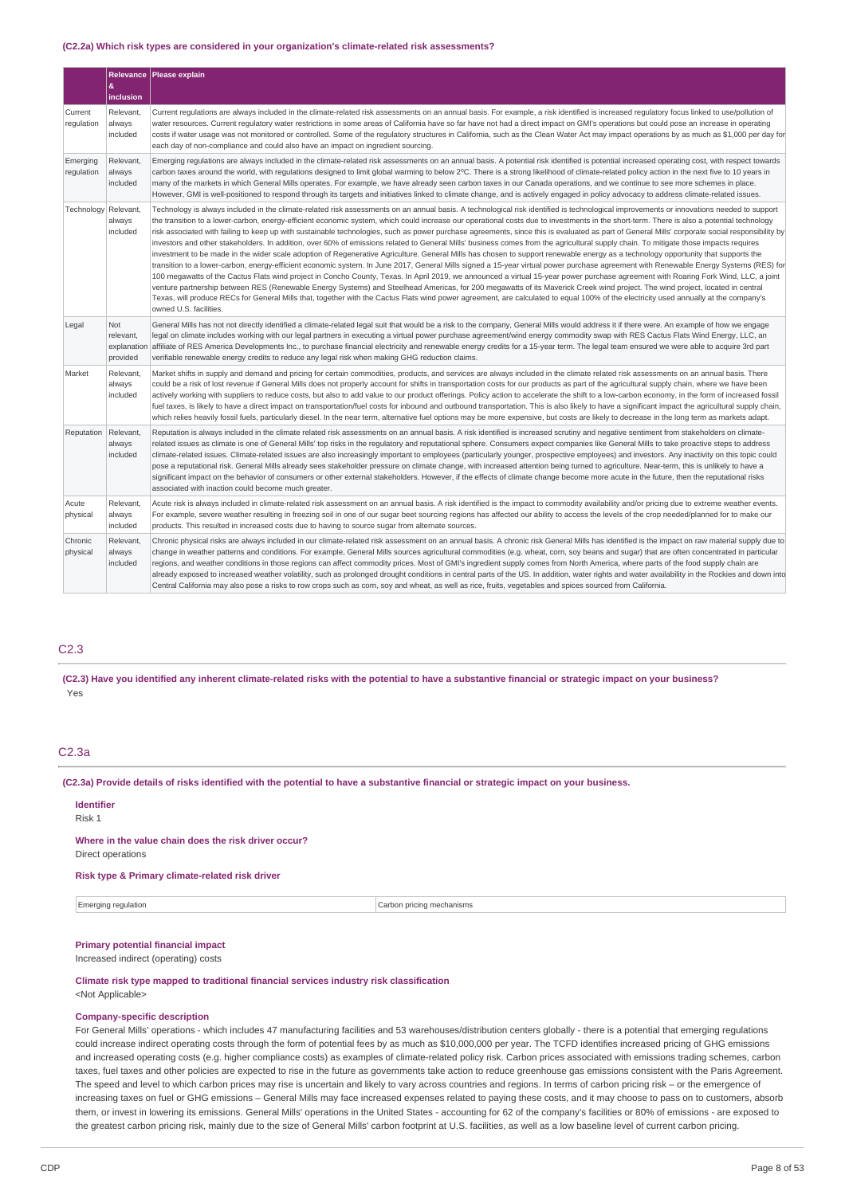#### **(C2.2a) Which risk types are considered in your organization's climate-related risk assessments?**

|                        | &<br>inclusion                              | Relevance   Please explain                                                                                                                                                                                                                                                                                                                                                                                                                                                                                                                                                                                                                                                                                                                                                                                                                                                                                                                                                                                                                                                                                                                                                                                                                                                                                                                                                                                                                                                                                                                                                                                                                                                                                                                              |
|------------------------|---------------------------------------------|---------------------------------------------------------------------------------------------------------------------------------------------------------------------------------------------------------------------------------------------------------------------------------------------------------------------------------------------------------------------------------------------------------------------------------------------------------------------------------------------------------------------------------------------------------------------------------------------------------------------------------------------------------------------------------------------------------------------------------------------------------------------------------------------------------------------------------------------------------------------------------------------------------------------------------------------------------------------------------------------------------------------------------------------------------------------------------------------------------------------------------------------------------------------------------------------------------------------------------------------------------------------------------------------------------------------------------------------------------------------------------------------------------------------------------------------------------------------------------------------------------------------------------------------------------------------------------------------------------------------------------------------------------------------------------------------------------------------------------------------------------|
| Current<br>regulation  | Relevant,<br>always<br>included             | Current regulations are always included in the climate-related risk assessments on an annual basis. For example, a risk identified is increased regulatory focus linked to use/pollution of<br>water resources. Current regulatory water restrictions in some areas of California have so far have not had a direct impact on GMI's operations but could pose an increase in operating<br>costs if water usage was not monitored or controlled. Some of the regulatory structures in California, such as the Clean Water Act may impact operations by as much as \$1,000 per day for<br>each day of non-compliance and could also have an impact on ingredient sourcing.                                                                                                                                                                                                                                                                                                                                                                                                                                                                                                                                                                                                                                                                                                                                                                                                                                                                                                                                                                                                                                                                                |
| Emerging<br>regulation | Relevant,<br>always<br>included             | Emerging regulations are always included in the climate-related risk assessments on an annual basis. A potential risk identified is potential increased operating cost, with respect towards<br>carbon taxes around the world, with regulations designed to limit global warming to below 2°C. There is a strong likelihood of climate-related policy action in the next five to 10 years in<br>many of the markets in which General Mills operates. For example, we have already seen carbon taxes in our Canada operations, and we continue to see more schemes in place.<br>However, GMI is well-positioned to respond through its targets and initiatives linked to climate change, and is actively engaged in policy advocacy to address climate-related issues.                                                                                                                                                                                                                                                                                                                                                                                                                                                                                                                                                                                                                                                                                                                                                                                                                                                                                                                                                                                   |
| Technology             | Relevant<br>always<br>included              | Technology is always included in the climate-related risk assessments on an annual basis. A technological risk identified is technological improvements or innovations needed to support<br>the transition to a lower-carbon, energy-efficient economic system, which could increase our operational costs due to investments in the short-term. There is also a potential technology<br>risk associated with failing to keep up with sustainable technologies, such as power purchase agreements, since this is evaluated as part of General Mills' corporate social responsibility by<br>investors and other stakeholders. In addition, over 60% of emissions related to General Mills' business comes from the agricultural supply chain. To mitigate those impacts requires<br>investment to be made in the wider scale adoption of Regenerative Agriculture. General Mills has chosen to support renewable energy as a technology opportunity that supports the<br>transition to a lower-carbon, energy-efficient economic system. In June 2017, General Mills signed a 15-year virtual power purchase agreement with Renewable Energy Systems (RES) for<br>100 megawatts of the Cactus Flats wind project in Concho County, Texas. In April 2019, we announced a virtual 15-year power purchase agreement with Roaring Fork Wind, LLC, a joint<br>venture partnership between RES (Renewable Energy Systems) and Steelhead Americas, for 200 megawatts of its Maverick Creek wind project. The wind project, located in central<br>Texas, will produce RECs for General Mills that, together with the Cactus Flats wind power agreement, are calculated to equal 100% of the electricity used annually at the company's<br>owned U.S. facilities. |
| Legal                  | Not<br>relevant.<br>explanation<br>provided | General Mills has not not directly identified a climate-related legal suit that would be a risk to the company, General Mills would address it if there were. An example of how we engage<br>legal on climate includes working with our legal partners in executing a virtual power purchase agreement/wind energy commodity swap with RES Cactus Flats Wind Energy, LLC, an<br>affiliate of RES America Developments Inc., to purchase financial electricity and renewable energy credits for a 15-year term. The legal team ensured we were able to acquire 3rd part<br>verifiable renewable energy credits to reduce any legal risk when making GHG reduction claims.                                                                                                                                                                                                                                                                                                                                                                                                                                                                                                                                                                                                                                                                                                                                                                                                                                                                                                                                                                                                                                                                                |
| Market                 | Relevant,<br>always<br>included             | Market shifts in supply and demand and pricing for certain commodities, products, and services are always included in the climate related risk assessments on an annual basis. There<br>could be a risk of lost revenue if General Mills does not properly account for shifts in transportation costs for our products as part of the agricultural supply chain, where we have been<br>actively working with suppliers to reduce costs, but also to add value to our product offerings. Policy action to accelerate the shift to a low-carbon economy, in the form of increased fossil<br>fuel taxes, is likely to have a direct impact on transportation/fuel costs for inbound and outbound transportation. This is also likely to have a significant impact the agricultural supply chain,<br>which relies heavily fossil fuels, particularly diesel. In the near term, alternative fuel options may be more expensive, but costs are likely to decrease in the long term as markets adapt.                                                                                                                                                                                                                                                                                                                                                                                                                                                                                                                                                                                                                                                                                                                                                          |
| Reputation             | Relevant,<br>always<br>included             | Reputation is always included in the climate related risk assessments on an annual basis. A risk identified is increased scrutiny and negative sentiment from stakeholders on climate-<br>related issues as climate is one of General Mills' top risks in the regulatory and reputational sphere. Consumers expect companies like General Mills to take proactive steps to address<br>climate-related issues. Climate-related issues are also increasingly important to employees (particularly younger, prospective employees) and investors. Any inactivity on this topic could<br>pose a reputational risk. General Mills already sees stakeholder pressure on climate change, with increased attention being turned to agriculture. Near-term, this is unlikely to have a<br>significant impact on the behavior of consumers or other external stakeholders. However, if the effects of climate change become more acute in the future, then the reputational risks<br>associated with inaction could become much greater.                                                                                                                                                                                                                                                                                                                                                                                                                                                                                                                                                                                                                                                                                                                          |
| Acute<br>physical      | Relevant,<br>always<br>included             | Acute risk is always included in climate-related risk assessment on an annual basis. A risk identified is the impact to commodity availability and/or pricing due to extreme weather events.<br>For example, severe weather resulting in freezing soil in one of our sugar beet sourcing regions has affected our ability to access the levels of the crop needed/planned for to make our<br>products. This resulted in increased costs due to having to source sugar from alternate sources.                                                                                                                                                                                                                                                                                                                                                                                                                                                                                                                                                                                                                                                                                                                                                                                                                                                                                                                                                                                                                                                                                                                                                                                                                                                           |
| Chronic<br>physical    | Relevant,<br>always<br>included             | Chronic physical risks are always included in our climate-related risk assessment on an annual basis. A chronic risk General Mills has identified is the impact on raw material supply due to<br>change in weather patterns and conditions. For example, General Mills sources agricultural commodities (e.g. wheat, corn, soy beans and sugar) that are often concentrated in particular<br>regions, and weather conditions in those regions can affect commodity prices. Most of GMI's ingredient supply comes from North America, where parts of the food supply chain are<br>already exposed to increased weather volatility, such as prolonged drought conditions in central parts of the US. In addition, water rights and water availability in the Rockies and down into<br>Central California may also pose a risks to row crops such as corn, soy and wheat, as well as rice, fruits, vegetables and spices sourced from California.                                                                                                                                                                                                                                                                                                                                                                                                                                                                                                                                                                                                                                                                                                                                                                                                          |

### C2.3

(C2.3) Have you identified any inherent climate-related risks with the potential to have a substantive financial or strategic impact on your business? Yes

### C2.3a

(C2.3a) Provide details of risks identified with the potential to have a substantive financial or strategic impact on your business.

#### **Identifier** Risk 1

#### **Where in the value chain does the risk driver occur?**

Direct operations

### **Risk type & Primary climate-related risk driver**

#### Emerging regulation **Carbon pricing mechanisms** carbon pricing mechanisms

### **Primary potential financial impact**

Increased indirect (operating) costs

### **Climate risk type mapped to traditional financial services industry risk classification**

#### <Not Applicable>

### **Company-specific description**

For General Mills' operations - which includes 47 manufacturing facilities and 53 warehouses/distribution centers globally - there is a potential that emerging regulations could increase indirect operating costs through the form of potential fees by as much as \$10,000,000 per year. The TCFD identifies increased pricing of GHG emissions and increased operating costs (e.g. higher compliance costs) as examples of climate-related policy risk. Carbon prices associated with emissions trading schemes, carbon taxes, fuel taxes and other policies are expected to rise in the future as governments take action to reduce greenhouse gas emissions consistent with the Paris Agreement. The speed and level to which carbon prices may rise is uncertain and likely to vary across countries and regions. In terms of carbon pricing risk – or the emergence of increasing taxes on fuel or GHG emissions – General Mills may face increased expenses related to paying these costs, and it may choose to pass on to customers, absorb them, or invest in lowering its emissions. General Mills' operations in the United States - accounting for 62 of the company's facilities or 80% of emissions - are exposed to the greatest carbon pricing risk, mainly due to the size of General Mills' carbon footprint at U.S. facilities, as well as a low baseline level of current carbon pricing.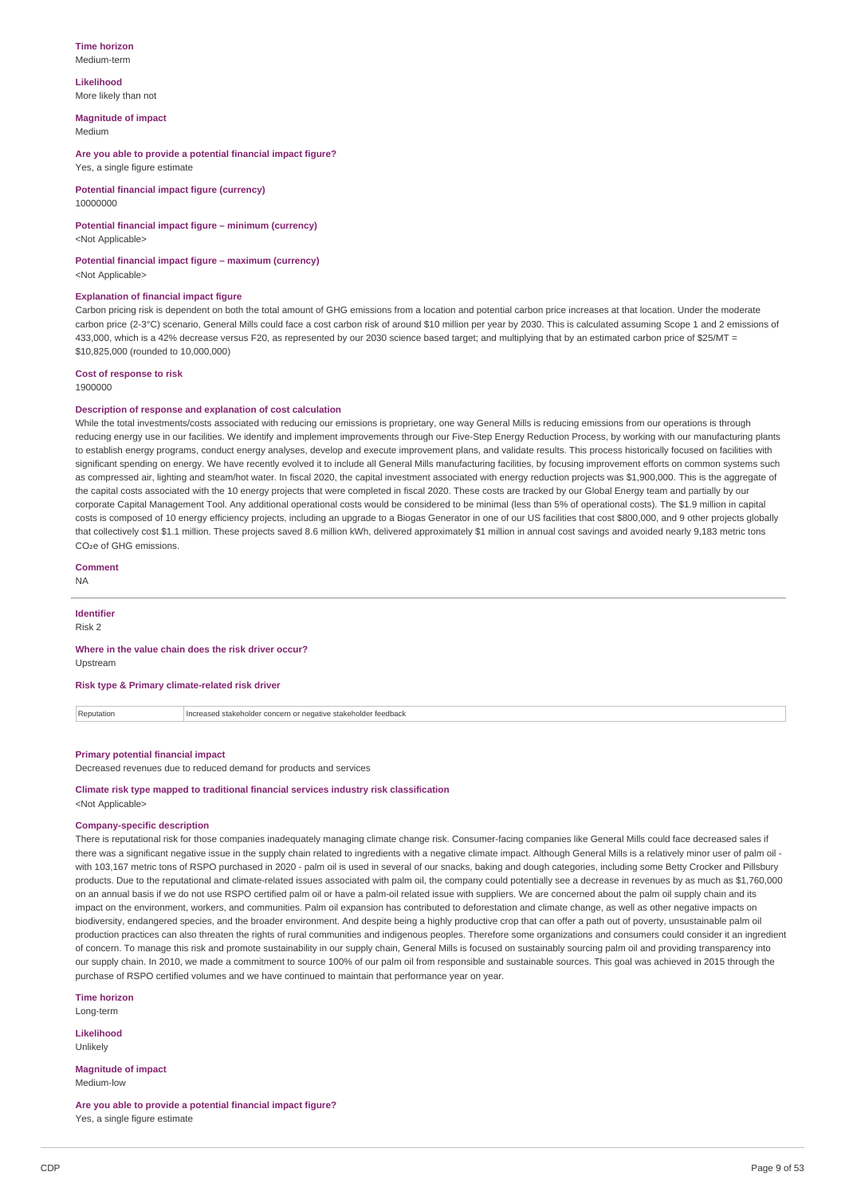#### **Time horizon** Medium-term

**Likelihood** More likely than not

**Magnitude of impact**

Medium

**Are you able to provide a potential financial impact figure?** Yes, a single figure estimate

**Potential financial impact figure (currency)** 10000000

# **Potential financial impact figure – minimum (currency)**

<Not Applicable>

**Potential financial impact figure – maximum (currency)** <Not Applicable>

#### **Explanation of financial impact figure**

Carbon pricing risk is dependent on both the total amount of GHG emissions from a location and potential carbon price increases at that location. Under the moderate carbon price (2-3°C) scenario, General Mills could face a cost carbon risk of around \$10 million per year by 2030. This is calculated assuming Scope 1 and 2 emissions of 433,000, which is a 42% decrease versus F20, as represented by our 2030 science based target; and multiplying that by an estimated carbon price of \$25/MT = \$10,825,000 (rounded to 10,000,000)

### **Cost of response to risk**

1900000

### **Description of response and explanation of cost calculation**

While the total investments/costs associated with reducing our emissions is proprietary, one way General Mills is reducing emissions from our operations is through reducing energy use in our facilities. We identify and implement improvements through our Five-Step Energy Reduction Process, by working with our manufacturing plants to establish energy programs, conduct energy analyses, develop and execute improvement plans, and validate results. This process historically focused on facilities with significant spending on energy. We have recently evolved it to include all General Mills manufacturing facilities, by focusing improvement efforts on common systems such as compressed air, lighting and steam/hot water. In fiscal 2020, the capital investment associated with energy reduction projects was \$1,900,000. This is the aggregate of the capital costs associated with the 10 energy projects that were completed in fiscal 2020. These costs are tracked by our Global Energy team and partially by our corporate Capital Management Tool. Any additional operational costs would be considered to be minimal (less than 5% of operational costs). The \$1.9 million in capital costs is composed of 10 energy efficiency projects, including an upgrade to a Biogas Generator in one of our US facilities that cost \$800,000, and 9 other projects globally that collectively cost \$1.1 million. These projects saved 8.6 million kWh, delivered approximately \$1 million in annual cost savings and avoided nearly 9,183 metric tons CO<sub>2</sub>e of GHG emissions.

### **Comment**

NA

#### **Identifier**

Risk 2

### **Where in the value chain does the risk driver occur?**

Upstream

### **Risk type & Primary climate-related risk driver**

Reputation **Increased stakeholder concern or negative stakeholder feedback** 

#### **Primary potential financial impact**

Decreased revenues due to reduced demand for products and services

#### **Climate risk type mapped to traditional financial services industry risk classification** <Not Applicable>

#### **Company-specific description**

There is reputational risk for those companies inadequately managing climate change risk. Consumer-facing companies like General Mills could face decreased sales if there was a significant negative issue in the supply chain related to ingredients with a negative climate impact. Although General Mills is a relatively minor user of palm oil with 103,167 metric tons of RSPO purchased in 2020 - palm oil is used in several of our snacks, baking and dough categories, including some Betty Crocker and Pillsbury products. Due to the reputational and climate-related issues associated with palm oil, the company could potentially see a decrease in revenues by as much as \$1,760,000 on an annual basis if we do not use RSPO certified palm oil or have a palm-oil related issue with suppliers. We are concerned about the palm oil supply chain and its impact on the environment, workers, and communities. Palm oil expansion has contributed to deforestation and climate change, as well as other negative impacts on biodiversity, endangered species, and the broader environment. And despite being a highly productive crop that can offer a path out of poverty, unsustainable palm oil production practices can also threaten the rights of rural communities and indigenous peoples. Therefore some organizations and consumers could consider it an ingredient of concern. To manage this risk and promote sustainability in our supply chain, General Mills is focused on sustainably sourcing palm oil and providing transparency into our supply chain. In 2010, we made a commitment to source 100% of our palm oil from responsible and sustainable sources. This goal was achieved in 2015 through the purchase of RSPO certified volumes and we have continued to maintain that performance year on year.

**Time horizon** Long-term

**Likelihood**

Unlikely

**Magnitude of impact** Medium-low

**Are you able to provide a potential financial impact figure?** Yes, a single figure estimate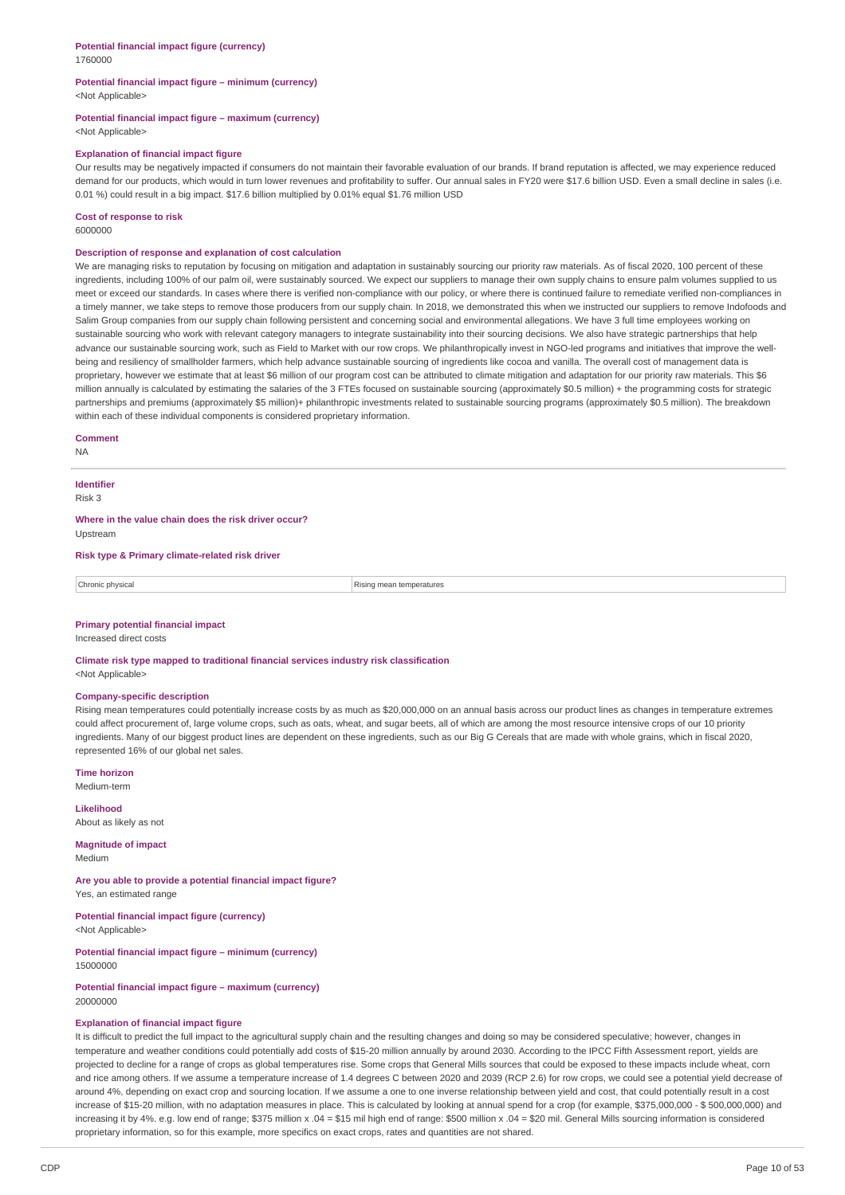#### **Potential financial impact figure – minimum (currency)** <Not Applicable>

#### **Potential financial impact figure – maximum (currency)** <Not Applicable>

#### **Explanation of financial impact figure**

Our results may be negatively impacted if consumers do not maintain their favorable evaluation of our brands. If brand reputation is affected, we may experience reduced demand for our products, which would in turn lower revenues and profitability to suffer. Our annual sales in FY20 were \$17.6 billion USD. Even a small decline in sales (i.e. 0.01 %) could result in a big impact. \$17.6 billion multiplied by 0.01% equal \$1.76 million USD

#### **Cost of response to risk**

6000000

#### **Description of response and explanation of cost calculation**

We are managing risks to reputation by focusing on mitigation and adaptation in sustainably sourcing our priority raw materials. As of fiscal 2020, 100 percent of these ingredients, including 100% of our palm oil, were sustainably sourced. We expect our suppliers to manage their own supply chains to ensure palm volumes supplied to us meet or exceed our standards. In cases where there is verified non-compliance with our policy, or where there is continued failure to remediate verified non-compliances in a timely manner, we take steps to remove those producers from our supply chain. In 2018, we demonstrated this when we instructed our suppliers to remove Indofoods and Salim Group companies from our supply chain following persistent and concerning social and environmental allegations. We have 3 full time employees working on sustainable sourcing who work with relevant category managers to integrate sustainability into their sourcing decisions. We also have strategic partnerships that help advance our sustainable sourcing work, such as Field to Market with our row crops. We philanthropically invest in NGO-led programs and initiatives that improve the wellbeing and resiliency of smallholder farmers, which help advance sustainable sourcing of ingredients like cocoa and vanilla. The overall cost of management data is proprietary, however we estimate that at least \$6 million of our program cost can be attributed to climate mitigation and adaptation for our priority raw materials. This \$6 million annually is calculated by estimating the salaries of the 3 FTEs focused on sustainable sourcing (approximately \$0.5 million) + the programming costs for strategic partnerships and premiums (approximately \$5 million)+ philanthropic investments related to sustainable sourcing programs (approximately \$0.5 million). The breakdown within each of these individual components is considered proprietary information.

#### **Comment**

NA

### **Identifier**

Risk 3

**Where in the value chain does the risk driver occur?** Upstream

**Risk type & Primary climate-related risk driver**

| Chronic physica | temperatures |
|-----------------|--------------|
|                 |              |

#### **Primary potential financial impact**

Increased direct costs

**Climate risk type mapped to traditional financial services industry risk classification** <Not Applicable>

#### **Company-specific description**

Rising mean temperatures could potentially increase costs by as much as \$20,000,000 on an annual basis across our product lines as changes in temperature extremes could affect procurement of, large volume crops, such as oats, wheat, and sugar beets, all of which are among the most resource intensive crops of our 10 priority ingredients. Many of our biggest product lines are dependent on these ingredients, such as our Big G Cereals that are made with whole grains, which in fiscal 2020, represented 16% of our global net sales.

**Time horizon** Medium-term

**Likelihood** About as likely as not

**Magnitude of impact** Medium

**Are you able to provide a potential financial impact figure?** Yes, an estimated range

**Potential financial impact figure (currency)** <Not Applicable>

**Potential financial impact figure – minimum (currency)** 15000000

**Potential financial impact figure – maximum (currency)** 20000000

#### **Explanation of financial impact figure**

It is difficult to predict the full impact to the agricultural supply chain and the resulting changes and doing so may be considered speculative; however, changes in temperature and weather conditions could potentially add costs of \$15-20 million annually by around 2030. According to the IPCC Fifth Assessment report, yields are projected to decline for a range of crops as global temperatures rise. Some crops that General Mills sources that could be exposed to these impacts include wheat, corn and rice among others. If we assume a temperature increase of 1.4 degrees C between 2020 and 2039 (RCP 2.6) for row crops, we could see a potential yield decrease of around 4%, depending on exact crop and sourcing location. If we assume a one to one inverse relationship between yield and cost, that could potentially result in a cost increase of \$15-20 million, with no adaptation measures in place. This is calculated by looking at annual spend for a crop (for example, \$375,000,000 - \$ 500,000,000) and increasing it by 4%. e.g. low end of range; \$375 million x .04 = \$15 mil high end of range: \$500 million x .04 = \$20 mil. General Mills sourcing information is considered proprietary information, so for this example, more specifics on exact crops, rates and quantities are not shared.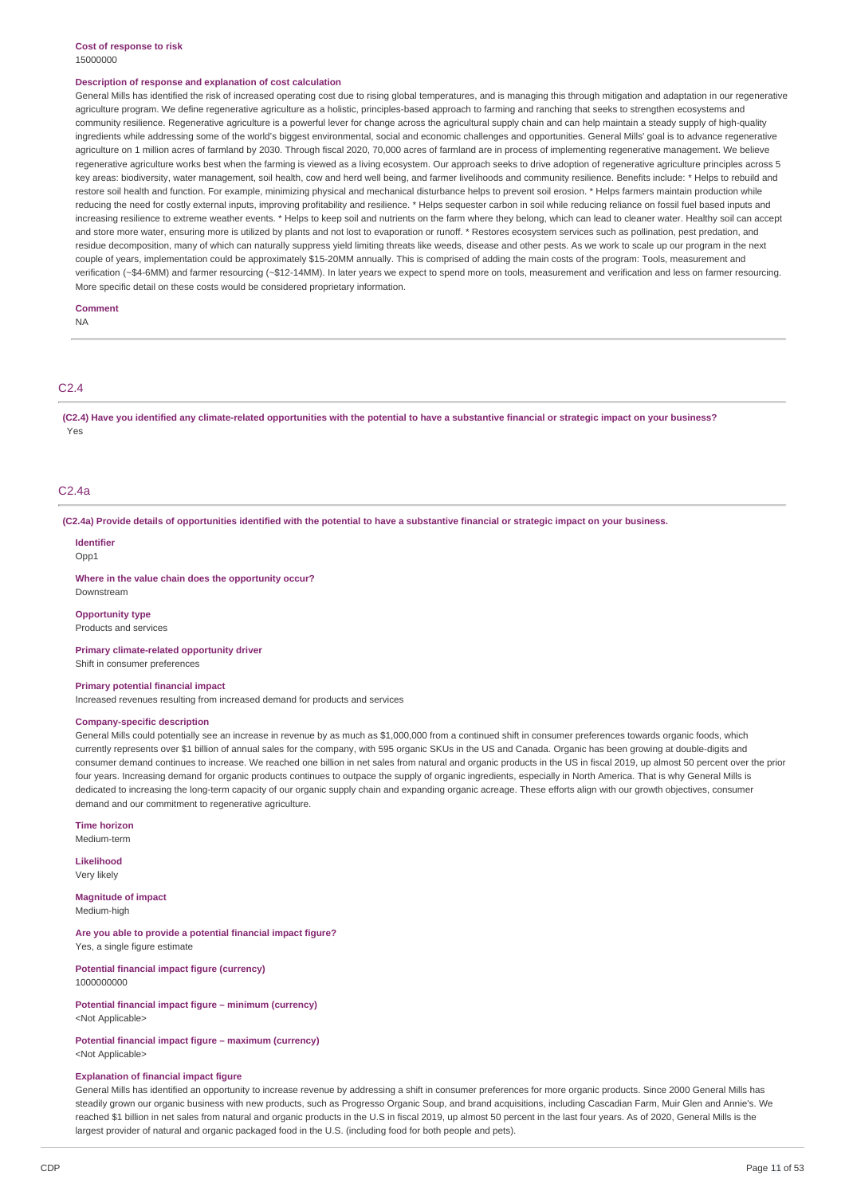#### **Cost of response to risk** 15000000

#### **Description of response and explanation of cost calculation**

General Mills has identified the risk of increased operating cost due to rising global temperatures, and is managing this through mitigation and adaptation in our regenerative agriculture program. We define regenerative agriculture as a holistic, principles-based approach to farming and ranching that seeks to strengthen ecosystems and community resilience. Regenerative agriculture is a powerful lever for change across the agricultural supply chain and can help maintain a steady supply of high-quality ingredients while addressing some of the world's biggest environmental, social and economic challenges and opportunities. General Mills' goal is to advance regenerative agriculture on 1 million acres of farmland by 2030. Through fiscal 2020, 70,000 acres of farmland are in process of implementing regenerative management. We believe regenerative agriculture works best when the farming is viewed as a living ecosystem. Our approach seeks to drive adoption of regenerative agriculture principles across 5 key areas: biodiversity, water management, soil health, cow and herd well being, and farmer livelihoods and community resilience. Benefits include: \* Helps to rebuild and restore soil health and function. For example, minimizing physical and mechanical disturbance helps to prevent soil erosion. \* Helps farmers maintain production while reducing the need for costly external inputs, improving profitability and resilience. \* Helps sequester carbon in soil while reducing reliance on fossil fuel based inputs and increasing resilience to extreme weather events. \* Helps to keep soil and nutrients on the farm where they belong, which can lead to cleaner water. Healthy soil can accept and store more water, ensuring more is utilized by plants and not lost to evaporation or runoff. \* Restores ecosystem services such as pollination, pest predation, and residue decomposition, many of which can naturally suppress yield limiting threats like weeds, disease and other pests. As we work to scale up our program in the next couple of years, implementation could be approximately \$15-20MM annually. This is comprised of adding the main costs of the program: Tools, measurement and verification (~\$4-6MM) and farmer resourcing (~\$12-14MM). In later years we expect to spend more on tools, measurement and verification and less on farmer resourcing. More specific detail on these costs would be considered proprietary information.

#### **Comment**

NA

### $C<sub>2</sub>$  4

(C2.4) Have you identified any climate-related opportunities with the potential to have a substantive financial or strategic impact on your business? Yes

### C2.4a

(C2.4a) Provide details of opportunities identified with the potential to have a substantive financial or strategic impact on your business.

#### **Identifier**

Opp1

**Where in the value chain does the opportunity occur?**

#### **Opportunity type**

Downstream

Products and services

**Primary climate-related opportunity driver** Shift in consumer preferences

#### **Primary potential financial impact**

Increased revenues resulting from increased demand for products and services

#### **Company-specific description**

General Mills could potentially see an increase in revenue by as much as \$1,000,000 from a continued shift in consumer preferences towards organic foods, which currently represents over \$1 billion of annual sales for the company, with 595 organic SKUs in the US and Canada. Organic has been growing at double-digits and consumer demand continues to increase. We reached one billion in net sales from natural and organic products in the US in fiscal 2019, up almost 50 percent over the prior four years. Increasing demand for organic products continues to outpace the supply of organic ingredients, especially in North America. That is why General Mills is dedicated to increasing the long-term capacity of our organic supply chain and expanding organic acreage. These efforts align with our growth objectives, consumer demand and our commitment to regenerative agriculture.

**Time horizon** Medium-term

**Likelihood** Very likely

**Magnitude of impact** Medium-high

**Are you able to provide a potential financial impact figure?** Yes, a single figure estimate

**Potential financial impact figure (currency)** 1000000000

**Potential financial impact figure – minimum (currency)** <Not Applicable>

#### **Potential financial impact figure – maximum (currency)** <Not Applicable>

#### **Explanation of financial impact figure**

General Mills has identified an opportunity to increase revenue by addressing a shift in consumer preferences for more organic products. Since 2000 General Mills has steadily grown our organic business with new products, such as Progresso Organic Soup, and brand acquisitions, including Cascadian Farm, Muir Glen and Annie's. We reached \$1 billion in net sales from natural and organic products in the U.S in fiscal 2019, up almost 50 percent in the last four years. As of 2020, General Mills is the largest provider of natural and organic packaged food in the U.S. (including food for both people and pets).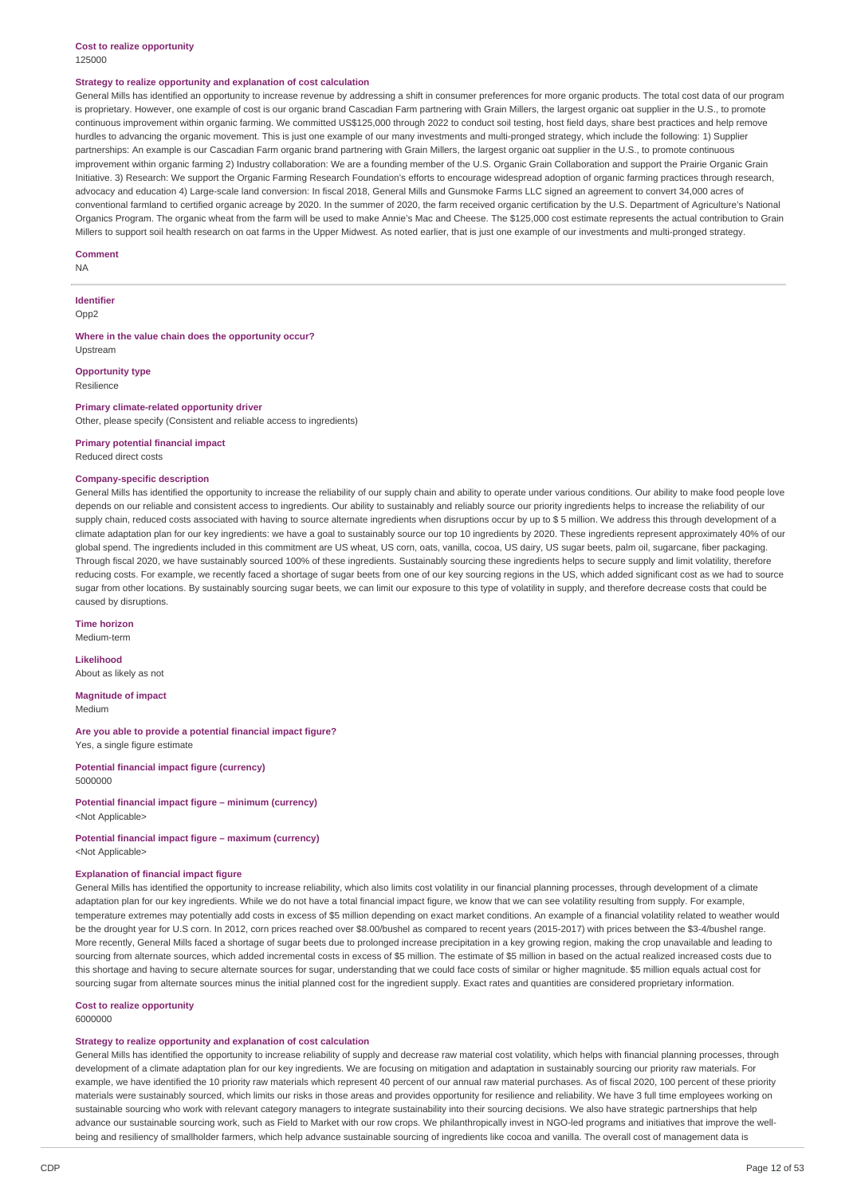#### **Cost to realize opportunity** 125000

#### **Strategy to realize opportunity and explanation of cost calculation**

General Mills has identified an opportunity to increase revenue by addressing a shift in consumer preferences for more organic products. The total cost data of our program is proprietary. However, one example of cost is our organic brand Cascadian Farm partnering with Grain Millers, the largest organic oat supplier in the U.S., to promote continuous improvement within organic farming. We committed US\$125,000 through 2022 to conduct soil testing, host field days, share best practices and help remove hurdles to advancing the organic movement. This is just one example of our many investments and multi-pronged strategy, which include the following: 1) Supplier partnerships: An example is our Cascadian Farm organic brand partnering with Grain Millers, the largest organic oat supplier in the U.S., to promote continuous improvement within organic farming 2) Industry collaboration: We are a founding member of the U.S. Organic Grain Collaboration and support the Prairie Organic Grain Initiative. 3) Research: We support the Organic Farming Research Foundation's efforts to encourage widespread adoption of organic farming practices through research, advocacy and education 4) Large-scale land conversion: In fiscal 2018, General Mills and Gunsmoke Farms LLC signed an agreement to convert 34,000 acres of conventional farmland to certified organic acreage by 2020. In the summer of 2020, the farm received organic certification by the U.S. Department of Agriculture's National Organics Program. The organic wheat from the farm will be used to make Annie's Mac and Cheese. The \$125,000 cost estimate represents the actual contribution to Grain Millers to support soil health research on oat farms in the Upper Midwest. As noted earlier, that is just one example of our investments and multi-pronged strategy.

#### **Comment**

NA

**Identifier** Opp2

**Where in the value chain does the opportunity occur?** Upstream

**Opportunity type** Resilience

### **Primary climate-related opportunity driver**

Other, please specify (Consistent and reliable access to ingredients)

**Primary potential financial impact** Reduced direct costs

#### **Company-specific description**

General Mills has identified the opportunity to increase the reliability of our supply chain and ability to operate under various conditions. Our ability to make food people love depends on our reliable and consistent access to ingredients. Our ability to sustainably and reliably source our priority ingredients helps to increase the reliability of our supply chain, reduced costs associated with having to source alternate ingredients when disruptions occur by up to \$ 5 million. We address this through development of a climate adaptation plan for our key ingredients: we have a goal to sustainably source our top 10 ingredients by 2020. These ingredients represent approximately 40% of our global spend. The ingredients included in this commitment are US wheat, US corn, oats, vanilla, cocoa, US dairy, US sugar beets, palm oil, sugarcane, fiber packaging. Through fiscal 2020, we have sustainably sourced 100% of these ingredients. Sustainably sourcing these ingredients helps to secure supply and limit volatility, therefore reducing costs. For example, we recently faced a shortage of sugar beets from one of our key sourcing regions in the US, which added significant cost as we had to source sugar from other locations. By sustainably sourcing sugar beets, we can limit our exposure to this type of volatility in supply, and therefore decrease costs that could be caused by disruptions.

**Time horizon** Medium-term

**Likelihood** About as likely as not

**Magnitude of impact** Medium

**Are you able to provide a potential financial impact figure?** Yes, a single figure estimate

**Potential financial impact figure (currency)** 5000000

**Potential financial impact figure – minimum (currency)** <Not Applicable>

#### **Potential financial impact figure – maximum (currency)** <Not Applicable>

### **Explanation of financial impact figure**

General Mills has identified the opportunity to increase reliability, which also limits cost volatility in our financial planning processes, through development of a climate adaptation plan for our key ingredients. While we do not have a total financial impact figure, we know that we can see volatility resulting from supply. For example, temperature extremes may potentially add costs in excess of \$5 million depending on exact market conditions. An example of a financial volatility related to weather would be the drought year for U.S corn. In 2012, corn prices reached over \$8.00/bushel as compared to recent years (2015-2017) with prices between the \$3-4/bushel range. More recently, General Mills faced a shortage of sugar beets due to prolonged increase precipitation in a key growing region, making the crop unavailable and leading to sourcing from alternate sources, which added incremental costs in excess of \$5 million. The estimate of \$5 million in based on the actual realized increased costs due to this shortage and having to secure alternate sources for sugar, understanding that we could face costs of similar or higher magnitude. \$5 million equals actual cost for sourcing sugar from alternate sources minus the initial planned cost for the ingredient supply. Exact rates and quantities are considered proprietary information.

# **Cost to realize opportunity**

6000000

### **Strategy to realize opportunity and explanation of cost calculation**

General Mills has identified the opportunity to increase reliability of supply and decrease raw material cost volatility, which helps with financial planning processes, through development of a climate adaptation plan for our key ingredients. We are focusing on mitigation and adaptation in sustainably sourcing our priority raw materials. For example, we have identified the 10 priority raw materials which represent 40 percent of our annual raw material purchases. As of fiscal 2020, 100 percent of these priority materials were sustainably sourced, which limits our risks in those areas and provides opportunity for resilience and reliability. We have 3 full time employees working on sustainable sourcing who work with relevant category managers to integrate sustainability into their sourcing decisions. We also have strategic partnerships that help advance our sustainable sourcing work, such as Field to Market with our row crops. We philanthropically invest in NGO-led programs and initiatives that improve the wellbeing and resiliency of smallholder farmers, which help advance sustainable sourcing of ingredients like cocoa and vanilla. The overall cost of management data is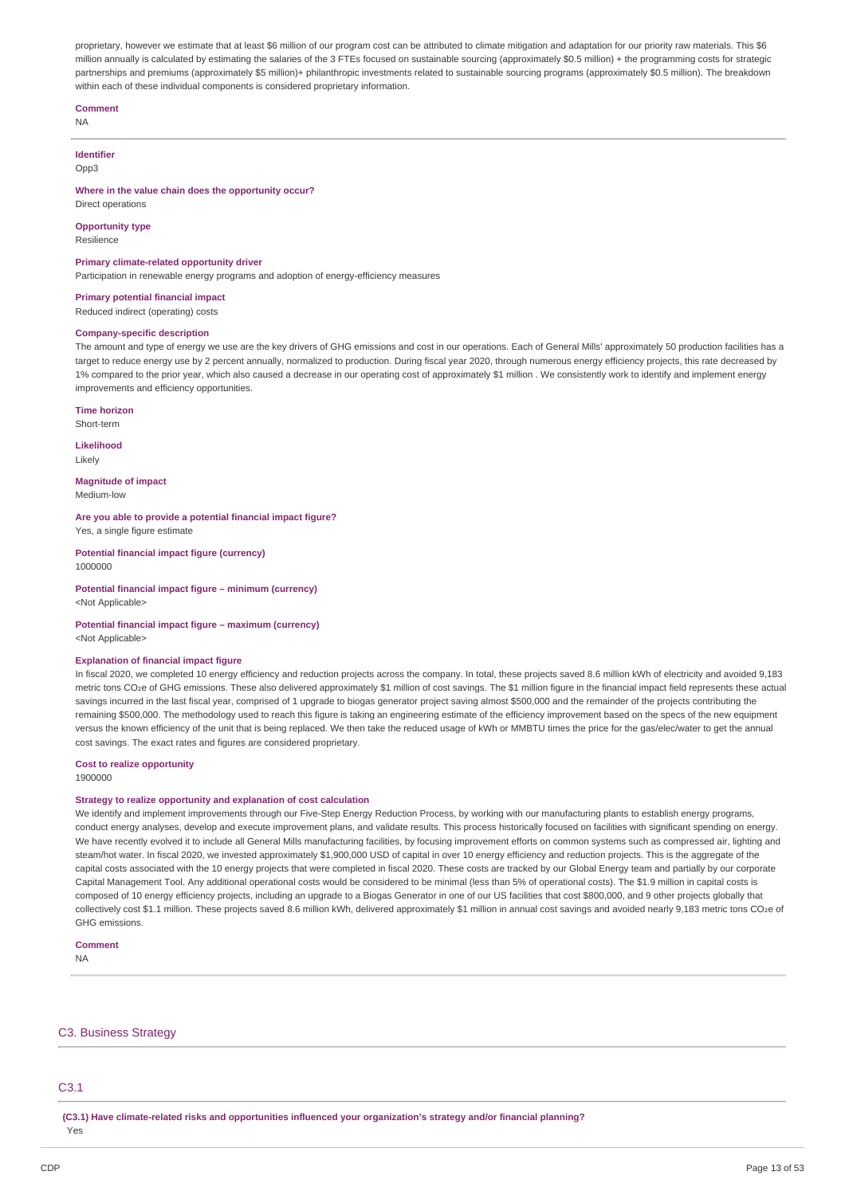proprietary, however we estimate that at least \$6 million of our program cost can be attributed to climate mitigation and adaptation for our priority raw materials. This \$6 million annually is calculated by estimating the salaries of the 3 FTEs focused on sustainable sourcing (approximately \$0.5 million) + the programming costs for strategic partnerships and premiums (approximately \$5 million)+ philanthropic investments related to sustainable sourcing programs (approximately \$0.5 million). The breakdown within each of these individual components is considered proprietary information.

#### **Comment**

NA

# **Identifier**

 $Onn3$ 

#### **Where in the value chain does the opportunity occur?** Direct operations

**Opportunity type**

Resilience

### **Primary climate-related opportunity driver**

Participation in renewable energy programs and adoption of energy-efficiency measures

# **Primary potential financial impact**

Reduced indirect (operating) costs

## **Company-specific description**

The amount and type of energy we use are the key drivers of GHG emissions and cost in our operations. Each of General Mills' approximately 50 production facilities has a target to reduce energy use by 2 percent annually, normalized to production. During fiscal year 2020, through numerous energy efficiency projects, this rate decreased by 1% compared to the prior year, which also caused a decrease in our operating cost of approximately \$1 million . We consistently work to identify and implement energy improvements and efficiency opportunities.

**Time horizon** Short-term

**Likelihood** Likely

#### **Magnitude of impact** Medium-low

**Are you able to provide a potential financial impact figure?** Yes, a single figure estimate

**Potential financial impact figure (currency)** 1000000

#### **Potential financial impact figure – minimum (currency)** <Not Applicable>

#### **Potential financial impact figure – maximum (currency)** <Not Applicable>

### **Explanation of financial impact figure**

In fiscal 2020, we completed 10 energy efficiency and reduction projects across the company. In total, these projects saved 8.6 million kWh of electricity and avoided 9,183 metric tons CO2e of GHG emissions. These also delivered approximately \$1 million of cost savings. The \$1 million figure in the financial impact field represents these actual savings incurred in the last fiscal year, comprised of 1 upgrade to biogas generator project saving almost \$500,000 and the remainder of the projects contributing the remaining \$500,000. The methodology used to reach this figure is taking an engineering estimate of the efficiency improvement based on the specs of the new equipment versus the known efficiency of the unit that is being replaced. We then take the reduced usage of kWh or MMBTU times the price for the gas/elec/water to get the annual cost savings. The exact rates and figures are considered proprietary.

#### **Cost to realize opportunity** 1900000

#### **Strategy to realize opportunity and explanation of cost calculation**

We identify and implement improvements through our Five-Step Energy Reduction Process, by working with our manufacturing plants to establish energy programs, conduct energy analyses, develop and execute improvement plans, and validate results. This process historically focused on facilities with significant spending on energy. We have recently evolved it to include all General Mills manufacturing facilities, by focusing improvement efforts on common systems such as compressed air, lighting and steam/hot water. In fiscal 2020, we invested approximately \$1,900,000 USD of capital in over 10 energy efficiency and reduction projects. This is the aggregate of the capital costs associated with the 10 energy projects that were completed in fiscal 2020. These costs are tracked by our Global Energy team and partially by our corporate Capital Management Tool. Any additional operational costs would be considered to be minimal (less than 5% of operational costs). The \$1.9 million in capital costs is composed of 10 energy efficiency projects, including an upgrade to a Biogas Generator in one of our US facilities that cost \$800,000, and 9 other projects globally that collectively cost \$1.1 million. These projects saved 8.6 million kWh, delivered approximately \$1 million in annual cost savings and avoided nearly 9,183 metric tons CO2e of GHG emissions.

### **Comment**

NA

### C3. Business Strategy

### C3.1

**(C3.1) Have climate-related risks and opportunities influenced your organization's strategy and/or financial planning?**

Yes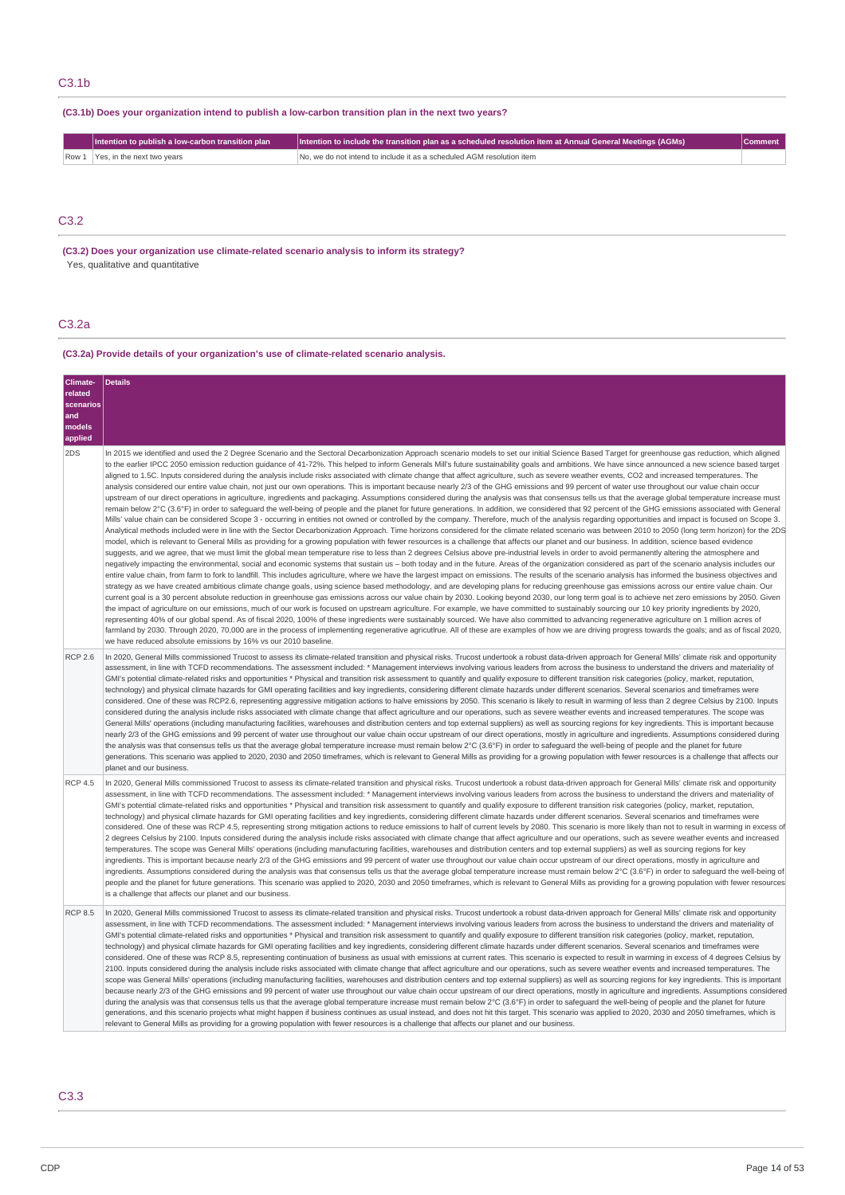### C3.1b

# **(C3.1b) Does your organization intend to publish a low-carbon transition plan in the next two years?**

| I Intention to publish a low-carbon transition plan | $\parallel$  Intention to include the transition plan as a scheduled resolution item at Annual General Meetings (AGMs) $^+$ |  |
|-----------------------------------------------------|-----------------------------------------------------------------------------------------------------------------------------|--|
| Row 1 Yes, in the next two years                    | INo, we do not intend to include it as a scheduled AGM resolution item                                                      |  |

### C3.2

**(C3.2) Does your organization use climate-related scenario analysis to inform its strategy?** Yes, qualitative and quantitative

### C3.2a

### **(C3.2a) Provide details of your organization's use of climate-related scenario analysis.**

| Climate-<br>related<br>scenarios<br>and<br>models<br>applied | Details                                                                                                                                                                                                                                                                                                                                                                                                                                                                                                                                                                                                                                                                                                                                                                                                                                                                                                                                                                                                                                                                                                                                                                                                                                                                                                                                                                                                                                                                                                                                                                                                                                                                                                                                                                                                                                                                                                                                                                                                                                                                                                                                                                                                                                                                                                                                                                                                                                                                                                                                                                                                                                                                                                                                                                                                                                                                                                                                                                                                                                                                                                                                                                                                                                                                                                                                                                                                                                                                                                                                                                             |
|--------------------------------------------------------------|-------------------------------------------------------------------------------------------------------------------------------------------------------------------------------------------------------------------------------------------------------------------------------------------------------------------------------------------------------------------------------------------------------------------------------------------------------------------------------------------------------------------------------------------------------------------------------------------------------------------------------------------------------------------------------------------------------------------------------------------------------------------------------------------------------------------------------------------------------------------------------------------------------------------------------------------------------------------------------------------------------------------------------------------------------------------------------------------------------------------------------------------------------------------------------------------------------------------------------------------------------------------------------------------------------------------------------------------------------------------------------------------------------------------------------------------------------------------------------------------------------------------------------------------------------------------------------------------------------------------------------------------------------------------------------------------------------------------------------------------------------------------------------------------------------------------------------------------------------------------------------------------------------------------------------------------------------------------------------------------------------------------------------------------------------------------------------------------------------------------------------------------------------------------------------------------------------------------------------------------------------------------------------------------------------------------------------------------------------------------------------------------------------------------------------------------------------------------------------------------------------------------------------------------------------------------------------------------------------------------------------------------------------------------------------------------------------------------------------------------------------------------------------------------------------------------------------------------------------------------------------------------------------------------------------------------------------------------------------------------------------------------------------------------------------------------------------------------------------------------------------------------------------------------------------------------------------------------------------------------------------------------------------------------------------------------------------------------------------------------------------------------------------------------------------------------------------------------------------------------------------------------------------------------------------------------------------------|
| 2DS                                                          | In 2015 we identified and used the 2 Degree Scenario and the Sectoral Decarbonization Approach scenario models to set our initial Science Based Target for greenhouse gas reduction, which aligned<br>to the earlier IPCC 2050 emission reduction quidance of 41-72%. This helped to inform Generals Mill's future sustainability goals and ambitions. We have since announced a new science based target<br>aligned to 1.5C. Inputs considered during the analysis include risks associated with climate change that affect agriculture, such as severe weather events, CO2 and increased temperatures. The<br>analysis considered our entire value chain, not just our own operations. This is important because nearly 2/3 of the GHG emissions and 99 percent of water use throughout our value chain occur<br>upstream of our direct operations in agriculture, ingredients and packaging. Assumptions considered during the analysis was that consensus tells us that the average global temperature increase must<br>remain below 2°C (3.6°F) in order to safeguard the well-being of people and the planet for future generations. In addition, we considered that 92 percent of the GHG emissions associated with General<br>Mills' value chain can be considered Scope 3 - occurring in entities not owned or controlled by the company. Therefore, much of the analysis regarding opportunities and impact is focused on Scope 3.<br>Analytical methods included were in line with the Sector Decarbonization Approach. Time horizons considered for the climate related scenario was between 2010 to 2050 (long term horizon) for the 2DS<br>model, which is relevant to General Mills as providing for a growing population with fewer resources is a challenge that affects our planet and our business. In addition, science based evidence<br>suggests, and we agree, that we must limit the global mean temperature rise to less than 2 degrees Celsius above pre-industrial levels in order to avoid permanently altering the atmosphere and<br>negatively impacting the environmental, social and economic systems that sustain us - both today and in the future. Areas of the organization considered as part of the scenario analysis includes our<br>entire value chain, from farm to fork to landfill. This includes agriculture, where we have the largest impact on emissions. The results of the scenario analysis has informed the business objectives and<br>strategy as we have created ambitious climate change goals, using science based methodology, and are developing plans for reducing greenhouse gas emissions across our entire value chain. Our<br>current goal is a 30 percent absolute reduction in greenhouse gas emissions across our value chain by 2030. Looking beyond 2030, our long term goal is to achieve net zero emissions by 2050. Given<br>the impact of agriculture on our emissions, much of our work is focused on upstream agriculture. For example, we have committed to sustainably sourcing our 10 key priority ingredients by 2020,<br>representing 40% of our global spend. As of fiscal 2020, 100% of these ingredients were sustainably sourced. We have also committed to advancing regenerative agriculture on 1 million acres of<br>farmland by 2030. Through 2020, 70,000 are in the process of implementing regenerative agricutlrue. All of these are examples of how we are driving progress towards the goals; and as of fiscal 2020,<br>we have reduced absolute emissions by 16% vs our 2010 baseline. |
| <b>RCP 2.6</b>                                               | In 2020, General Mills commissioned Trucost to assess its climate-related transition and physical risks. Trucost undertook a robust data-driven approach for General Mills' climate risk and opportunity<br>assessment, in line with TCFD recommendations. The assessment included: * Management interviews involving various leaders from across the business to understand the drivers and materiality of<br>GMI's potential climate-related risks and opportunities * Physical and transition risk assessment to quantify and qualify exposure to different transition risk categories (policy, market, reputation,<br>technology) and physical climate hazards for GMI operating facilities and key ingredients, considering different climate hazards under different scenarios. Several scenarios and timeframes were<br>considered. One of these was RCP2.6, representing aggressive mitigation actions to halve emissions by 2050. This scenario is likely to result in warming of less than 2 degree Celsius by 2100. Inputs<br>considered during the analysis include risks associated with climate change that affect agriculture and our operations, such as severe weather events and increased temperatures. The scope was<br>General Mills' operations (including manufacturing facilities, warehouses and distribution centers and top external suppliers) as well as sourcing regions for key ingredients. This is important because<br>nearly 2/3 of the GHG emissions and 99 percent of water use throughout our value chain occur upstream of our direct operations, mostly in agriculture and ingredients. Assumptions considered during<br>the analysis was that consensus tells us that the average global temperature increase must remain below 2°C (3.6°F) in order to safeguard the well-being of people and the planet for future<br>generations. This scenario was applied to 2020, 2030 and 2050 timeframes, which is relevant to General Mills as providing for a growing population with fewer resources is a challenge that affects our<br>planet and our business.                                                                                                                                                                                                                                                                                                                                                                                                                                                                                                                                                                                                                                                                                                                                                                                                                                                                                                                                                                                                                                                                                                                                                                                                                                                                                                                                                                                                                                                                                |
| <b>RCP 4.5</b>                                               | In 2020, General Mills commissioned Trucost to assess its climate-related transition and physical risks. Trucost undertook a robust data-driven approach for General Mills' climate risk and opportunity<br>assessment, in line with TCFD recommendations. The assessment included: * Management interviews involving various leaders from across the business to understand the drivers and materiality of<br>GMI's potential climate-related risks and opportunities * Physical and transition risk assessment to quantify and qualify exposure to different transition risk categories (policy, market, reputation,<br>technology) and physical climate hazards for GMI operating facilities and key ingredients, considering different climate hazards under different scenarios. Several scenarios and timeframes were<br>considered. One of these was RCP 4.5, representing strong mitigation actions to reduce emissions to half of current levels by 2080. This scenario is more likely than not to result in warming in excess of<br>2 degrees Celsius by 2100. Inputs considered during the analysis include risks associated with climate change that affect agriculture and our operations, such as severe weather events and increased<br>temperatures. The scope was General Mills' operations (including manufacturing facilities, warehouses and distribution centers and top external suppliers) as well as sourcing regions for key<br>ingredients. This is important because nearly 2/3 of the GHG emissions and 99 percent of water use throughout our value chain occur upstream of our direct operations, mostly in agriculture and<br>ingredients. Assumptions considered during the analysis was that consensus tells us that the average global temperature increase must remain below 2°C (3.6°F) in order to safequard the well-being of<br>people and the planet for future generations. This scenario was applied to 2020, 2030 and 2050 timeframes, which is relevant to General Mills as providing for a growing population with fewer resources<br>is a challenge that affects our planet and our business.                                                                                                                                                                                                                                                                                                                                                                                                                                                                                                                                                                                                                                                                                                                                                                                                                                                                                                                                                                                                                                                                                                                                                                                                                                                                                                                                                                                                                                         |
| <b>RCP 8.5</b>                                               | In 2020, General Mills commissioned Trucost to assess its climate-related transition and physical risks. Trucost undertook a robust data-driven approach for General Mills' climate risk and opportunity<br>assessment, in line with TCFD recommendations. The assessment included: * Management interviews involving various leaders from across the business to understand the drivers and materiality of<br>GMI's potential climate-related risks and opportunities * Physical and transition risk assessment to quantify and qualify exposure to different transition risk categories (policy, market, reputation,<br>technology) and physical climate hazards for GMI operating facilities and key ingredients, considering different climate hazards under different scenarios. Several scenarios and timeframes were<br>considered. One of these was RCP 8.5, representing continuation of business as usual with emissions at current rates. This scenario is expected to result in warming in excess of 4 degrees Celsius by<br>2100. Inputs considered during the analysis include risks associated with climate change that affect agriculture and our operations, such as severe weather events and increased temperatures. The<br>scope was General Mills' operations (including manufacturing facilities, warehouses and distribution centers and top external suppliers) as well as sourcing regions for key ingredients. This is important<br>because nearly 2/3 of the GHG emissions and 99 percent of water use throughout our value chain occur upstream of our direct operations, mostly in agriculture and ingredients. Assumptions considered<br>during the analysis was that consensus tells us that the average global temperature increase must remain below 2°C (3.6°F) in order to safeguard the well-being of people and the planet for future<br>generations, and this scenario projects what might happen if business continues as usual instead, and does not hit this target. This scenario was applied to 2020, 2030 and 2050 timeframes, which is<br>relevant to General Mills as providing for a growing population with fewer resources is a challenge that affects our planet and our business.                                                                                                                                                                                                                                                                                                                                                                                                                                                                                                                                                                                                                                                                                                                                                                                                                                                                                                                                                                                                                                                                                                                                                                                                                                                                                                                                                |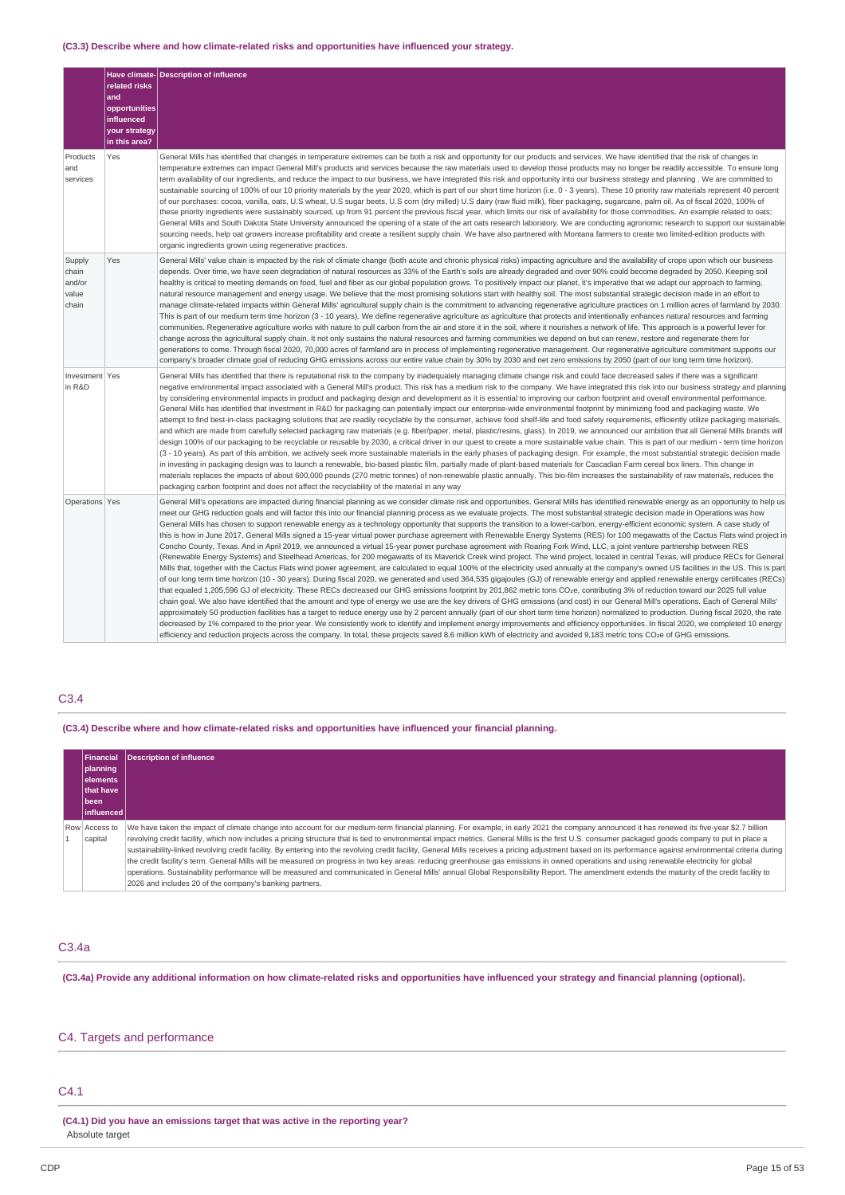### **(C3.3) Describe where and how climate-related risks and opportunities have influenced your strategy.**

| Products<br>and<br>services                 | related risks<br>and<br>opportunities<br>influenced<br>your strategy<br>in this area?<br>Yes | Have climate- Description of influence<br>General Mills has identified that changes in temperature extremes can be both a risk and opportunity for our products and services. We have identified that the risk of changes in<br>temperature extremes can impact General Mill's products and services because the raw materials used to develop those products may no longer be readily accessible. To ensure long<br>term availability of our ingredients, and reduce the impact to our business, we have integrated this risk and opportunity into our business strategy and planning . We are committed to<br>sustainable sourcing of 100% of our 10 priority materials by the year 2020, which is part of our short time horizon (i.e. 0 - 3 years). These 10 priority raw materials represent 40 percent<br>of our purchases: cocoa, vanilla, oats, U.S wheat, U.S sugar beets, U.S corn (dry milled) U.S dairy (raw fluid milk), fiber packaging, sugarcane, palm oil. As of fiscal 2020, 100% of<br>these priority ingredients were sustainably sourced, up from 91 percent the previous fiscal year, which limits our risk of availability for those commodities. An example related to oats;                                                                                                                                                                                                                                                                                                                                                                                                                                                                                                                                                                                                                                                                                                                                                                                                                                                                                                                                                                                                                                                                                                                                                                                                                                                               |
|---------------------------------------------|----------------------------------------------------------------------------------------------|--------------------------------------------------------------------------------------------------------------------------------------------------------------------------------------------------------------------------------------------------------------------------------------------------------------------------------------------------------------------------------------------------------------------------------------------------------------------------------------------------------------------------------------------------------------------------------------------------------------------------------------------------------------------------------------------------------------------------------------------------------------------------------------------------------------------------------------------------------------------------------------------------------------------------------------------------------------------------------------------------------------------------------------------------------------------------------------------------------------------------------------------------------------------------------------------------------------------------------------------------------------------------------------------------------------------------------------------------------------------------------------------------------------------------------------------------------------------------------------------------------------------------------------------------------------------------------------------------------------------------------------------------------------------------------------------------------------------------------------------------------------------------------------------------------------------------------------------------------------------------------------------------------------------------------------------------------------------------------------------------------------------------------------------------------------------------------------------------------------------------------------------------------------------------------------------------------------------------------------------------------------------------------------------------------------------------------------------------------------------------------------------------------------------------------------------------------------------|
|                                             |                                                                                              | General Mills and South Dakota State University announced the opening of a state of the art oats research laboratory. We are conducting agronomic research to support our sustainable<br>sourcing needs, help oat growers increase profitability and create a resilient supply chain. We have also partnered with Montana farmers to create two limited-edition products with<br>organic ingredients grown using regenerative practices.                                                                                                                                                                                                                                                                                                                                                                                                                                                                                                                                                                                                                                                                                                                                                                                                                                                                                                                                                                                                                                                                                                                                                                                                                                                                                                                                                                                                                                                                                                                                                                                                                                                                                                                                                                                                                                                                                                                                                                                                                           |
| Supply<br>chain<br>and/or<br>value<br>chain | Yes                                                                                          | General Mills' value chain is impacted by the risk of climate change (both acute and chronic physical risks) impacting agriculture and the availability of crops upon which our business<br>depends. Over time, we have seen degradation of natural resources as 33% of the Earth's soils are already degraded and over 90% could become degraded by 2050. Keeping soil<br>healthy is critical to meeting demands on food, fuel and fiber as our global population grows. To positively impact our planet, it's imperative that we adapt our approach to farming,<br>natural resource management and energy usage. We believe that the most promising solutions start with healthy soil. The most substantial strategic decision made in an effort to<br>manage climate-related impacts within General Mills' agricultural supply chain is the commitment to advancing regenerative agriculture practices on 1 million acres of farmland by 2030.<br>This is part of our medium term time horizon (3 - 10 years). We define regenerative agriculture as agriculture that protects and intentionally enhances natural resources and farming<br>communities. Regenerative agriculture works with nature to pull carbon from the air and store it in the soil, where it nourishes a network of life. This approach is a powerful lever for<br>change across the agricultural supply chain. It not only sustains the natural resources and farming communities we depend on but can renew, restore and regenerate them for<br>generations to come. Through fiscal 2020, 70,000 acres of farmland are in process of implementing regenerative management. Our regenerative agriculture commitment supports our<br>company's broader climate goal of reducing GHG emissions across our entire value chain by 30% by 2030 and net zero emissions by 2050 (part of our long term time horizon).                                                                                                                                                                                                                                                                                                                                                                                                                                                                                                                                                                            |
| Investment Yes<br>in R&D                    |                                                                                              | General Mills has identified that there is reputational risk to the company by inadequately managing climate change risk and could face decreased sales if there was a significant<br>negative environmental impact associated with a General Mill's product. This risk has a medium risk to the company. We have integrated this risk into our business strategy and planning<br>by considering environmental impacts in product and packaging design and development as it is essential to improving our carbon footprint and overall environmental performance.<br>General Mills has identified that investment in R&D for packaging can potentially impact our enterprise-wide environmental footprint by minimizing food and packaging waste. We<br>attempt to find best-in-class packaging solutions that are readily recyclable by the consumer, achieve food shelf-life and food safety requirements, efficiently utilize packaging materials,<br>and which are made from carefully selected packaging raw materials (e.g. fiber/paper, metal, plastic/resins, glass). In 2019, we announced our ambition that all General Mills brands will<br>design 100% of our packaging to be recyclable or reusable by 2030, a critical driver in our quest to create a more sustainable value chain. This is part of our medium - term time horizon<br>(3 - 10 years). As part of this ambition, we actively seek more sustainable materials in the early phases of packaging design. For example, the most substantial strategic decision made<br>in investing in packaging design was to launch a renewable, bio-based plastic film, partially made of plant-based materials for Cascadian Farm cereal box liners. This change in<br>materials replaces the impacts of about 600,000 pounds (270 metric tonnes) of non-renewable plastic annually. This bio-film increases the sustainability of raw materials, reduces the<br>packaging carbon footprint and does not affect the recyclability of the material in any way                                                                                                                                                                                                                                                                                                                                                                                                                                        |
| Operations Yes                              |                                                                                              | General Mill's operations are impacted during financial planning as we consider climate risk and opportunities. General Mills has identified renewable energy as an opportunity to help us<br>meet our GHG reduction goals and will factor this into our financial planning process as we evaluate projects. The most substantial strategic decision made in Operations was how<br>General Mills has chosen to support renewable energy as a technology opportunity that supports the transition to a lower-carbon, energy-efficient economic system. A case study of<br>this is how in June 2017, General Mills signed a 15-year virtual power purchase agreement with Renewable Energy Systems (RES) for 100 megawatts of the Cactus Flats wind project in<br>Concho County, Texas. And in April 2019, we announced a virtual 15-year power purchase agreement with Roaring Fork Wind, LLC, a joint venture partnership between RES<br>(Renewable Energy Systems) and Steelhead Americas, for 200 megawatts of its Maverick Creek wind project. The wind project, located in central Texas, will produce RECs for General<br>Mills that, together with the Cactus Flats wind power agreement, are calculated to equal 100% of the electricity used annually at the company's owned US facilities in the US. This is part<br>of our long term time horizon (10 - 30 years). During fiscal 2020, we generated and used 364,535 gigajoules (GJ) of renewable energy and applied renewable energy certificates (RECs)<br>that equaled 1,205,596 GJ of electricity. These RECs decreased our GHG emissions footprint by 201,862 metric tons CO2e, contributing 3% of reduction toward our 2025 full value<br>chain goal. We also have identified that the amount and type of energy we use are the key drivers of GHG emissions (and cost) in our General Mill's operations. Each of General Mills'<br>approximately 50 production facilities has a target to reduce energy use by 2 percent annually (part of our short term time horizon) normalized to production. During fiscal 2020, the rate<br>decreased by 1% compared to the prior year. We consistently work to identify and implement energy improvements and efficiency opportunities. In fiscal 2020, we completed 10 energy<br>efficiency and reduction projects across the company. In total, these projects saved 8.6 million kWh of electricity and avoided 9,183 metric tons CO2e of GHG emissions. |

### C3.4

**(C3.4) Describe where and how climate-related risks and opportunities have influenced your financial planning.**

| Financial<br>planning<br>lelements<br><b>that have</b><br> been <br>l influenced l | Description of influence                                                                                                                                                                                                                                                                                                                                                                                                                                                                                                                                                                                                                                                                                                                                                                                                                                                                                                                                                                                                                                                |
|------------------------------------------------------------------------------------|-------------------------------------------------------------------------------------------------------------------------------------------------------------------------------------------------------------------------------------------------------------------------------------------------------------------------------------------------------------------------------------------------------------------------------------------------------------------------------------------------------------------------------------------------------------------------------------------------------------------------------------------------------------------------------------------------------------------------------------------------------------------------------------------------------------------------------------------------------------------------------------------------------------------------------------------------------------------------------------------------------------------------------------------------------------------------|
| Row Access to<br>capital                                                           | We have taken the impact of climate change into account for our medium-term financial planning. For example, in early 2021 the company announced it has renewed its five-year \$2.7 billion<br>revolving credit facility, which now includes a pricing structure that is tied to environmental impact metrics. General Mills is the first U.S. consumer packaged goods company to put in place a<br>sustainability-linked revolving credit facility. By entering into the revolving credit facility, General Mills receives a pricing adjustment based on its performance against environmental criteria during<br>the credit facility's term. General Mills will be measured on progress in two key areas: reducing greenhouse gas emissions in owned operations and using renewable electricity for global<br>operations. Sustainability performance will be measured and communicated in General Mills' annual Global Responsibility Report. The amendment extends the maturity of the credit facility to<br>2026 and includes 20 of the company's banking partners. |

#### C3.4a

(C3.4a) Provide any additional information on how climate-related risks and opportunities have influenced your strategy and financial planning (optional).

# C4. Targets and performance

### C4.1

**(C4.1) Did you have an emissions target that was active in the reporting year?** Absolute target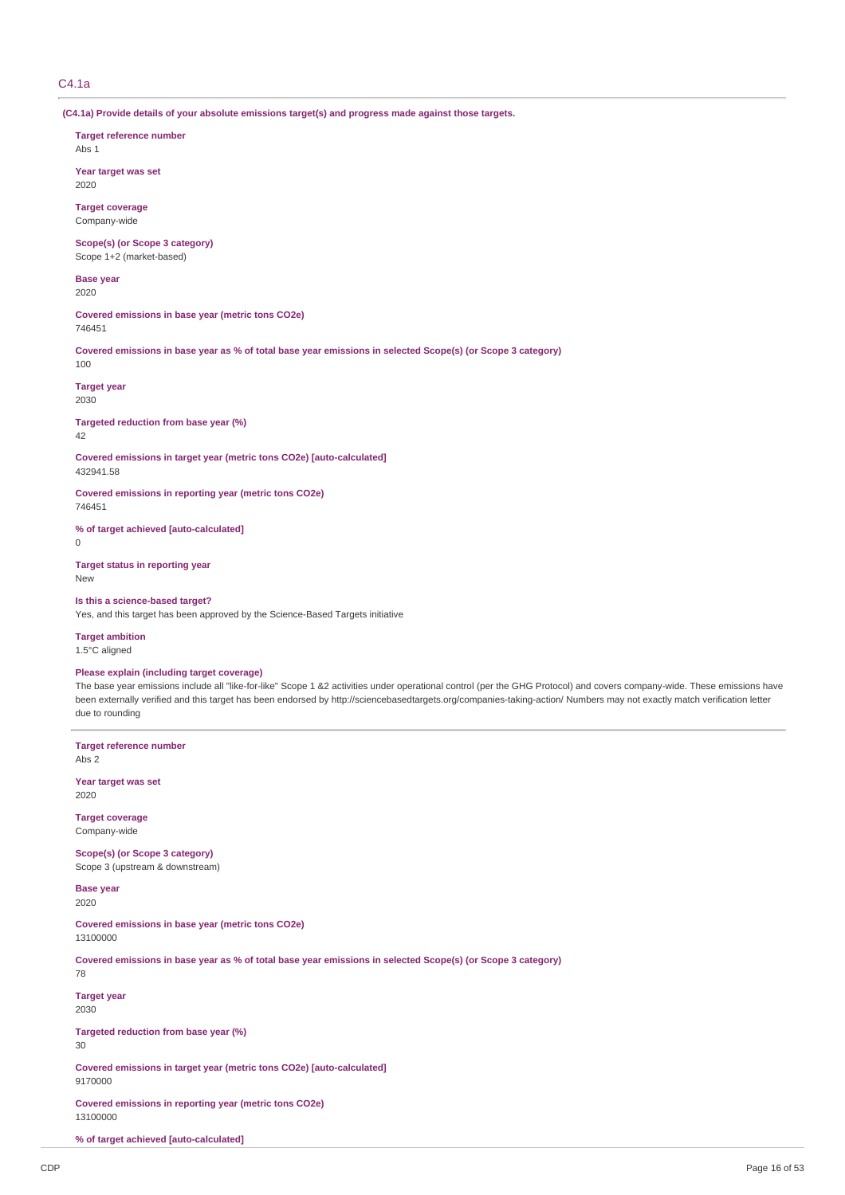### C4.1a

**(C4.1a) Provide details of your absolute emissions target(s) and progress made against those targets.**

**Target reference number**

Abs 1

**Year target was set** 2020

**Target coverage** Company-wide

**Scope(s) (or Scope 3 category)** Scope 1+2 (market-based)

**Base year** 2020

**Covered emissions in base year (metric tons CO2e)** 746451

Covered emissions in base year as % of total base year emissions in selected Scope(s) (or Scope 3 category) 100

**Target year** 2030

**Targeted reduction from base year (%)** 42

**Covered emissions in target year (metric tons CO2e) [auto-calculated]** 432941.58

**Covered emissions in reporting year (metric tons CO2e)** 746451

**% of target achieved [auto-calculated]**  $\Omega$ 

**Target status in reporting year** New

**Is this a science-based target?** Yes, and this target has been approved by the Science-Based Targets initiative

**Target ambition** 1.5°C aligned

**Please explain (including target coverage)**

The base year emissions include all "like-for-like" Scope 1 &2 activities under operational control (per the GHG Protocol) and covers company-wide. These emissions have been externally verified and this target has been endorsed by http://sciencebasedtargets.org/companies-taking-action/ Numbers may not exactly match verification letter due to rounding

**Target reference number** Abs 2

**Year target was set** 2020

**Target coverage** Company-wide

**Scope(s) (or Scope 3 category)** Scope 3 (upstream & downstream)

**Base year**

2020

**Covered emissions in base year (metric tons CO2e)** 13100000

Covered emissions in base year as % of total base year emissions in selected Scope(s) (or Scope 3 category)

78

**Target year** 2030

**Targeted reduction from base year (%)** 30

**Covered emissions in target year (metric tons CO2e) [auto-calculated]** 9170000

**Covered emissions in reporting year (metric tons CO2e)** 13100000

**% of target achieved [auto-calculated]**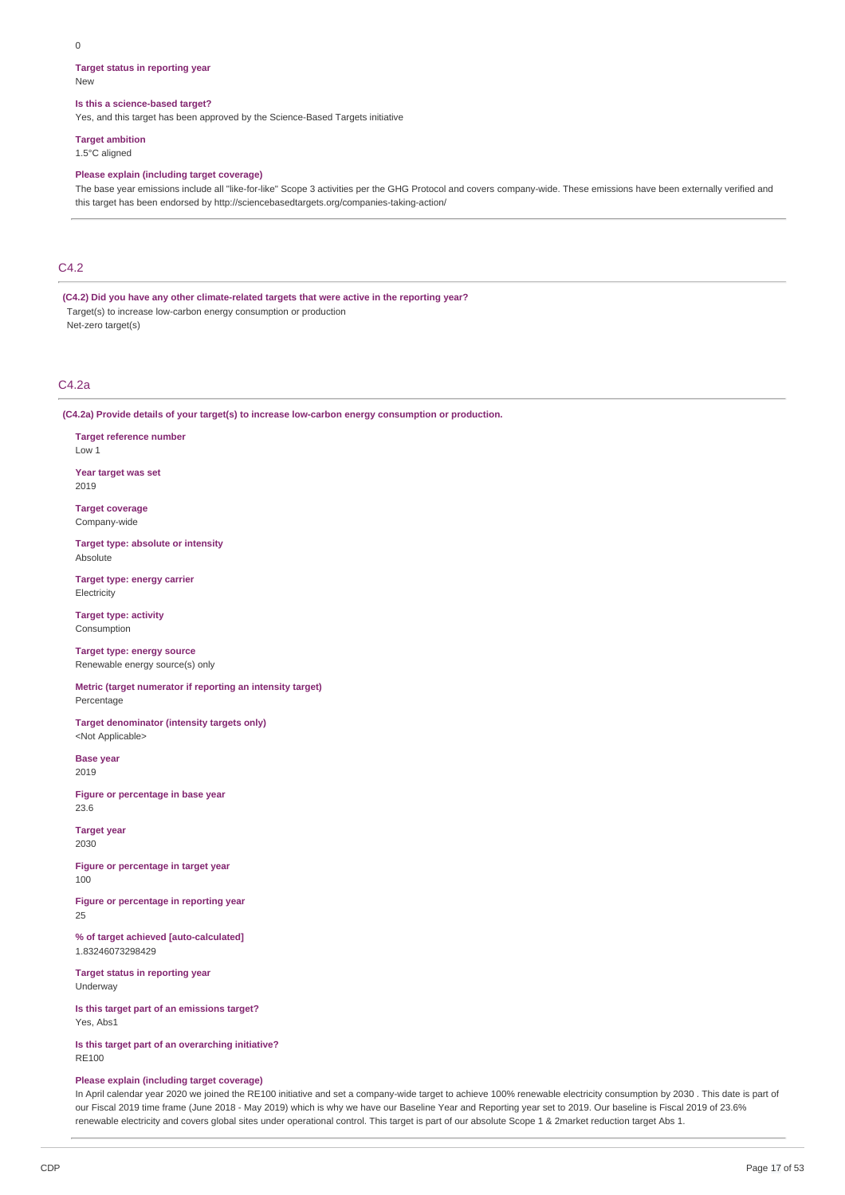### **Target status in reporting year**

New

### **Is this a science-based target?**

Yes, and this target has been approved by the Science-Based Targets initiative

### **Target ambition**

1.5°C aligned

### **Please explain (including target coverage)**

The base year emissions include all "like-for-like" Scope 3 activities per the GHG Protocol and covers company-wide. These emissions have been externally verified and this target has been endorsed by http://sciencebasedtargets.org/companies-taking-action/

### C4.2

**(C4.2) Did you have any other climate-related targets that were active in the reporting year?** Target(s) to increase low-carbon energy consumption or production

Net-zero target(s)

### $C_{4.2a}$

**(C4.2a) Provide details of your target(s) to increase low-carbon energy consumption or production.**

**Target reference number** Low 1

**Year target was set** 2019

**Target coverage** Company-wide

**Target type: absolute or intensity** Absolute

**Target type: energy carrier Electricity** 

**Target type: activity** Consumption

**Target type: energy source** Renewable energy source(s) only

**Metric (target numerator if reporting an intensity target)** Percentage

**Target denominator (intensity targets only)** <Not Applicable>

**Base year** 2019

**Figure or percentage in base year** 23.6

**Target year** 2030

**Figure or percentage in target year** 100

**Figure or percentage in reporting year**  $25$ 

**% of target achieved [auto-calculated]** 1.83246073298429

**Target status in reporting year** Underway

**Is this target part of an emissions target?** Yes, Abs1

**Is this target part of an overarching initiative?** RE100

### **Please explain (including target coverage)**

In April calendar year 2020 we joined the RE100 initiative and set a company-wide target to achieve 100% renewable electricity consumption by 2030 . This date is part of our Fiscal 2019 time frame (June 2018 - May 2019) which is why we have our Baseline Year and Reporting year set to 2019. Our baseline is Fiscal 2019 of 23.6% renewable electricity and covers global sites under operational control. This target is part of our absolute Scope 1 & 2market reduction target Abs 1.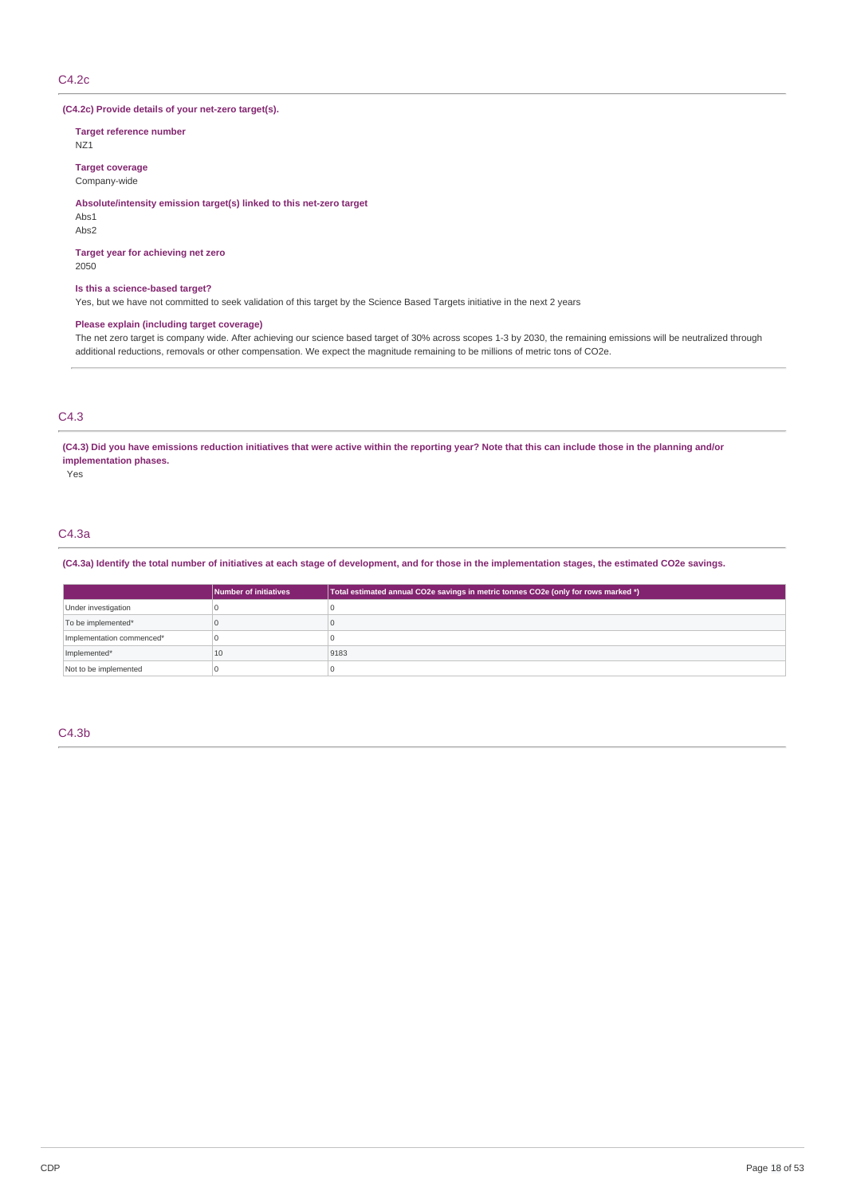### C4.2c

### **(C4.2c) Provide details of your net-zero target(s).**

**Target reference number**

NZ1

**Target coverage** Company-wide

### **Absolute/intensity emission target(s) linked to this net-zero target**

Abs1

Abs2

### **Target year for achieving net zero**

2050

### **Is this a science-based target?**

Yes, but we have not committed to seek validation of this target by the Science Based Targets initiative in the next 2 years

### **Please explain (including target coverage)**

The net zero target is company wide. After achieving our science based target of 30% across scopes 1-3 by 2030, the remaining emissions will be neutralized through additional reductions, removals or other compensation. We expect the magnitude remaining to be millions of metric tons of CO2e.

# C4.3

(C4.3) Did you have emissions reduction initiatives that were active within the reporting year? Note that this can include those in the planning and/or **implementation phases.**

Yes

### C4.3a

### (C4.3a) Identify the total number of initiatives at each stage of development, and for those in the implementation stages, the estimated CO2e savings.

|                           | Number of initiatives | Total estimated annual CO2e savings in metric tonnes CO2e (only for rows marked *) |  |  |
|---------------------------|-----------------------|------------------------------------------------------------------------------------|--|--|
| Under investigation       |                       |                                                                                    |  |  |
| To be implemented*        |                       |                                                                                    |  |  |
| Implementation commenced* |                       |                                                                                    |  |  |
| Implemented*              | 10                    | 9183                                                                               |  |  |
| Not to be implemented     |                       |                                                                                    |  |  |

C4.3b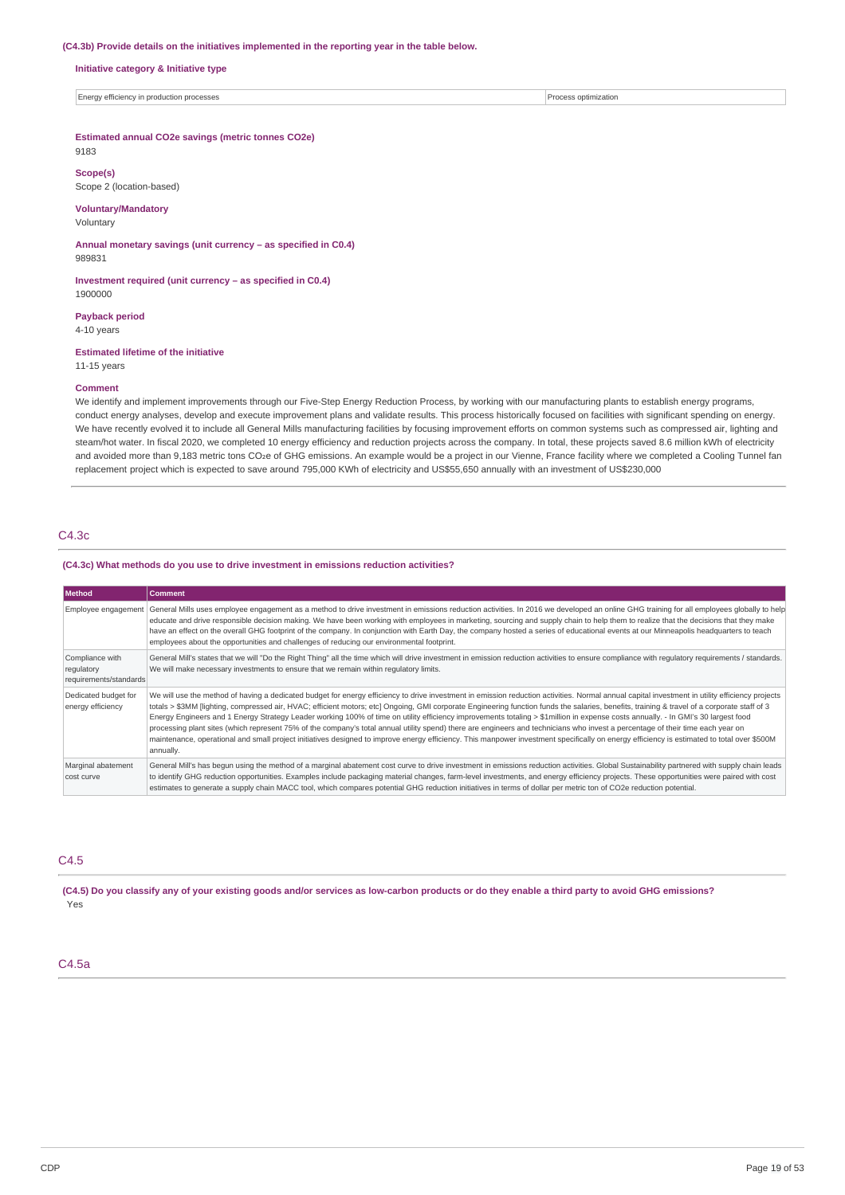#### **(C4.3b) Provide details on the initiatives implemented in the reporting year in the table below.**

**Initiative category & Initiative type**

Energy efficiency in production processes Process optimization

### **Estimated annual CO2e savings (metric tonnes CO2e)**

# 9183

**Scope(s)** Scope 2 (location-based)

### **Voluntary/Mandatory**

Voluntary

**Annual monetary savings (unit currency – as specified in C0.4)** 989831

**Investment required (unit currency – as specified in C0.4)** 1900000

**Payback period**

4-10 years

### **Estimated lifetime of the initiative**

# 11-15 years

#### **Comment**

We identify and implement improvements through our Five-Step Energy Reduction Process, by working with our manufacturing plants to establish energy programs, conduct energy analyses, develop and execute improvement plans and validate results. This process historically focused on facilities with significant spending on energy. We have recently evolved it to include all General Mills manufacturing facilities by focusing improvement efforts on common systems such as compressed air, lighting and steam/hot water. In fiscal 2020, we completed 10 energy efficiency and reduction projects across the company. In total, these projects saved 8.6 million kWh of electricity and avoided more than 9,183 metric tons CO2e of GHG emissions. An example would be a project in our Vienne, France facility where we completed a Cooling Tunnel fan replacement project which is expected to save around 795,000 KWh of electricity and US\$55,650 annually with an investment of US\$230,000

### C4.3c

### **(C4.3c) What methods do you use to drive investment in emissions reduction activities?**

| Method                                                  | <b>Comment</b>                                                                                                                                                                                                                                                                                                                                                                                                                                                                                                                                                                                                                                                                                                                                                                                                                                                                                                                                                                     |
|---------------------------------------------------------|------------------------------------------------------------------------------------------------------------------------------------------------------------------------------------------------------------------------------------------------------------------------------------------------------------------------------------------------------------------------------------------------------------------------------------------------------------------------------------------------------------------------------------------------------------------------------------------------------------------------------------------------------------------------------------------------------------------------------------------------------------------------------------------------------------------------------------------------------------------------------------------------------------------------------------------------------------------------------------|
|                                                         | Employee engagement   General Mills uses employee engagement as a method to drive investment in emissions reduction activities. In 2016 we developed an online GHG training for all employees globally to help<br>educate and drive responsible decision making. We have been working with employees in marketing, sourcing and supply chain to help them to realize that the decisions that they make<br>have an effect on the overall GHG footprint of the company. In conjunction with Earth Day, the company hosted a series of educational events at our Minneapolis headquarters to teach<br>employees about the opportunities and challenges of reducing our environmental footprint.                                                                                                                                                                                                                                                                                       |
| Compliance with<br>regulatory<br>requirements/standards | General Mill's states that we will "Do the Right Thing" all the time which will drive investment in emission reduction activities to ensure compliance with requlatory requirements / standards.<br>We will make necessary investments to ensure that we remain within regulatory limits.                                                                                                                                                                                                                                                                                                                                                                                                                                                                                                                                                                                                                                                                                          |
| Dedicated budget for<br>energy efficiency               | We will use the method of having a dedicated budget for energy efficiency to drive investment in emission reduction activities. Normal annual capital investment in utility efficiency projects<br>totals > \$3MM [lighting, compressed air, HVAC; efficient motors; etc] Ongoing, GMI corporate Engineering function funds the salaries, benefits, training & travel of a corporate staff of 3<br>Energy Engineers and 1 Energy Strategy Leader working 100% of time on utility efficiency improvements totaling > \$1million in expense costs annually. - In GMI's 30 largest food<br>processing plant sites (which represent 75% of the company's total annual utility spend) there are engineers and technicians who invest a percentage of their time each year on<br>maintenance, operational and small project initiatives designed to improve energy efficiency. This manpower investment specifically on energy efficiency is estimated to total over \$500M<br>annually. |
| Marginal abatement<br>cost curve                        | General Mill's has begun using the method of a marginal abatement cost curve to drive investment in emissions reduction activities. Global Sustainability partnered with supply chain leads<br>to identify GHG reduction opportunities. Examples include packaging material changes, farm-level investments, and energy efficiency projects. These opportunities were paired with cost<br>estimates to generate a supply chain MACC tool, which compares potential GHG reduction initiatives in terms of dollar per metric ton of CO2e reduction potential.                                                                                                                                                                                                                                                                                                                                                                                                                        |

### C4.5

(C4.5) Do you classify any of your existing goods and/or services as low-carbon products or do they enable a third party to avoid GHG emissions? Yes

### C4.5a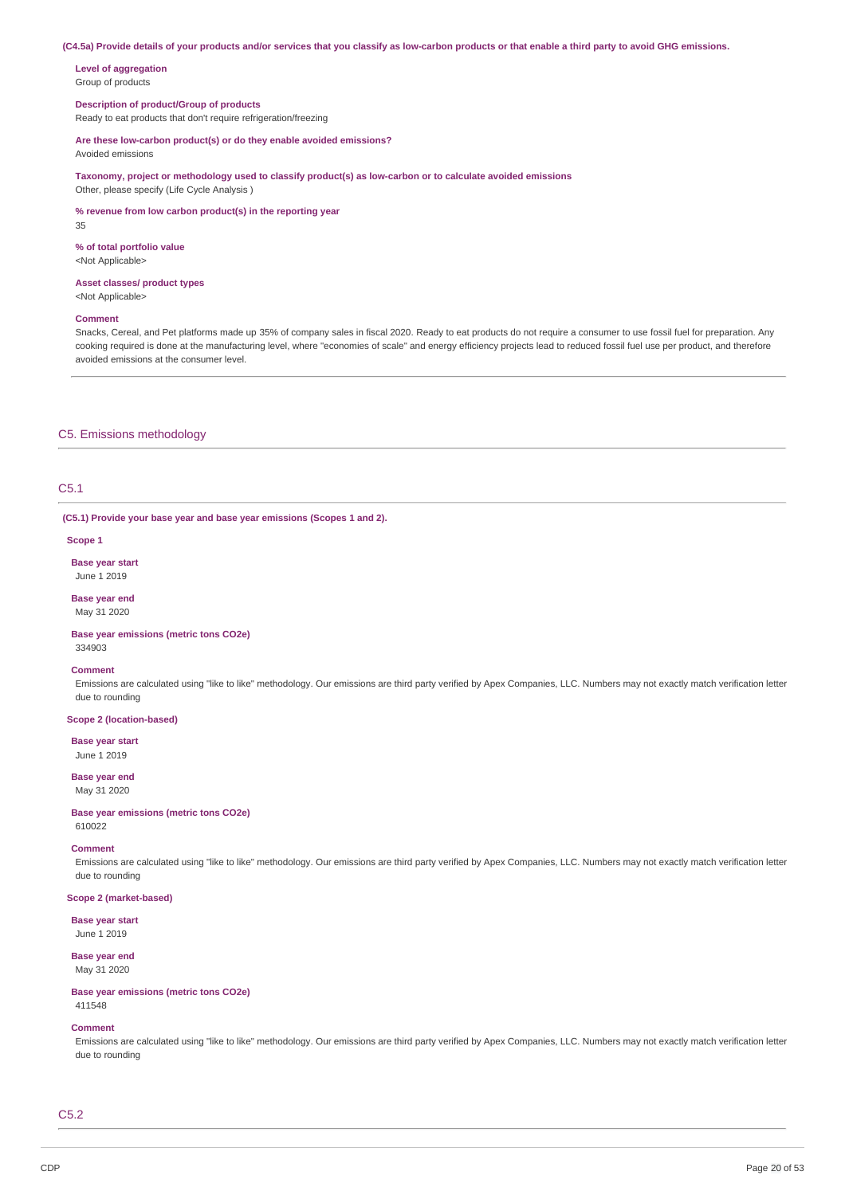(C4.5a) Provide details of your products and/or services that you classify as low-carbon products or that enable a third party to avoid GHG emissions.

**Level of aggregation** Group of products

### **Description of product/Group of products**

Ready to eat products that don't require refrigeration/freezing

#### **Are these low-carbon product(s) or do they enable avoided emissions?**

Avoided emissions

**Taxonomy, project or methodology used to classify product(s) as low-carbon or to calculate avoided emissions** Other, please specify (Life Cycle Analysis )

**% revenue from low carbon product(s) in the reporting year** 35

**% of total portfolio value**

<Not Applicable>

### **Asset classes/ product types**

<Not Applicable>

### **Comment**

Snacks, Cereal, and Pet platforms made up 35% of company sales in fiscal 2020. Ready to eat products do not require a consumer to use fossil fuel for preparation. Any cooking required is done at the manufacturing level, where "economies of scale" and energy efficiency projects lead to reduced fossil fuel use per product, and therefore avoided emissions at the consumer level.

### C5. Emissions methodology

# C5.1

**(C5.1) Provide your base year and base year emissions (Scopes 1 and 2).**

#### **Scope 1**

**Base year start** June 1 2019

#### **Base year end** May 31 2020

**Base year emissions (metric tons CO2e)** 334903

#### **Comment**

Emissions are calculated using "like to like" methodology. Our emissions are third party verified by Apex Companies, LLC. Numbers may not exactly match verification letter due to rounding

### **Scope 2 (location-based)**

**Base year start** June 1 2019

### **Base year end** May 31 2020

**Base year emissions (metric tons CO2e)** 610022

#### **Comment**

Emissions are calculated using "like to like" methodology. Our emissions are third party verified by Apex Companies, LLC. Numbers may not exactly match verification letter due to rounding

#### **Scope 2 (market-based)**

**Base year start** June 1 2019

### **Base year end** May 31 2020

**Base year emissions (metric tons CO2e)** 411548

#### **Comment**

Emissions are calculated using "like to like" methodology. Our emissions are third party verified by Apex Companies, LLC. Numbers may not exactly match verification letter due to rounding

### C5.2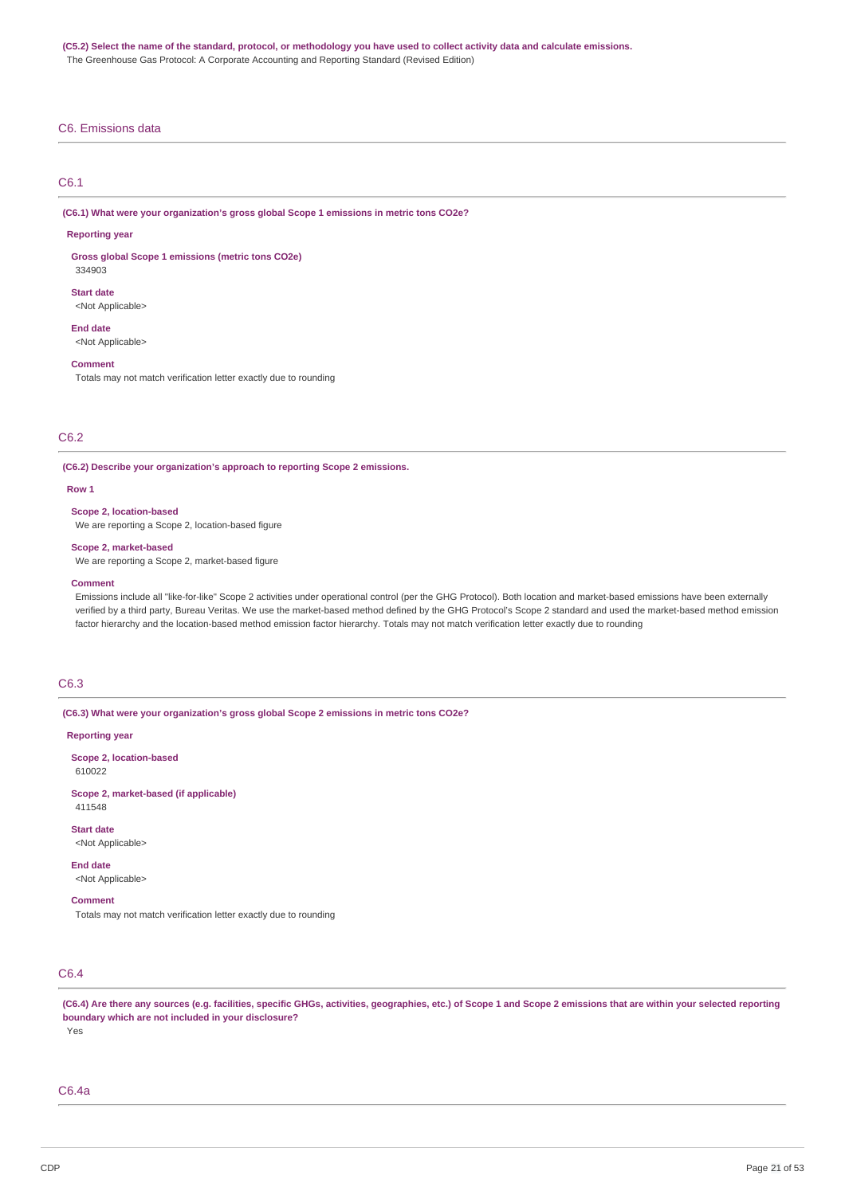### C6. Emissions data

### C6.1

**(C6.1) What were your organization's gross global Scope 1 emissions in metric tons CO2e?**

#### **Reporting year**

**Gross global Scope 1 emissions (metric tons CO2e)** 334903

#### **Start date**

<Not Applicable>

#### **End date**

<Not Applicable>

### **Comment**

Totals may not match verification letter exactly due to rounding

### C6.2

**(C6.2) Describe your organization's approach to reporting Scope 2 emissions.**

#### **Row 1**

#### **Scope 2, location-based**

We are reporting a Scope 2, location-based figure

#### **Scope 2, market-based**

We are reporting a Scope 2, market-based figure

#### **Comment**

Emissions include all "like-for-like" Scope 2 activities under operational control (per the GHG Protocol). Both location and market-based emissions have been externally verified by a third party, Bureau Veritas. We use the market-based method defined by the GHG Protocol's Scope 2 standard and used the market-based method emission factor hierarchy and the location-based method emission factor hierarchy. Totals may not match verification letter exactly due to rounding

### C6.3

**(C6.3) What were your organization's gross global Scope 2 emissions in metric tons CO2e?**

#### **Reporting year**

**Scope 2, location-based** 610022

**Scope 2, market-based (if applicable)** 411548

**Start date** <Not Applicable>

**End date** <Not Applicable>

#### **Comment**

Totals may not match verification letter exactly due to rounding

# C6.4

(C6.4) Are there any sources (e.g. facilities, specific GHGs, activities, geographies, etc.) of Scope 1 and Scope 2 emissions that are within your selected reporting **boundary which are not included in your disclosure?** Yes

### C6.4a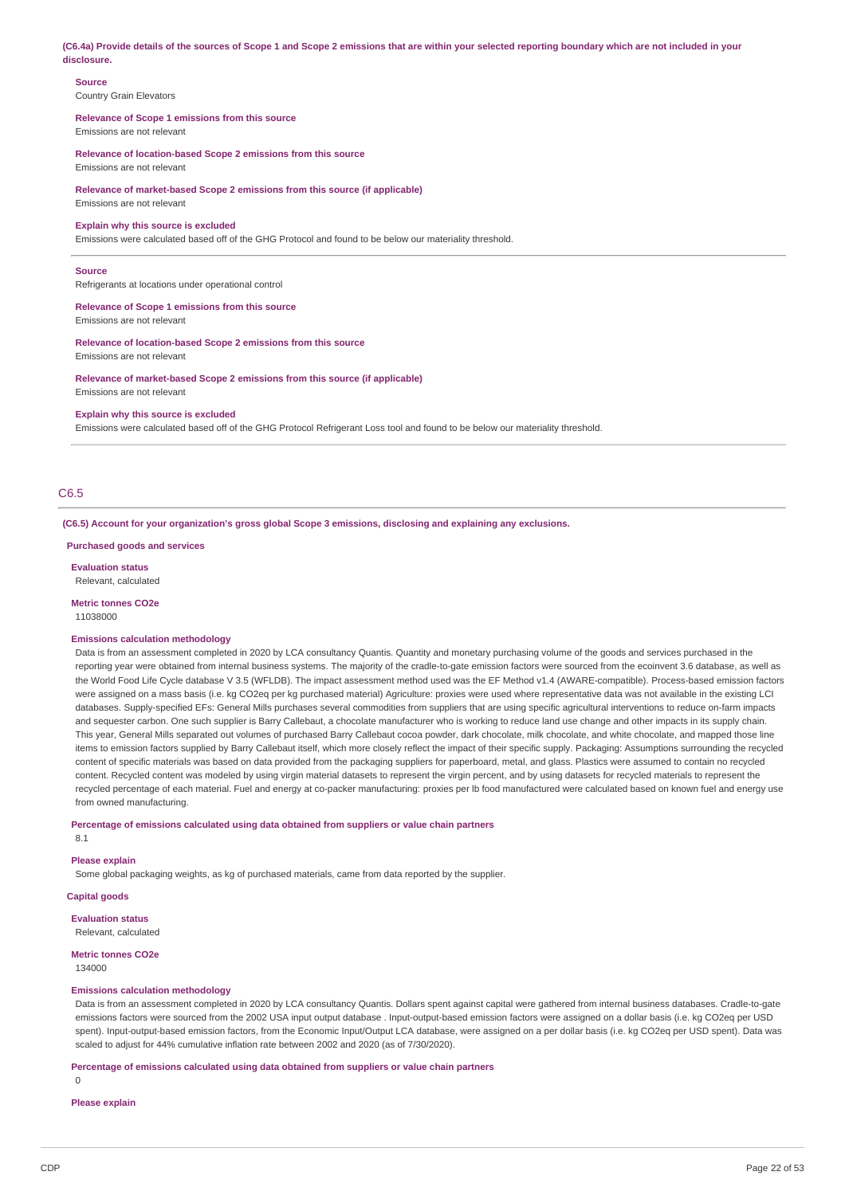(C6.4a) Provide details of the sources of Scope 1 and Scope 2 emissions that are within your selected reporting boundary which are not included in your **disclosure.**

### **Source**

Country Grain Elevators

#### **Relevance of Scope 1 emissions from this source** Emissions are not relevant

**Relevance of location-based Scope 2 emissions from this source** Emissions are not relevant

**Relevance of market-based Scope 2 emissions from this source (if applicable)** Emissions are not relevant

#### **Explain why this source is excluded**

Emissions were calculated based off of the GHG Protocol and found to be below our materiality threshold.

#### **Source**

Refrigerants at locations under operational control

**Relevance of Scope 1 emissions from this source**

Emissions are not relevant

**Relevance of location-based Scope 2 emissions from this source**

Emissions are not relevant

**Relevance of market-based Scope 2 emissions from this source (if applicable)** Emissions are not relevant

#### **Explain why this source is excluded**

Emissions were calculated based off of the GHG Protocol Refrigerant Loss tool and found to be below our materiality threshold.

### C6.5

**(C6.5) Account for your organization's gross global Scope 3 emissions, disclosing and explaining any exclusions.**

**Purchased goods and services**

**Evaluation status** Relevant, calculated

**Metric tonnes CO2e**

11038000

#### **Emissions calculation methodology**

Data is from an assessment completed in 2020 by LCA consultancy Quantis. Quantity and monetary purchasing volume of the goods and services purchased in the reporting year were obtained from internal business systems. The majority of the cradle-to-gate emission factors were sourced from the ecoinvent 3.6 database, as well as the World Food Life Cycle database V 3.5 (WFLDB). The impact assessment method used was the EF Method v1.4 (AWARE-compatible). Process-based emission factors were assigned on a mass basis (i.e. kg CO2eq per kg purchased material) Agriculture: proxies were used where representative data was not available in the existing LCI databases. Supply-specified EFs: General Mills purchases several commodities from suppliers that are using specific agricultural interventions to reduce on-farm impacts and sequester carbon. One such supplier is Barry Callebaut, a chocolate manufacturer who is working to reduce land use change and other impacts in its supply chain. This year, General Mills separated out volumes of purchased Barry Callebaut cocoa powder, dark chocolate, milk chocolate, and white chocolate, and mapped those line items to emission factors supplied by Barry Callebaut itself, which more closely reflect the impact of their specific supply. Packaging: Assumptions surrounding the recycled content of specific materials was based on data provided from the packaging suppliers for paperboard, metal, and glass. Plastics were assumed to contain no recycled content. Recycled content was modeled by using virgin material datasets to represent the virgin percent, and by using datasets for recycled materials to represent the recycled percentage of each material. Fuel and energy at co-packer manufacturing: proxies per lb food manufactured were calculated based on known fuel and energy use from owned manufacturing.

#### **Percentage of emissions calculated using data obtained from suppliers or value chain partners**

8.1

### **Please explain**

Some global packaging weights, as kg of purchased materials, came from data reported by the supplier.

### **Capital goods**

**Evaluation status** Relevant, calculated

# **Metric tonnes CO2e**

134000

#### **Emissions calculation methodology**

Data is from an assessment completed in 2020 by LCA consultancy Quantis. Dollars spent against capital were gathered from internal business databases. Cradle-to-gate emissions factors were sourced from the 2002 USA input output database . Input-output-based emission factors were assigned on a dollar basis (i.e. kg CO2eg per USD spent). Input-output-based emission factors, from the Economic Input/Output LCA database, were assigned on a per dollar basis (i.e. kg CO2eq per USD spent). Data was scaled to adjust for 44% cumulative inflation rate between 2002 and 2020 (as of 7/30/2020).

#### **Percentage of emissions calculated using data obtained from suppliers or value chain partners**

 $\Omega$ 

#### **Please explain**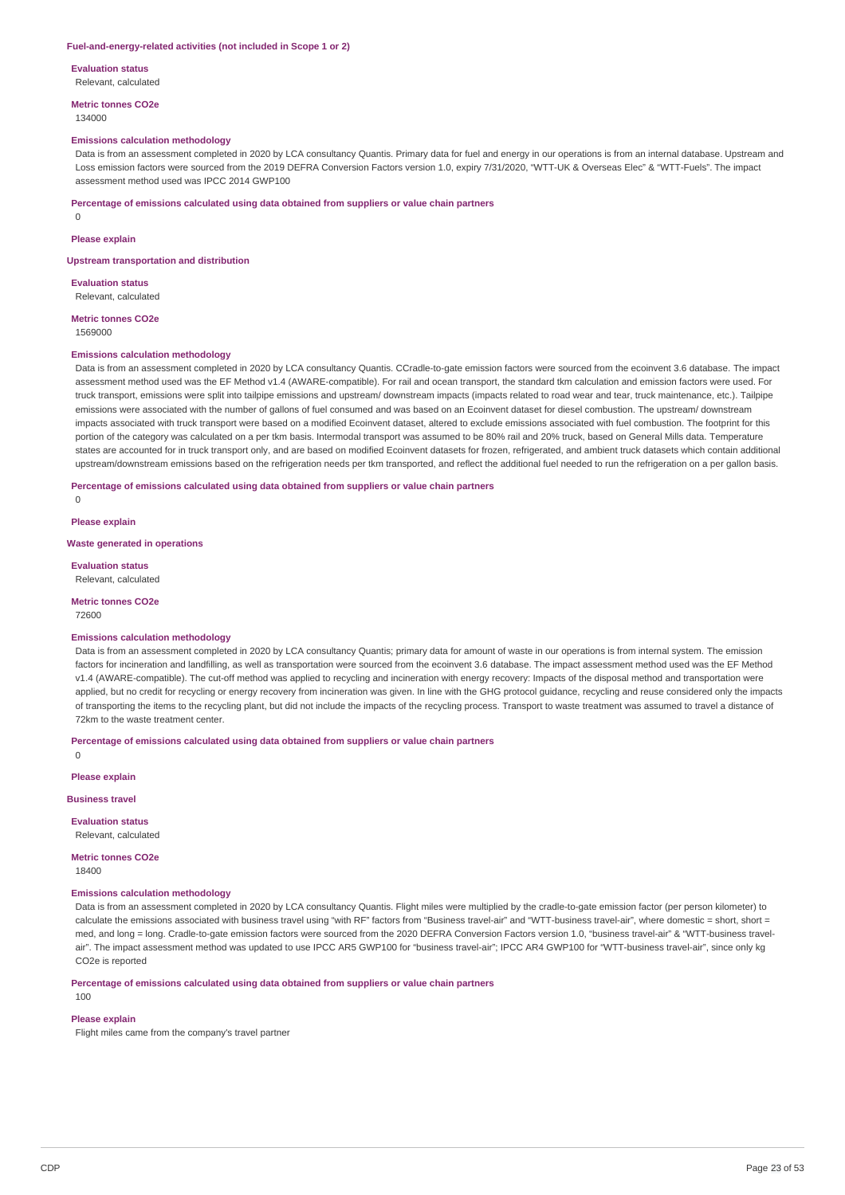#### **Fuel-and-energy-related activities (not included in Scope 1 or 2)**

**Evaluation status** Relevant, calculated

**Metric tonnes CO2e** 134000

#### **Emissions calculation methodology**

Data is from an assessment completed in 2020 by LCA consultancy Quantis. Primary data for fuel and energy in our operations is from an internal database. Upstream and Loss emission factors were sourced from the 2019 DEFRA Conversion Factors version 1.0, expiry 7/31/2020, "WTT-UK & Overseas Elec" & "WTT-Fuels". The impact assessment method used was IPCC 2014 GWP100

**Percentage of emissions calculated using data obtained from suppliers or value chain partners**

 $\Omega$ 

### **Please explain**

**Upstream transportation and distribution**

**Evaluation status**

Relevant, calculated

**Metric tonnes CO2e** 1569000

#### **Emissions calculation methodology**

Data is from an assessment completed in 2020 by LCA consultancy Ouantis. CCradle-to-gate emission factors were sourced from the ecoinvent 3.6 database. The impact assessment method used was the EF Method v1.4 (AWARE-compatible). For rail and ocean transport, the standard tkm calculation and emission factors were used. For truck transport, emissions were split into tailpipe emissions and upstream/ downstream impacts (impacts related to road wear and tear, truck maintenance, etc.). Tailpipe emissions were associated with the number of gallons of fuel consumed and was based on an Ecoinvent dataset for diesel combustion. The upstream/ downstream impacts associated with truck transport were based on a modified Ecoinvent dataset, altered to exclude emissions associated with fuel combustion. The footprint for this portion of the category was calculated on a per tkm basis. Intermodal transport was assumed to be 80% rail and 20% truck, based on General Mills data. Temperature states are accounted for in truck transport only, and are based on modified Ecoinvent datasets for frozen, refrigerated, and ambient truck datasets which contain additional upstream/downstream emissions based on the refrigeration needs per tkm transported, and reflect the additional fuel needed to run the refrigeration on a per gallon basis.

#### **Percentage of emissions calculated using data obtained from suppliers or value chain partners**

**Please explain**

 $\Omega$ 

**Waste generated in operations**

**Evaluation status**

Relevant, calculated

**Metric tonnes CO2e** 72600

#### **Emissions calculation methodology**

Data is from an assessment completed in 2020 by LCA consultancy Quantis; primary data for amount of waste in our operations is from internal system. The emission factors for incineration and landfilling, as well as transportation were sourced from the ecoinvent 3.6 database. The impact assessment method used was the EF Method v1.4 (AWARE-compatible). The cut-off method was applied to recycling and incineration with energy recovery: Impacts of the disposal method and transportation were applied, but no credit for recycling or energy recovery from incineration was given. In line with the GHG protocol guidance, recycling and reuse considered only the impacts of transporting the items to the recycling plant, but did not include the impacts of the recycling process. Transport to waste treatment was assumed to travel a distance of 72km to the waste treatment center.

**Percentage of emissions calculated using data obtained from suppliers or value chain partners**

 $\Omega$ 

#### **Please explain**

**Business travel**

### **Evaluation status**

Relevant, calculated

### **Metric tonnes CO2e**

18400

### **Emissions calculation methodology**

Data is from an assessment completed in 2020 by LCA consultancy Quantis. Flight miles were multiplied by the cradle-to-gate emission factor (per person kilometer) to calculate the emissions associated with business travel using "with RF" factors from "Business travel-air" and "WTT-business travel-air", where domestic = short, short = med, and long = long. Cradle-to-gate emission factors were sourced from the 2020 DEFRA Conversion Factors version 1.0, "business travel-air" & "WTT-business travelair". The impact assessment method was updated to use IPCC AR5 GWP100 for "business travel-air"; IPCC AR4 GWP100 for "WTT-business travel-air", since only kg CO2e is reported

**Percentage of emissions calculated using data obtained from suppliers or value chain partners**

# **Please explain**

100

Flight miles came from the company's travel partner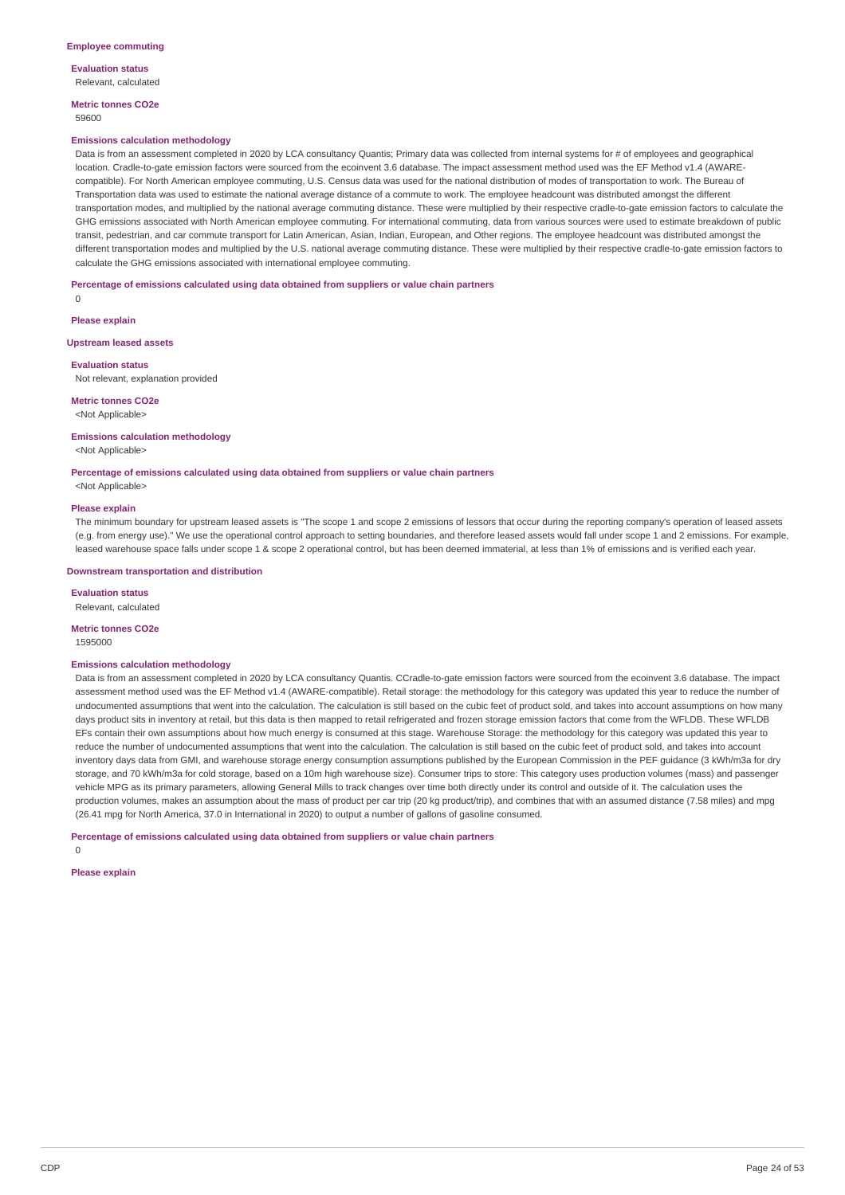**Evaluation status** Relevant, calculated

**Metric tonnes CO2e** 59600

#### **Emissions calculation methodology**

Data is from an assessment completed in 2020 by LCA consultancy Quantis; Primary data was collected from internal systems for # of employees and geographical location. Cradle-to-gate emission factors were sourced from the ecoinvent 3.6 database. The impact assessment method used was the EF Method v1.4 (AWAREcompatible). For North American employee commuting, U.S. Census data was used for the national distribution of modes of transportation to work. The Bureau of Transportation data was used to estimate the national average distance of a commute to work. The employee headcount was distributed amongst the different transportation modes, and multiplied by the national average commuting distance. These were multiplied by their respective cradle-to-gate emission factors to calculate the GHG emissions associated with North American employee commuting. For international commuting, data from various sources were used to estimate breakdown of public transit, pedestrian, and car commute transport for Latin American, Asian, Indian, European, and Other regions. The employee headcount was distributed amongst the different transportation modes and multiplied by the U.S. national average commuting distance. These were multiplied by their respective cradle-to-gate emission factors to calculate the GHG emissions associated with international employee commuting.

#### **Percentage of emissions calculated using data obtained from suppliers or value chain partners**

**Please explain**

0

#### **Upstream leased assets**

#### **Evaluation status**

Not relevant, explanation provided

### **Metric tonnes CO2e**

<Not Applicable>

### **Emissions calculation methodology**

<Not Applicable>

### **Percentage of emissions calculated using data obtained from suppliers or value chain partners**

<Not Applicable>

#### **Please explain**

The minimum boundary for upstream leased assets is "The scope 1 and scope 2 emissions of lessors that occur during the reporting company's operation of leased assets (e.g. from energy use)." We use the operational control approach to setting boundaries, and therefore leased assets would fall under scope 1 and 2 emissions. For example, leased warehouse space falls under scope 1 & scope 2 operational control, but has been deemed immaterial, at less than 1% of emissions and is verified each year.

#### **Downstream transportation and distribution**

**Evaluation status** Relevant, calculated

### **Metric tonnes CO2e**

1595000

#### **Emissions calculation methodology**

Data is from an assessment completed in 2020 by LCA consultancy Quantis. CCradle-to-gate emission factors were sourced from the ecoinvent 3.6 database. The impact assessment method used was the EF Method v1.4 (AWARE-compatible). Retail storage: the methodology for this category was updated this year to reduce the number of undocumented assumptions that went into the calculation. The calculation is still based on the cubic feet of product sold, and takes into account assumptions on how many days product sits in inventory at retail, but this data is then mapped to retail refrigerated and frozen storage emission factors that come from the WFLDB. These WFLDB EFs contain their own assumptions about how much energy is consumed at this stage. Warehouse Storage: the methodology for this category was updated this year to reduce the number of undocumented assumptions that went into the calculation. The calculation is still based on the cubic feet of product sold, and takes into account inventory days data from GMI, and warehouse storage energy consumption assumptions published by the European Commission in the PEF guidance (3 kWh/m3a for dry storage, and 70 kWh/m3a for cold storage, based on a 10m high warehouse size). Consumer trips to store: This category uses production volumes (mass) and passenger vehicle MPG as its primary parameters, allowing General Mills to track changes over time both directly under its control and outside of it. The calculation uses the production volumes, makes an assumption about the mass of product per car trip (20 kg product/trip), and combines that with an assumed distance (7.58 miles) and mpg (26.41 mpg for North America, 37.0 in International in 2020) to output a number of gallons of gasoline consumed.

**Percentage of emissions calculated using data obtained from suppliers or value chain partners**

 $\Omega$ 

### **Please explain**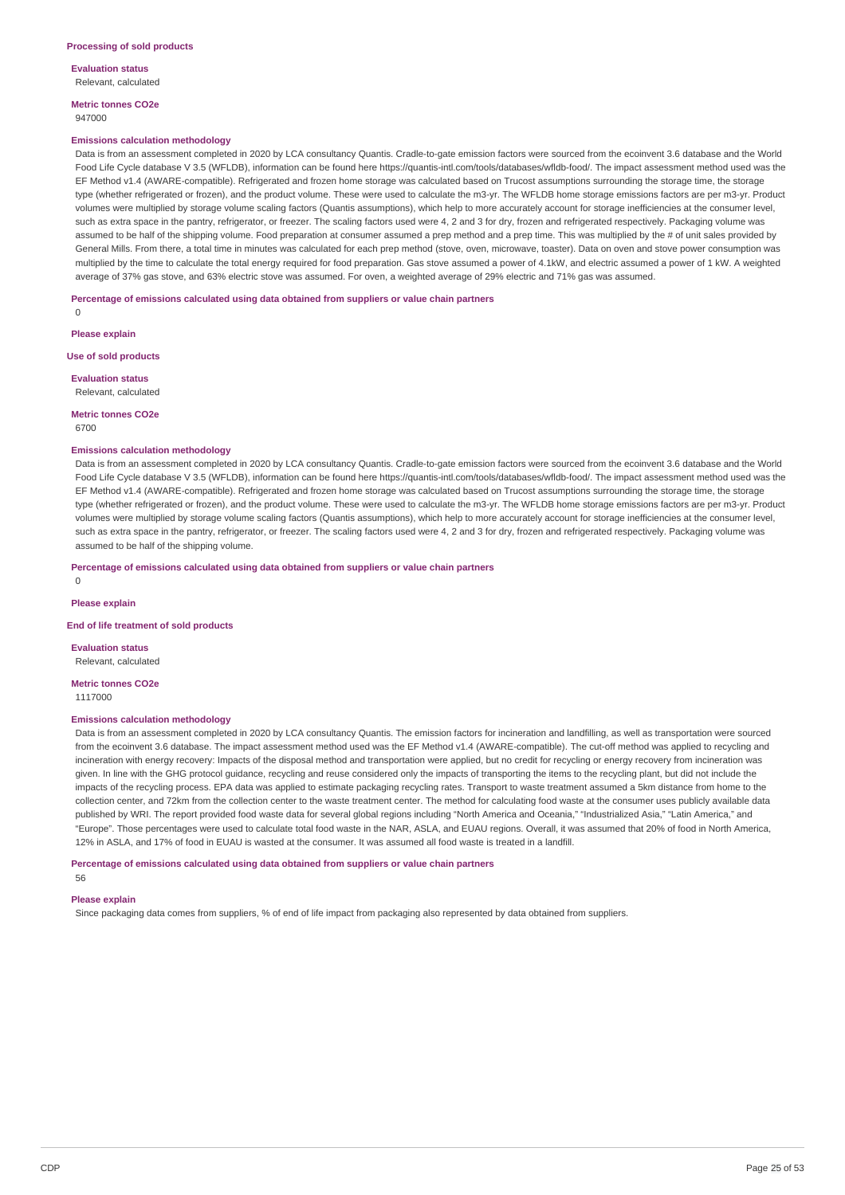**Evaluation status** Relevant, calculated

**Metric tonnes CO2e** 947000

#### **Emissions calculation methodology**

Data is from an assessment completed in 2020 by LCA consultancy Quantis. Cradle-to-gate emission factors were sourced from the ecoinvent 3.6 database and the World Food Life Cycle database V 3.5 (WFLDB), information can be found here https://quantis-intl.com/tools/databases/wfldb-food/. The impact assessment method used was the EF Method v1.4 (AWARE-compatible). Refrigerated and frozen home storage was calculated based on Trucost assumptions surrounding the storage time, the storage type (whether refrigerated or frozen), and the product volume. These were used to calculate the m3-yr. The WFLDB home storage emissions factors are per m3-yr. Product volumes were multiplied by storage volume scaling factors (Quantis assumptions), which help to more accurately account for storage inefficiencies at the consumer level, such as extra space in the pantry, refrigerator, or freezer. The scaling factors used were 4, 2 and 3 for dry, frozen and refrigerated respectively. Packaging volume was assumed to be half of the shipping volume. Food preparation at consumer assumed a prep method and a prep time. This was multiplied by the # of unit sales provided by General Mills. From there, a total time in minutes was calculated for each prep method (stove, oven, microwave, toaster). Data on oven and stove power consumption was multiplied by the time to calculate the total energy required for food preparation. Gas stove assumed a power of 4.1kW, and electric assumed a power of 1 kW. A weighted average of 37% gas stove, and 63% electric stove was assumed. For oven, a weighted average of 29% electric and 71% gas was assumed.

**Percentage of emissions calculated using data obtained from suppliers or value chain partners**

 $\Omega$ 

**Please explain**

**Use of sold products**

**Evaluation status** Relevant, calculated

**Metric tonnes CO2e** 6700

#### **Emissions calculation methodology**

Data is from an assessment completed in 2020 by LCA consultancy Quantis. Cradle-to-gate emission factors were sourced from the ecoinvent 3.6 database and the World Food Life Cycle database V 3.5 (WFLDB), information can be found here https://quantis-intl.com/tools/databases/wfldb-food/. The impact assessment method used was the EF Method v1.4 (AWARE-compatible). Refrigerated and frozen home storage was calculated based on Trucost assumptions surrounding the storage time, the storage type (whether refrigerated or frozen), and the product volume. These were used to calculate the m3-yr. The WFLDB home storage emissions factors are per m3-yr. Product volumes were multiplied by storage volume scaling factors (Quantis assumptions), which help to more accurately account for storage inefficiencies at the consumer level, such as extra space in the pantry, refrigerator, or freezer. The scaling factors used were 4, 2 and 3 for dry, frozen and refrigerated respectively. Packaging volume was assumed to be half of the shipping volume.

**Percentage of emissions calculated using data obtained from suppliers or value chain partners**

0

**Please explain**

**End of life treatment of sold products**

**Evaluation status** Relevant, calculated

**Metric tonnes CO2e** 1117000

#### **Emissions calculation methodology**

Data is from an assessment completed in 2020 by LCA consultancy Quantis. The emission factors for incineration and landfilling, as well as transportation were sourced from the ecoinvent 3.6 database. The impact assessment method used was the EF Method v1.4 (AWARE-compatible). The cut-off method was applied to recycling and incineration with energy recovery: Impacts of the disposal method and transportation were applied, but no credit for recycling or energy recovery from incineration was given. In line with the GHG protocol guidance, recycling and reuse considered only the impacts of transporting the items to the recycling plant, but did not include the impacts of the recycling process. EPA data was applied to estimate packaging recycling rates. Transport to waste treatment assumed a 5km distance from home to the collection center, and 72km from the collection center to the waste treatment center. The method for calculating food waste at the consumer uses publicly available data published by WRI. The report provided food waste data for several global regions including "North America and Oceania," "Industrialized Asia," "Latin America," and "Europe". Those percentages were used to calculate total food waste in the NAR, ASLA, and EUAU regions. Overall, it was assumed that 20% of food in North America, 12% in ASLA, and 17% of food in EUAU is wasted at the consumer. It was assumed all food waste is treated in a landfill.

**Percentage of emissions calculated using data obtained from suppliers or value chain partners**

56

### **Please explain**

Since packaging data comes from suppliers, % of end of life impact from packaging also represented by data obtained from suppliers.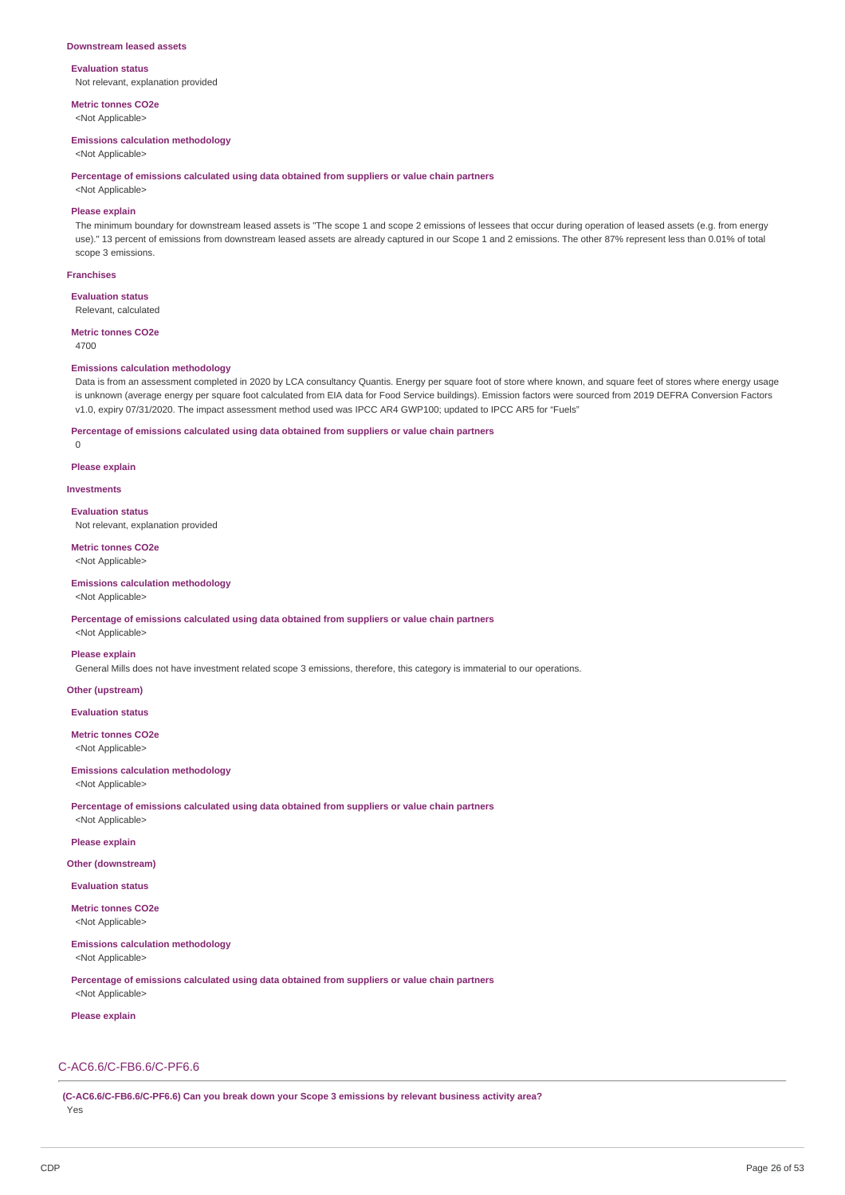#### **Downstream leased assets**

### **Evaluation status** Not relevant, explanation provided

**Metric tonnes CO2e**

<Not Applicable>

### **Emissions calculation methodology**

<Not Applicable>

#### **Percentage of emissions calculated using data obtained from suppliers or value chain partners**

<Not Applicable>

### **Please explain**

The minimum boundary for downstream leased assets is "The scope 1 and scope 2 emissions of lessees that occur during operation of leased assets (e.g. from energy use)." 13 percent of emissions from downstream leased assets are already captured in our Scope 1 and 2 emissions. The other 87% represent less than 0.01% of total scope 3 emissions.

#### **Franchises**

**Evaluation status** Relevant, calculated

#### **Metric tonnes CO2e**

4700

#### **Emissions calculation methodology**

Data is from an assessment completed in 2020 by LCA consultancy Quantis. Energy per square foot of store where known, and square feet of stores where energy usage is unknown (average energy per square foot calculated from EIA data for Food Service buildings). Emission factors were sourced from 2019 DEFRA Conversion Factors v1.0, expiry 07/31/2020. The impact assessment method used was IPCC AR4 GWP100; updated to IPCC AR5 for "Fuels"

#### **Percentage of emissions calculated using data obtained from suppliers or value chain partners**

 $\Omega$ 

#### **Please explain**

**Investments**

#### **Evaluation status**

Not relevant, explanation provided

**Metric tonnes CO2e** <Not Applicable>

### **Emissions calculation methodology**

#### <Not Applicable>

#### **Percentage of emissions calculated using data obtained from suppliers or value chain partners**

<Not Applicable>

### **Please explain**

General Mills does not have investment related scope 3 emissions, therefore, this category is immaterial to our operations.

### **Other (upstream)**

**Evaluation status**

**Metric tonnes CO2e** <Not Applicable>

#### **Emissions calculation methodology**

<Not Applicable>

**Percentage of emissions calculated using data obtained from suppliers or value chain partners**

# <Not Applicable> **Please explain**

**Other (downstream)**

**Evaluation status**

# **Metric tonnes CO2e**

<Not Applicable>

**Emissions calculation methodology**

<Not Applicable>

**Percentage of emissions calculated using data obtained from suppliers or value chain partners**

# <Not Applicable>

**Please explain**

### C-AC6.6/C-FB6.6/C-PF6.6

**(C-AC6.6/C-FB6.6/C-PF6.6) Can you break down your Scope 3 emissions by relevant business activity area?** Yes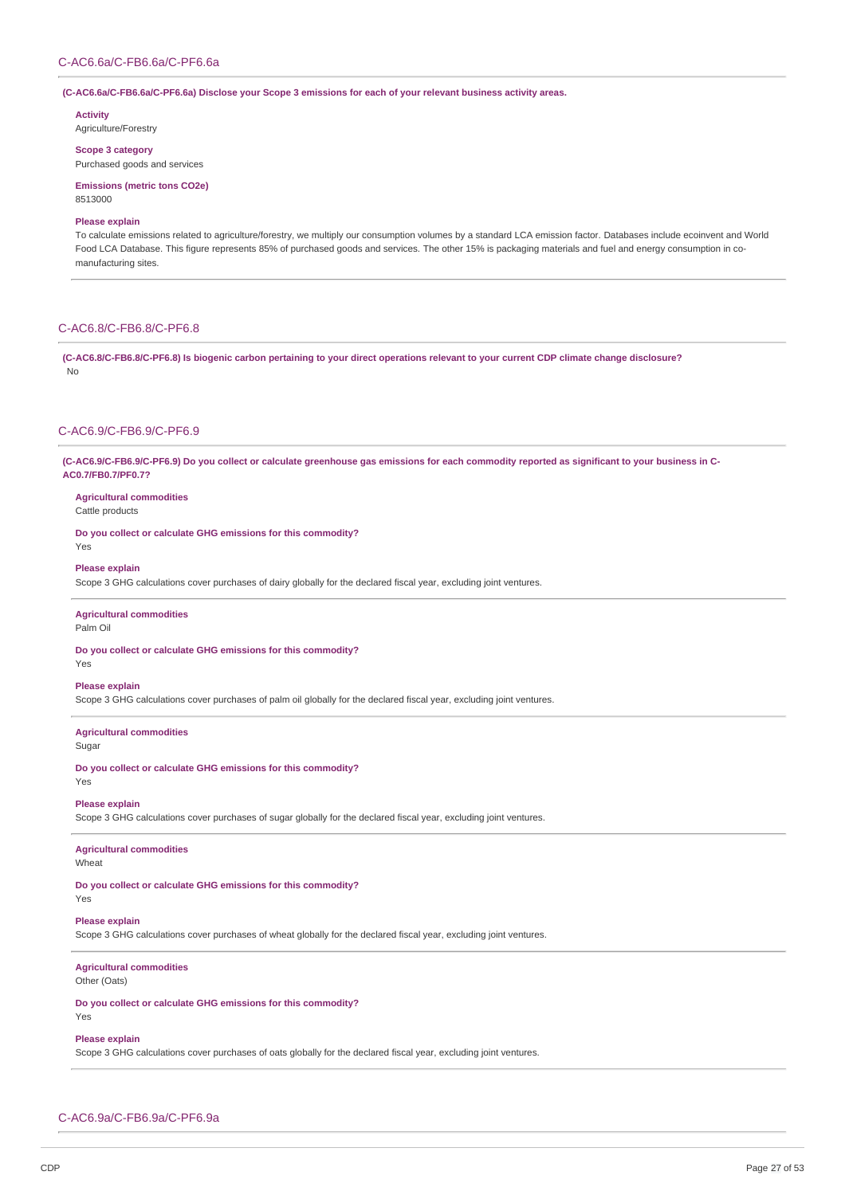**(C-AC6.6a/C-FB6.6a/C-PF6.6a) Disclose your Scope 3 emissions for each of your relevant business activity areas.**

**Activity** Agriculture/Forestry

**Scope 3 category**

Purchased goods and services

**Emissions (metric tons CO2e)** 8513000

### **Please explain**

To calculate emissions related to agriculture/forestry, we multiply our consumption volumes by a standard LCA emission factor. Databases include ecoinvent and World Food LCA Database. This figure represents 85% of purchased goods and services. The other 15% is packaging materials and fuel and energy consumption in comanufacturing sites.

### C-AC6.8/C-FB6.8/C-PF6.8

(C-AC6.8/C-FB6.8/C-PF6.8) Is biogenic carbon pertaining to your direct operations relevant to your current CDP climate change disclosure? No

### C-AC6.9/C-FB6.9/C-PF6.9

(C-AC6.9/C-FB6.9/C-PF6.9) Do you collect or calculate greenhouse gas emissions for each commodity reported as significant to your business in C-**AC0.7/FB0.7/PF0.7?**

**Agricultural commodities** Cattle products

Yes

**Do you collect or calculate GHG emissions for this commodity?**

# **Please explain**

Scope 3 GHG calculations cover purchases of dairy globally for the declared fiscal year, excluding joint ventures.

#### **Agricultural commodities**

Palm Oil

**Do you collect or calculate GHG emissions for this commodity?** Yes

#### **Please explain**

Scope 3 GHG calculations cover purchases of palm oil globally for the declared fiscal year, excluding joint ventures.

#### **Agricultural commodities**

Sugar

**Do you collect or calculate GHG emissions for this commodity?** Yes

#### **Please explain**

Scope 3 GHG calculations cover purchases of sugar globally for the declared fiscal year, excluding joint ventures.

### **Agricultural commodities**

**Wheat** 

**Do you collect or calculate GHG emissions for this commodity?**

### Yes

### **Please explain**

Scope 3 GHG calculations cover purchases of wheat globally for the declared fiscal year, excluding joint ventures.

### **Agricultural commodities**

Other (Oats)

**Do you collect or calculate GHG emissions for this commodity?** Yes

### **Please explain**

Scope 3 GHG calculations cover purchases of oats globally for the declared fiscal year, excluding joint ventures.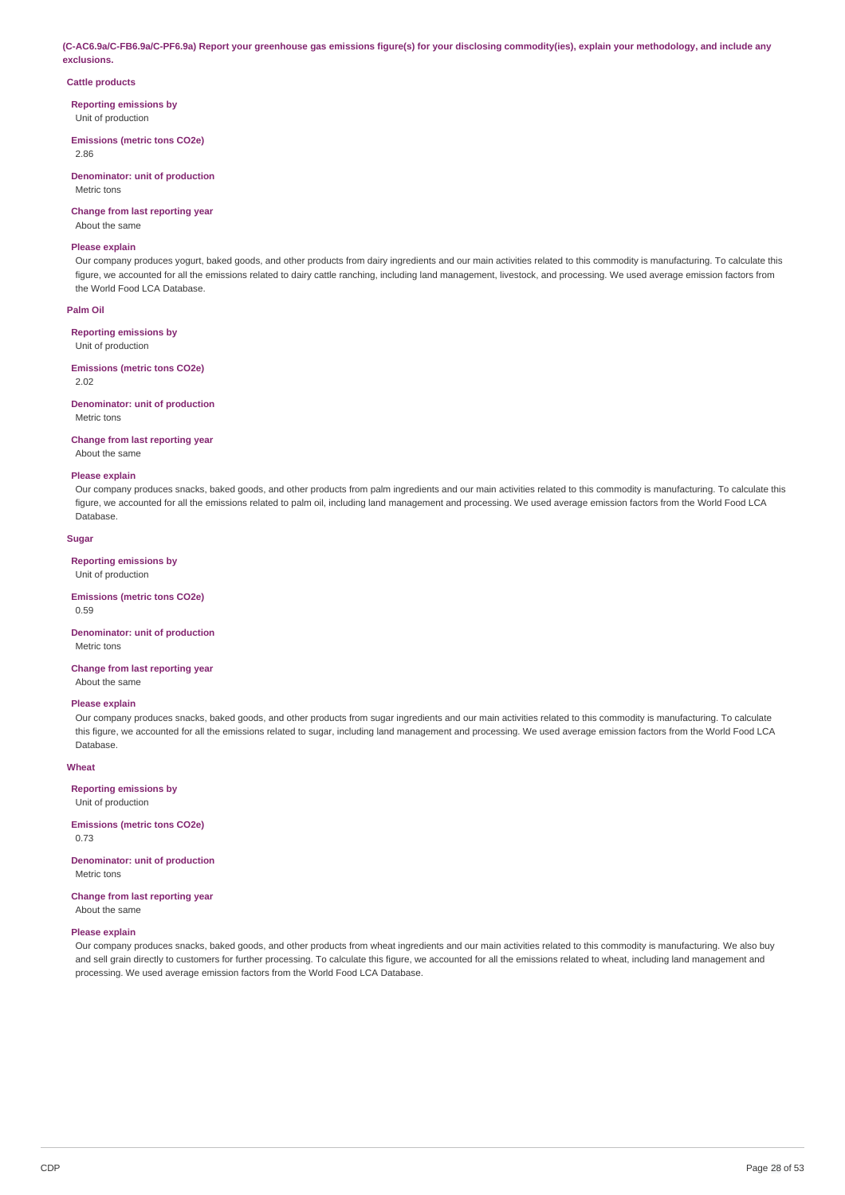(C-AC6.9a/C-FB6.9a/C-PF6.9a) Report your greenhouse gas emissions figure(s) for your disclosing commodity(ies), explain your methodology, and include any **exclusions.**

#### **Cattle products**

**Reporting emissions by**

Unit of production

#### **Emissions (metric tons CO2e)**

2.86

#### **Denominator: unit of production** Metric tons

### **Change from last reporting year**

About the same

#### **Please explain**

Our company produces yogurt, baked goods, and other products from dairy ingredients and our main activities related to this commodity is manufacturing. To calculate this figure, we accounted for all the emissions related to dairy cattle ranching, including land management, livestock, and processing. We used average emission factors from the World Food LCA Database.

### **Palm Oil**

#### **Reporting emissions by**

Unit of production

### **Emissions (metric tons CO2e)**

2.02

#### **Denominator: unit of production** Metric tons

#### **Change from last reporting year**

About the same

#### **Please explain**

Our company produces snacks, baked goods, and other products from palm ingredients and our main activities related to this commodity is manufacturing. To calculate this figure, we accounted for all the emissions related to palm oil, including land management and processing. We used average emission factors from the World Food LCA Database.

### **Sugar**

### **Reporting emissions by**

Unit of production

**Emissions (metric tons CO2e)** 0.59

#### **Denominator: unit of production** Metric tons

**Change from last reporting year** About the same

#### **Please explain**

Our company produces snacks, baked goods, and other products from sugar ingredients and our main activities related to this commodity is manufacturing. To calculate this figure, we accounted for all the emissions related to sugar, including land management and processing. We used average emission factors from the World Food LCA Database.

#### **Wheat**

### **Reporting emissions by**

Unit of production

#### **Emissions (metric tons CO2e)** 0.73

**Denominator: unit of production** Metric tons

# **Change from last reporting year**

About the same

#### **Please explain**

Our company produces snacks, baked goods, and other products from wheat ingredients and our main activities related to this commodity is manufacturing. We also buy and sell grain directly to customers for further processing. To calculate this figure, we accounted for all the emissions related to wheat, including land management and processing. We used average emission factors from the World Food LCA Database.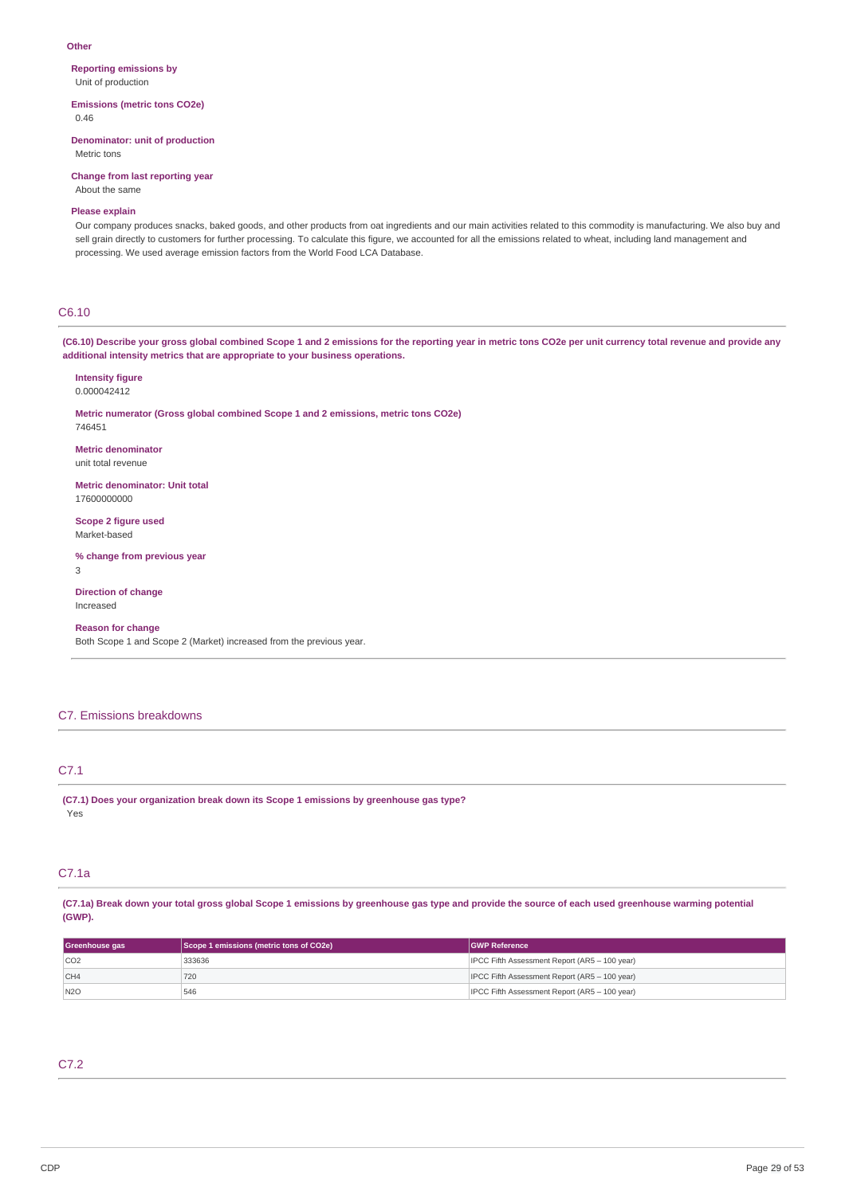#### **Other**

**Reporting emissions by** Unit of production

**Emissions (metric tons CO2e)** 0.46

**Denominator: unit of production**

Metric tons

**Change from last reporting year** About the same

### **Please explain**

Our company produces snacks, baked goods, and other products from oat ingredients and our main activities related to this commodity is manufacturing. We also buy and sell grain directly to customers for further processing. To calculate this figure, we accounted for all the emissions related to wheat, including land management and processing. We used average emission factors from the World Food LCA Database.

### C6.10

(C6.10) Describe your gross global combined Scope 1 and 2 emissions for the reporting year in metric tons CO2e per unit currency total revenue and provide any **additional intensity metrics that are appropriate to your business operations.**

**Intensity figure** 0.000042412

**Metric numerator (Gross global combined Scope 1 and 2 emissions, metric tons CO2e)** 746451

**Metric denominator** unit total revenue

**Metric denominator: Unit total** 17600000000

**Scope 2 figure used** Market-based

**% change from previous year** 3

**Direction of change** Increased

### **Reason for change**

Both Scope 1 and Scope 2 (Market) increased from the previous year.

#### C7. Emissions breakdowns

### C7.1

**(C7.1) Does your organization break down its Scope 1 emissions by greenhouse gas type?** Yes

### C7.1a

(C7.1a) Break down your total gross global Scope 1 emissions by greenhouse gas type and provide the source of each used greenhouse warming potential **(GWP).**

| Scope 1 emissions (metric tons of CO2e)<br>Greenhouse gas |        | <b>GWP Reference</b>                          |
|-----------------------------------------------------------|--------|-----------------------------------------------|
| CO <sub>2</sub>                                           | 333636 | IPCC Fifth Assessment Report (AR5 - 100 year) |
| CH4                                                       | 720    | IPCC Fifth Assessment Report (AR5 - 100 year) |
| N2O                                                       | 546    | IPCC Fifth Assessment Report (AR5 - 100 year) |

# C7.2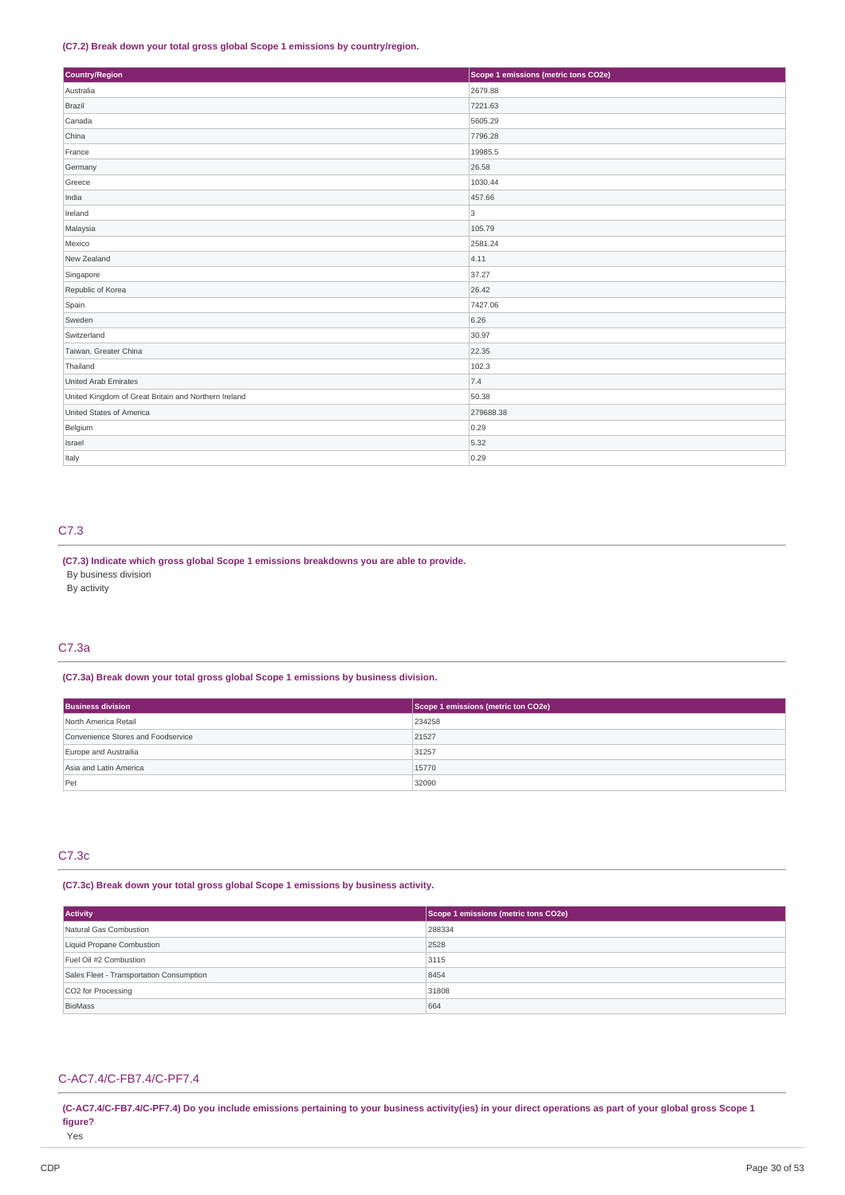### **(C7.2) Break down your total gross global Scope 1 emissions by country/region.**

| Country/Region                                       | Scope 1 emissions (metric tons CO2e) |
|------------------------------------------------------|--------------------------------------|
| Australia                                            | 2679.88                              |
| Brazil                                               | 7221.63                              |
| Canada                                               | 5605.29                              |
| China                                                | 7796.28                              |
| France                                               | 19985.5                              |
| Germany                                              | 26.58                                |
| Greece                                               | 1030.44                              |
| India                                                | 457.66                               |
| Ireland                                              | 3                                    |
| Malaysia                                             | 105.79                               |
| Mexico                                               | 2581.24                              |
| New Zealand                                          | 4.11                                 |
| Singapore                                            | 37.27                                |
| Republic of Korea                                    | 26.42                                |
| Spain                                                | 7427.06                              |
| Sweden                                               | 6.26                                 |
| Switzerland                                          | 30.97                                |
| Taiwan, Greater China                                | 22.35                                |
| Thailand                                             | 102.3                                |
| United Arab Emirates                                 | 7.4                                  |
| United Kingdom of Great Britain and Northern Ireland | 50.38                                |
| United States of America                             | 279688.38                            |
| Belgium                                              | 0.29                                 |
| Israel                                               | 5.32                                 |
| Italy                                                | 0.29                                 |

### C7.3

**(C7.3) Indicate which gross global Scope 1 emissions breakdowns you are able to provide.**

By business division

By activity

# C7.3a

**(C7.3a) Break down your total gross global Scope 1 emissions by business division.**

| <b>Business division</b>           | Scope 1 emissions (metric ton CO2e) |  |
|------------------------------------|-------------------------------------|--|
| North America Retail               | 234258                              |  |
| Convenience Stores and Foodservice | 21527                               |  |
| Europe and Austrailia              | 31257                               |  |
| Asia and Latin America             | 15770                               |  |
| Pet                                | 32090                               |  |

### C7.3c

**(C7.3c) Break down your total gross global Scope 1 emissions by business activity.**

| <b>Activity</b>                          | Scope 1 emissions (metric tons CO2e) |  |
|------------------------------------------|--------------------------------------|--|
| Natural Gas Combustion                   | 288334                               |  |
| Liquid Propane Combustion                | 2528                                 |  |
| Fuel Oil #2 Combustion                   | 3115                                 |  |
| Sales Fleet - Transportation Consumption | 8454                                 |  |
| CO2 for Processing                       | 31808                                |  |
| BioMass                                  | 664                                  |  |

### C-AC7.4/C-FB7.4/C-PF7.4

(C-AC7.4/C-FB7.4/C-PF7.4) Do you include emissions pertaining to your business activity(ies) in your direct operations as part of your global gross Scope 1 **figure?** Yes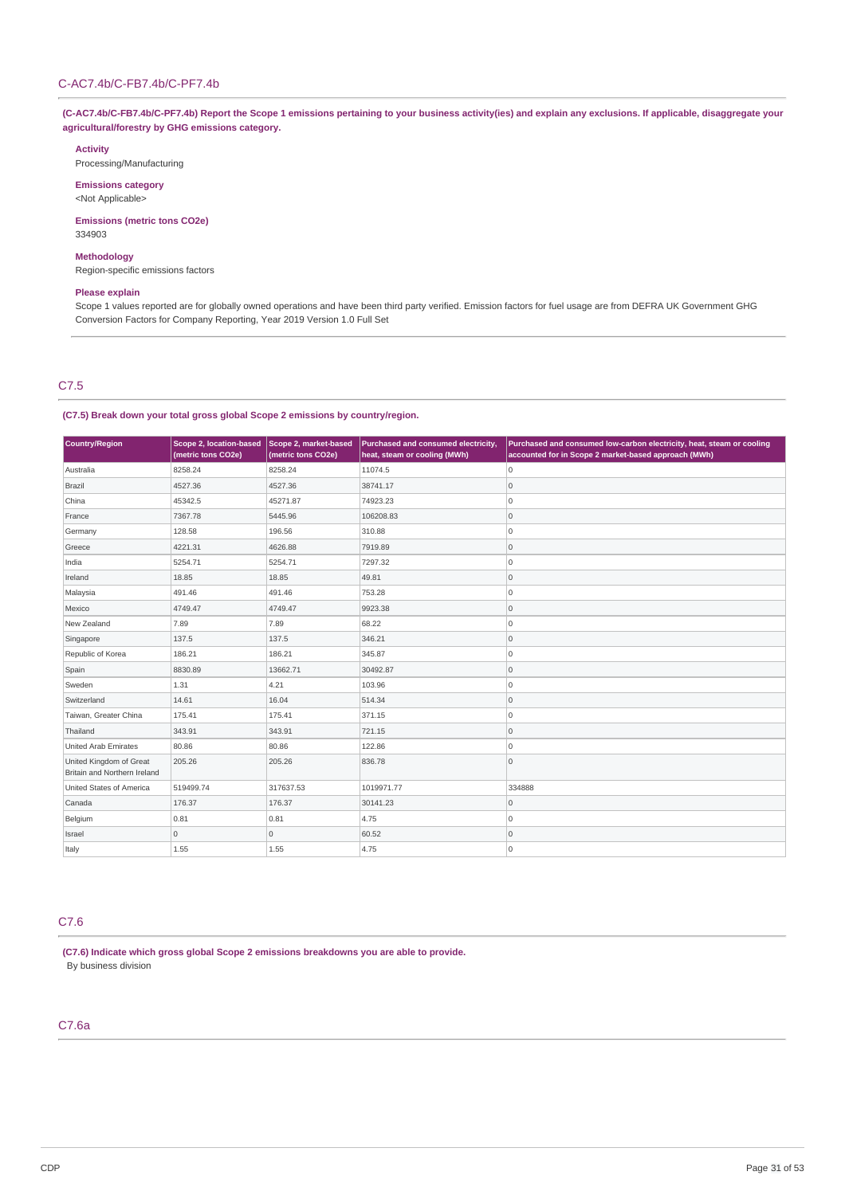(C-AC7.4b/C-FB7.4b/C-PF7.4b) Report the Scope 1 emissions pertaining to your business activity(ies) and explain any exclusions. If applicable, disaggregate your **agricultural/forestry by GHG emissions category.**

#### **Activity**

Processing/Manufacturing

**Emissions category** <Not Applicable>

**Emissions (metric tons CO2e)** 334903

### **Methodology**

Region-specific emissions factors

### **Please explain**

Scope 1 values reported are for globally owned operations and have been third party verified. Emission factors for fuel usage are from DEFRA UK Government GHG Conversion Factors for Company Reporting, Year 2019 Version 1.0 Full Set

# C7.5

### **(C7.5) Break down your total gross global Scope 2 emissions by country/region.**

| Country/Region                                          | Scope 2, location-based<br>(metric tons CO2e) | Scope 2, market-based<br>(metric tons CO2e) | Purchased and consumed electricity,<br>heat, steam or cooling (MWh) | Purchased and consumed low-carbon electricity, heat, steam or cooling<br>accounted for in Scope 2 market-based approach (MWh) |
|---------------------------------------------------------|-----------------------------------------------|---------------------------------------------|---------------------------------------------------------------------|-------------------------------------------------------------------------------------------------------------------------------|
| Australia                                               | 8258.24                                       | 8258.24                                     | 11074.5                                                             | 0                                                                                                                             |
| Brazil                                                  | 4527.36                                       | 4527.36                                     | 38741.17                                                            | 0                                                                                                                             |
| China                                                   | 45342.5                                       | 45271.87                                    | 74923.23                                                            | O                                                                                                                             |
| France                                                  | 7367.78                                       | 5445.96                                     | 106208.83                                                           | 0                                                                                                                             |
| Germany                                                 | 128.58                                        | 196.56                                      | 310.88                                                              | 0                                                                                                                             |
| Greece                                                  | 4221.31                                       | 4626.88                                     | 7919.89                                                             | 0                                                                                                                             |
| India                                                   | 5254.71                                       | 5254.71                                     | 7297.32                                                             | O                                                                                                                             |
| Ireland                                                 | 18.85                                         | 18.85                                       | 49.81                                                               | 0                                                                                                                             |
| Malaysia                                                | 491.46                                        | 491.46                                      | 753.28                                                              | O                                                                                                                             |
| Mexico                                                  | 4749.47                                       | 4749.47                                     | 9923.38                                                             | 0                                                                                                                             |
| New Zealand                                             | 7.89                                          | 7.89                                        | 68.22                                                               | 0                                                                                                                             |
| Singapore                                               | 137.5                                         | 137.5                                       | 346.21                                                              | 0                                                                                                                             |
| Republic of Korea                                       | 186.21                                        | 186.21                                      | 345.87                                                              | O                                                                                                                             |
| Spain                                                   | 8830.89                                       | 13662.71                                    | 30492.87                                                            | 0                                                                                                                             |
| Sweden                                                  | 1.31                                          | 4.21                                        | 103.96                                                              | O                                                                                                                             |
| Switzerland                                             | 14.61                                         | 16.04                                       | 514.34                                                              | 0                                                                                                                             |
| Taiwan, Greater China                                   | 175.41                                        | 175.41                                      | 371.15                                                              | O                                                                                                                             |
| Thailand                                                | 343.91                                        | 343.91                                      | 721.15                                                              | 0                                                                                                                             |
| United Arab Emirates                                    | 80.86                                         | 80.86                                       | 122.86                                                              | 0                                                                                                                             |
| United Kingdom of Great<br>Britain and Northern Ireland | 205.26                                        | 205.26                                      | 836.78                                                              | 0                                                                                                                             |
| United States of America                                | 519499.74                                     | 317637.53                                   | 1019971.77                                                          | 334888                                                                                                                        |
| Canada                                                  | 176.37                                        | 176.37                                      | 30141.23                                                            | 0                                                                                                                             |
| Belgium                                                 | 0.81                                          | 0.81                                        | 4.75                                                                | 0                                                                                                                             |
| Israel                                                  | $\mathsf{O}\xspace$                           | $\circ$                                     | 60.52                                                               | 0                                                                                                                             |
| Italy                                                   | 1.55                                          | 1.55                                        | 4.75                                                                | 0                                                                                                                             |

### C7.6

**(C7.6) Indicate which gross global Scope 2 emissions breakdowns you are able to provide.** By business division

# C7.6a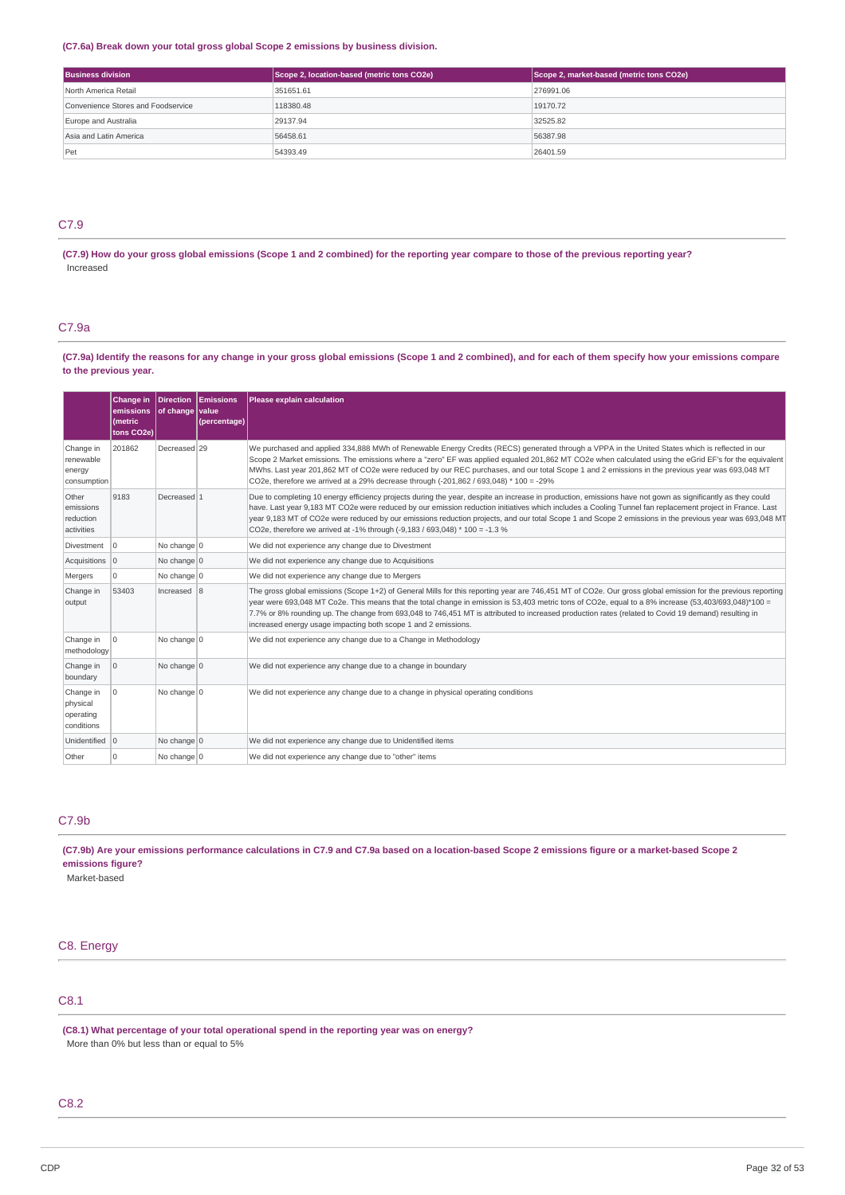### **(C7.6a) Break down your total gross global Scope 2 emissions by business division.**

| <b>Business division</b>           | Scope 2, location-based (metric tons CO2e) | Scope 2, market-based (metric tons CO2e) |
|------------------------------------|--------------------------------------------|------------------------------------------|
| North America Retail               | 351651.61                                  | 276991.06                                |
| Convenience Stores and Foodservice | 118380.48                                  | 19170.72                                 |
| Europe and Australia               | 29137.94                                   | 32525.82                                 |
| Asia and Latin America             | 56458.61                                   | 56387.98                                 |
| Pet                                | 54393.49                                   | 26401.59                                 |

### C7.9

(C7.9) How do your gross global emissions (Scope 1 and 2 combined) for the reporting year compare to those of the previous reporting year? Increased

### C7.9a

(C7.9a) Identify the reasons for any change in your gross global emissions (Scope 1 and 2 combined), and for each of them specify how your emissions compare **to the previous year.**

|                                                  | Change in<br>emissions<br><i>(metric)</i><br>tons CO2e) | Direction Emissions<br>$ $ of change $ $ value | (percentage) | Please explain calculation                                                                                                                                                                                                                                                                                                                                                                                                                                                                                                                                       |
|--------------------------------------------------|---------------------------------------------------------|------------------------------------------------|--------------|------------------------------------------------------------------------------------------------------------------------------------------------------------------------------------------------------------------------------------------------------------------------------------------------------------------------------------------------------------------------------------------------------------------------------------------------------------------------------------------------------------------------------------------------------------------|
| Change in<br>renewable<br>energy<br>consumption  | 201862                                                  | Decreased 29                                   |              | We purchased and applied 334,888 MWh of Renewable Energy Credits (RECS) generated through a VPPA in the United States which is reflected in our<br>Scope 2 Market emissions. The emissions where a "zero" EF was applied equaled 201,862 MT CO2e when calculated using the eGrid EF's for the equivalent<br>MWhs. Last year 201,862 MT of CO2e were reduced by our REC purchases, and our total Scope 1 and 2 emissions in the previous year was 693,048 MT<br>CO2e, therefore we arrived at a 29% decrease through $(-201.862/693.048)*100 = -29%$              |
| Other<br>emissions<br>reduction<br>activities    | 9183                                                    | Decreased 1                                    |              | Due to completing 10 energy efficiency projects during the year, despite an increase in production, emissions have not gown as significantly as they could<br>have. Last year 9,183 MT CO2e were reduced by our emission reduction initiatives which includes a Cooling Tunnel fan replacement project in France. Last<br>year 9,183 MT of CO2e were reduced by our emissions reduction projects, and our total Scope 1 and Scope 2 emissions in the previous year was 693,048 MT<br>CO2e, therefore we arrived at -1% through (-9,183 / 693,048) * 100 = -1.3 % |
| Divestment                                       | $\overline{0}$                                          | No change $ 0$                                 |              | We did not experience any change due to Divestment                                                                                                                                                                                                                                                                                                                                                                                                                                                                                                               |
| Acquisitions 0                                   |                                                         | No change $ 0 $                                |              | We did not experience any change due to Acquisitions                                                                                                                                                                                                                                                                                                                                                                                                                                                                                                             |
| Mergers                                          | $\Omega$                                                | No change $ 0 $                                |              | We did not experience any change due to Mergers                                                                                                                                                                                                                                                                                                                                                                                                                                                                                                                  |
| Change in<br>output                              | 53403                                                   | Increased 8                                    |              | The gross global emissions (Scope 1+2) of General Mills for this reporting year are 746,451 MT of CO2e. Our gross global emission for the previous reporting<br>year were 693,048 MT Co2e. This means that the total change in emission is 53,403 metric tons of CO2e, equal to a 8% increase (53,403/693,048)*100 =<br>7.7% or 8% rounding up. The change from 693,048 to 746,451 MT is attributed to increased production rates (related to Covid 19 demand) resulting in<br>increased energy usage impacting both scope 1 and 2 emissions.                    |
| Change in<br>methodology                         | ۱o                                                      | No change $ 0 $                                |              | We did not experience any change due to a Change in Methodology                                                                                                                                                                                                                                                                                                                                                                                                                                                                                                  |
| Change in<br>boundary                            | 0                                                       | No change $ 0 $                                |              | We did not experience any change due to a change in boundary                                                                                                                                                                                                                                                                                                                                                                                                                                                                                                     |
| Change in<br>physical<br>operating<br>conditions | $\Omega$                                                | No change $ 0 $                                |              | We did not experience any change due to a change in physical operating conditions                                                                                                                                                                                                                                                                                                                                                                                                                                                                                |
| Unidentified 0                                   |                                                         | No change $ 0$                                 |              | We did not experience any change due to Unidentified items                                                                                                                                                                                                                                                                                                                                                                                                                                                                                                       |
| Other                                            | $\Omega$                                                | No change 0                                    |              | We did not experience any change due to "other" items                                                                                                                                                                                                                                                                                                                                                                                                                                                                                                            |

### C7.9b

(C7.9b) Are your emissions performance calculations in C7.9 and C7.9a based on a location-based Scope 2 emissions figure or a market-based Scope 2 **emissions figure?**

Market-based

# C8. Energy

# C8.1

**(C8.1) What percentage of your total operational spend in the reporting year was on energy?** More than 0% but less than or equal to 5%

### C8.2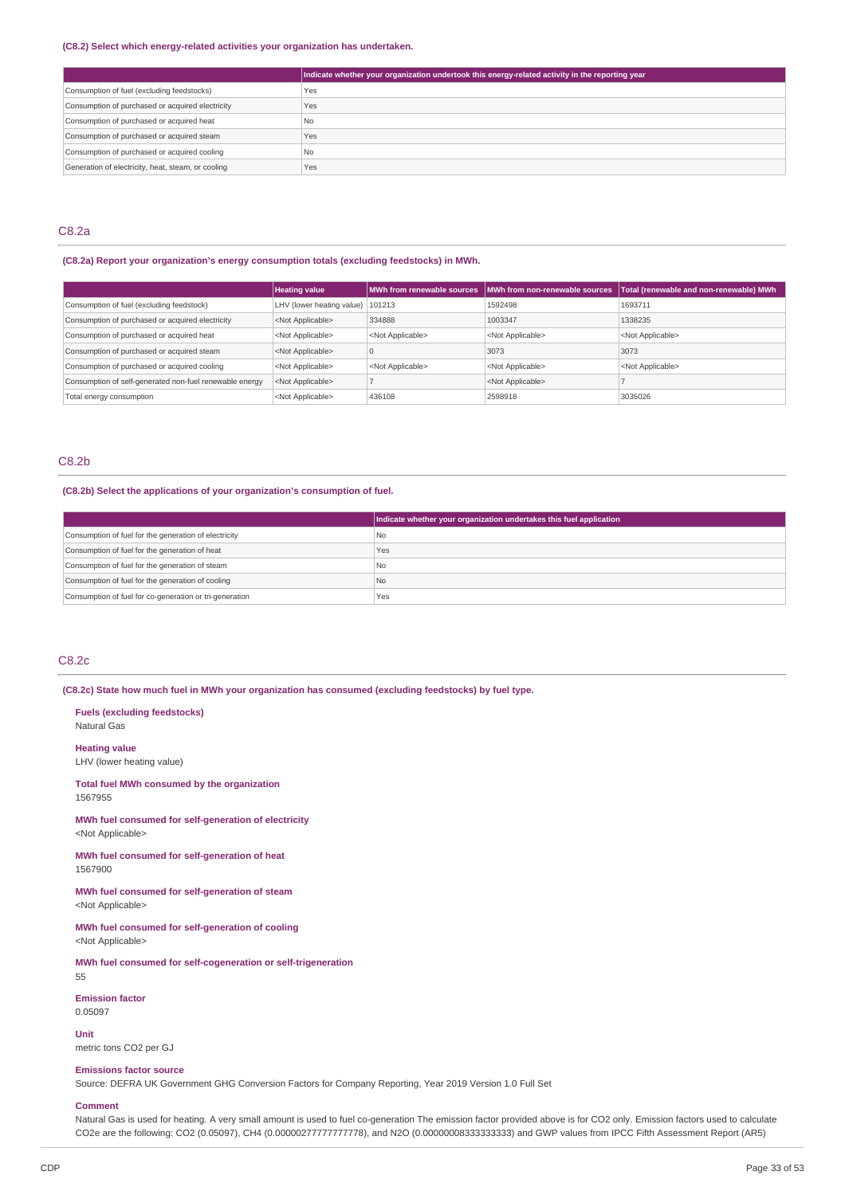#### **(C8.2) Select which energy-related activities your organization has undertaken.**

|                                                    | Indicate whether your organization undertook this energy-related activity in the reporting year |
|----------------------------------------------------|-------------------------------------------------------------------------------------------------|
| Consumption of fuel (excluding feedstocks)         | Yes                                                                                             |
| Consumption of purchased or acquired electricity   | Yes                                                                                             |
| Consumption of purchased or acquired heat          | N <sub>o</sub>                                                                                  |
| Consumption of purchased or acquired steam         | Yes                                                                                             |
| Consumption of purchased or acquired cooling       | N <sub>o</sub>                                                                                  |
| Generation of electricity, heat, steam, or cooling | Yes                                                                                             |

### C8.2a

### **(C8.2a) Report your organization's energy consumption totals (excluding feedstocks) in MWh.**

|                                                         | <b>Heating value</b>               |                           | MWh from renewable sources IMWh from non-renewable sources | Total (renewable and non-renewable) MWh |
|---------------------------------------------------------|------------------------------------|---------------------------|------------------------------------------------------------|-----------------------------------------|
| Consumption of fuel (excluding feedstock)               | LHV (lower heating value)   101213 |                           | 1592498                                                    | 1693711                                 |
| Consumption of purchased or acquired electricity        | <not applicable=""></not>          | 334888                    | 1003347                                                    | 1338235                                 |
| Consumption of purchased or acquired heat               | <not applicable=""></not>          | <not applicable=""></not> | <not applicable=""></not>                                  | <not applicable=""></not>               |
| Consumption of purchased or acquired steam              | <not applicable=""></not>          |                           | 3073                                                       | 3073                                    |
| Consumption of purchased or acquired cooling            | <not applicable=""></not>          | <not applicable=""></not> | <not applicable=""></not>                                  | <not applicable=""></not>               |
| Consumption of self-generated non-fuel renewable energy | <not applicable=""></not>          |                           | <not applicable=""></not>                                  |                                         |
| Total energy consumption                                | <not applicable=""></not>          | 436108                    | 2598918                                                    | 3035026                                 |

### C8.2b

### **(C8.2b) Select the applications of your organization's consumption of fuel.**

|                                                         | Indicate whether your organization undertakes this fuel application |
|---------------------------------------------------------|---------------------------------------------------------------------|
| Consumption of fuel for the generation of electricity   | l No                                                                |
| Consumption of fuel for the generation of heat          | Yes                                                                 |
| Consumption of fuel for the generation of steam         | l No                                                                |
| Consumption of fuel for the generation of cooling       | No.                                                                 |
| Consumption of fuel for co-generation or tri-generation | Yes                                                                 |

### C8.2c

### **(C8.2c) State how much fuel in MWh your organization has consumed (excluding feedstocks) by fuel type.**

**Fuels (excluding feedstocks)** Natural Gas

**Heating value**

LHV (lower heating value)

#### **Total fuel MWh consumed by the organization** 1567955

**MWh fuel consumed for self-generation of electricity** <Not Applicable>

**MWh fuel consumed for self-generation of heat** 1567900

**MWh fuel consumed for self-generation of steam** <Not Applicable>

**MWh fuel consumed for self-generation of cooling** <Not Applicable>

**MWh fuel consumed for self-cogeneration or self-trigeneration** 55

**Emission factor** 0.05097

**Unit**

metric tons CO2 per GJ

#### **Emissions factor source**

Source: DEFRA UK Government GHG Conversion Factors for Company Reporting, Year 2019 Version 1.0 Full Set

#### **Comment**

Natural Gas is used for heating. A very small amount is used to fuel co-generation The emission factor provided above is for CO2 only. Emission factors used to calculate CO2e are the following: CO2 (0.05097), CH4 (0.00000277777777778), and N2O (0.00000008333333333) and GWP values from IPCC Fifth Assessment Report (AR5)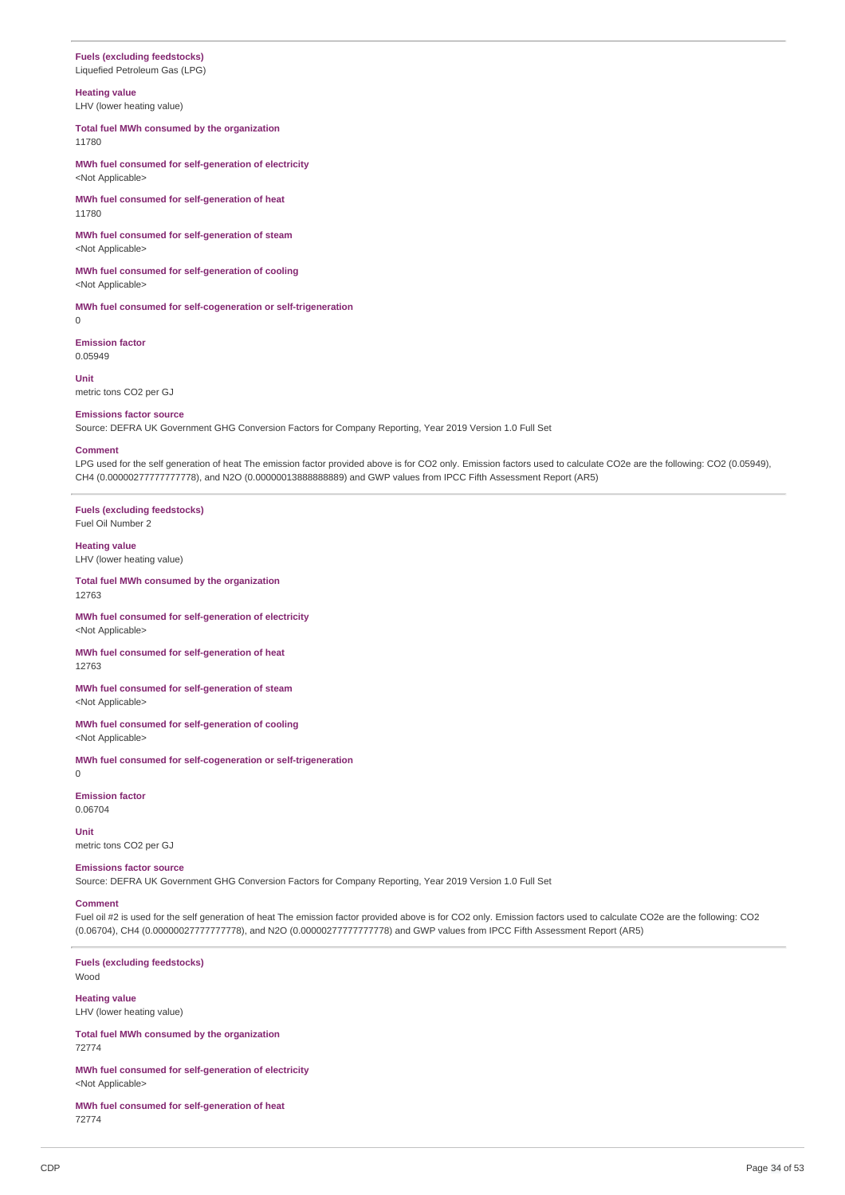# **Fuels (excluding feedstocks)**

Liquefied Petroleum Gas (LPG)

### **Heating value**

LHV (lower heating value)

**Total fuel MWh consumed by the organization** 11780

**MWh fuel consumed for self-generation of electricity** <Not Applicable>

**MWh fuel consumed for self-generation of heat** 11780

**MWh fuel consumed for self-generation of steam** <Not Applicable>

**MWh fuel consumed for self-generation of cooling** <Not Applicable>

**MWh fuel consumed for self-cogeneration or self-trigeneration** 0

**Emission factor** 0.05949

**Unit** metric tons CO2 per GJ

#### **Emissions factor source**

Source: DEFRA UK Government GHG Conversion Factors for Company Reporting, Year 2019 Version 1.0 Full Set

#### **Comment**

LPG used for the self generation of heat The emission factor provided above is for CO2 only. Emission factors used to calculate CO2e are the following: CO2 (0.05949), CH4 (0.00000277777777778), and N2O (0.00000013888888889) and GWP values from IPCC Fifth Assessment Report (AR5)

**Fuels (excluding feedstocks)** Fuel Oil Number 2

#### **Heating value**

LHV (lower heating value)

**Total fuel MWh consumed by the organization** 12763

**MWh fuel consumed for self-generation of electricity** <Not Applicable>

**MWh fuel consumed for self-generation of heat** 12763

**MWh fuel consumed for self-generation of steam** <Not Applicable>

**MWh fuel consumed for self-generation of cooling** <Not Applicable>

**MWh fuel consumed for self-cogeneration or self-trigeneration** 0

**Emission factor** 0.06704

**Unit**

metric tons CO2 per GJ

### **Emissions factor source**

Source: DEFRA UK Government GHG Conversion Factors for Company Reporting, Year 2019 Version 1.0 Full Set

#### **Comment**

Fuel oil #2 is used for the self generation of heat The emission factor provided above is for CO2 only. Emission factors used to calculate CO2e are the following: CO2 (0.06704), CH4 (0.00000027777777778), and N2O (0.00000277777777778) and GWP values from IPCC Fifth Assessment Report (AR5)

**Fuels (excluding feedstocks)** Wood

**Heating value** LHV (lower heating value)

**Total fuel MWh consumed by the organization** 72774

**MWh fuel consumed for self-generation of electricity** <Not Applicable>

**MWh fuel consumed for self-generation of heat** 72774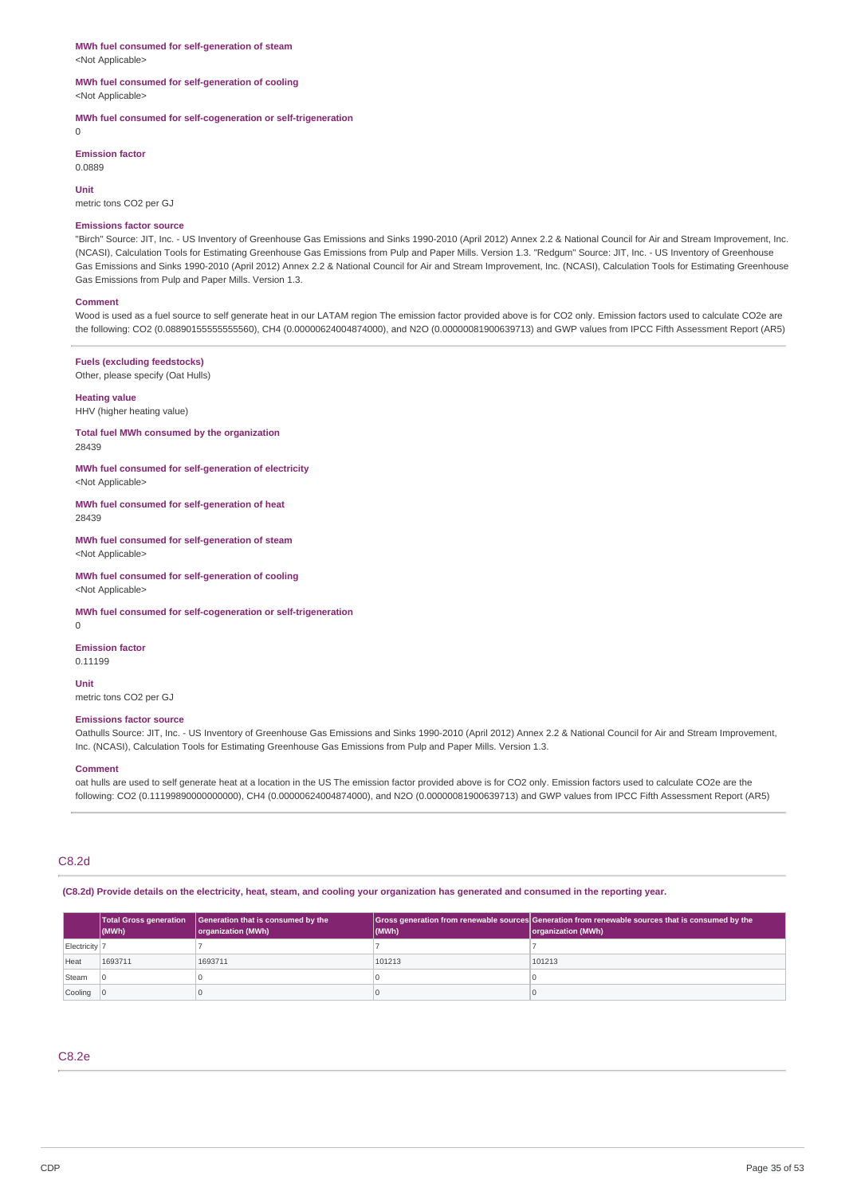#### **MWh fuel consumed for self-generation of steam** <Not Applicable>

#### **MWh fuel consumed for self-generation of cooling** <Not Applicable>

**MWh fuel consumed for self-cogeneration or self-trigeneration**

 $\overline{0}$ 

**Emission factor** 0.0889

**Unit**

metric tons CO2 per GJ

#### **Emissions factor source**

"Birch" Source: JIT, Inc. - US Inventory of Greenhouse Gas Emissions and Sinks 1990-2010 (April 2012) Annex 2.2 & National Council for Air and Stream Improvement, Inc. (NCASI), Calculation Tools for Estimating Greenhouse Gas Emissions from Pulp and Paper Mills. Version 1.3. "Redgum" Source: JIT, Inc. - US Inventory of Greenhouse Gas Emissions and Sinks 1990-2010 (April 2012) Annex 2.2 & National Council for Air and Stream Improvement, Inc. (NCASI), Calculation Tools for Estimating Greenhouse Gas Emissions from Pulp and Paper Mills. Version 1.3.

#### **Comment**

Wood is used as a fuel source to self generate heat in our LATAM region The emission factor provided above is for CO2 only. Emission factors used to calculate CO2e are the following: CO2 (0.08890155555555560), CH4 (0.00000624004874000), and N2O (0.00000081900639713) and GWP values from IPCC Fifth Assessment Report (AR5)

### **Fuels (excluding feedstocks)**

Other, please specify (Oat Hulls)

### **Heating value**

HHV (higher heating value)

#### **Total fuel MWh consumed by the organization** 28439

**MWh fuel consumed for self-generation of electricity** <Not Applicable>

**MWh fuel consumed for self-generation of heat** 28439

#### **MWh fuel consumed for self-generation of steam** <Not Applicable>

**MWh fuel consumed for self-generation of cooling** <Not Applicable>

**MWh fuel consumed for self-cogeneration or self-trigeneration**

 $\theta$ 

#### **Emission factor** 0.11199

**Unit**

# metric tons CO2 per GJ

### **Emissions factor source**

Oathulls Source: JIT, Inc. - US Inventory of Greenhouse Gas Emissions and Sinks 1990-2010 (April 2012) Annex 2.2 & National Council for Air and Stream Improvement, Inc. (NCASI), Calculation Tools for Estimating Greenhouse Gas Emissions from Pulp and Paper Mills. Version 1.3.

### **Comment**

oat hulls are used to self generate heat at a location in the US The emission factor provided above is for CO2 only. Emission factors used to calculate CO2e are the following: CO2 (0.11199890000000000), CH4 (0.00000624004874000), and N2O (0.00000081900639713) and GWP values from IPCC Fifth Assessment Report (AR5)

### C8.2d

(C8.2d) Provide details on the electricity, heat, steam, and cooling your organization has generated and consumed in the reporting year.

|               | <b>Total Gross generation</b><br>$ $ (MWh) | Generation that is consumed by the<br>organization (MWh) | (MWh)  | Gross generation from renewable sources Generation from renewable sources that is consumed by the<br>organization (MWh) |
|---------------|--------------------------------------------|----------------------------------------------------------|--------|-------------------------------------------------------------------------------------------------------------------------|
| Electricity 7 |                                            |                                                          |        |                                                                                                                         |
| Heat          | 1693711                                    | 1693711                                                  | 101213 | 101213                                                                                                                  |
| Steam         |                                            |                                                          |        |                                                                                                                         |
| Cooling 0     |                                            |                                                          |        |                                                                                                                         |

### C8.2e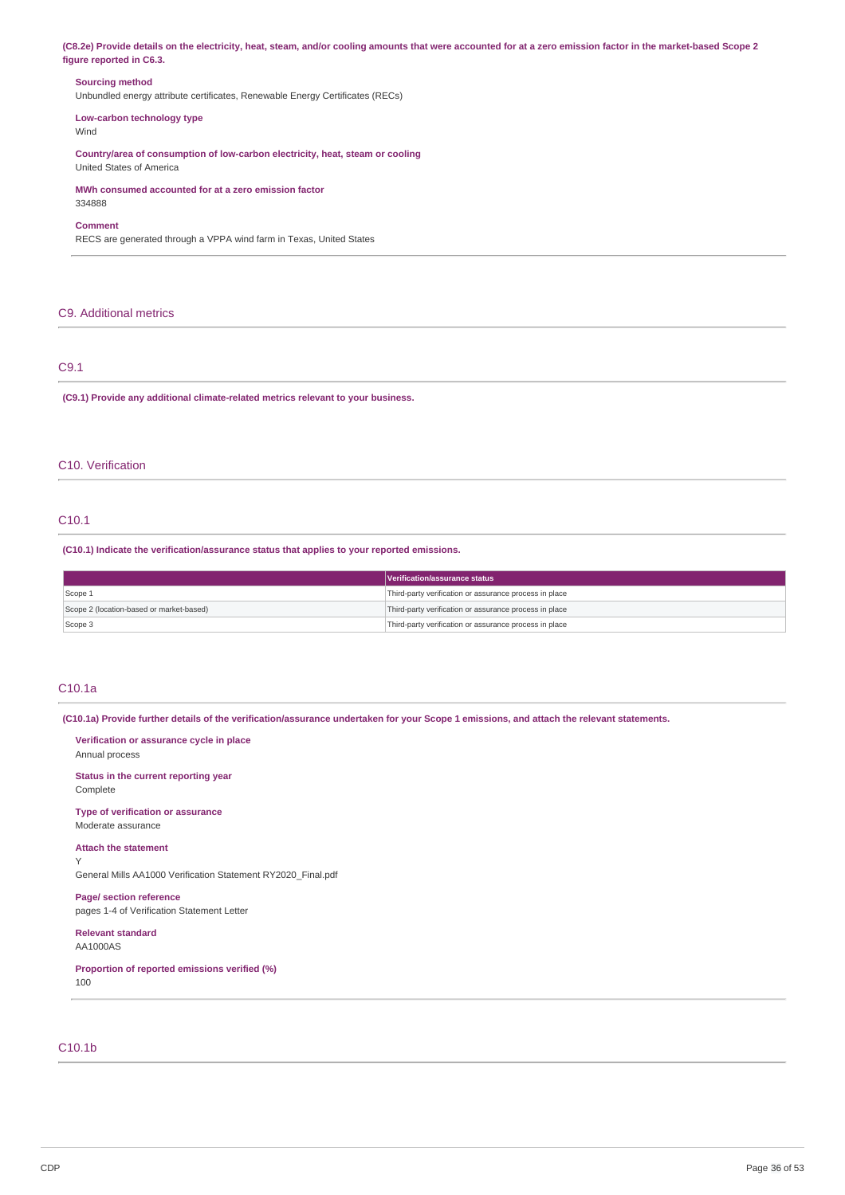(C8.2e) Provide details on the electricity, heat, steam, and/or cooling amounts that were accounted for at a zero emission factor in the market-based Scope 2 **figure reported in C6.3.**

#### **Sourcing method**

Unbundled energy attribute certificates, Renewable Energy Certificates (RECs)

### **Low-carbon technology type**

Wind

**Country/area of consumption of low-carbon electricity, heat, steam or cooling** United States of America

**MWh consumed accounted for at a zero emission factor** 334888

#### **Comment**

RECS are generated through a VPPA wind farm in Texas, United States

### C9. Additional metrics

### C9.1

**(C9.1) Provide any additional climate-related metrics relevant to your business.**

### C10. Verification

### C10.1

**(C10.1) Indicate the verification/assurance status that applies to your reported emissions.**

|                                          | Verification/assurance status                          |
|------------------------------------------|--------------------------------------------------------|
| Scope 1                                  | Third-party verification or assurance process in place |
| Scope 2 (location-based or market-based) | Third-party verification or assurance process in place |
| Scope 3                                  | Third-party verification or assurance process in place |

### C10.1a

Y

(C10.1a) Provide further details of the verification/assurance undertaken for your Scope 1 emissions, and attach the relevant statements.

**Verification or assurance cycle in place** Annual process

**Status in the current reporting year** Complete

**Type of verification or assurance** Moderate assurance

**Attach the statement**

General Mills AA1000 Verification Statement RY2020\_Final.pdf

**Page/ section reference** pages 1-4 of Verification Statement Letter

**Relevant standard**

AA1000AS

**Proportion of reported emissions verified (%)** 100

# C10.1b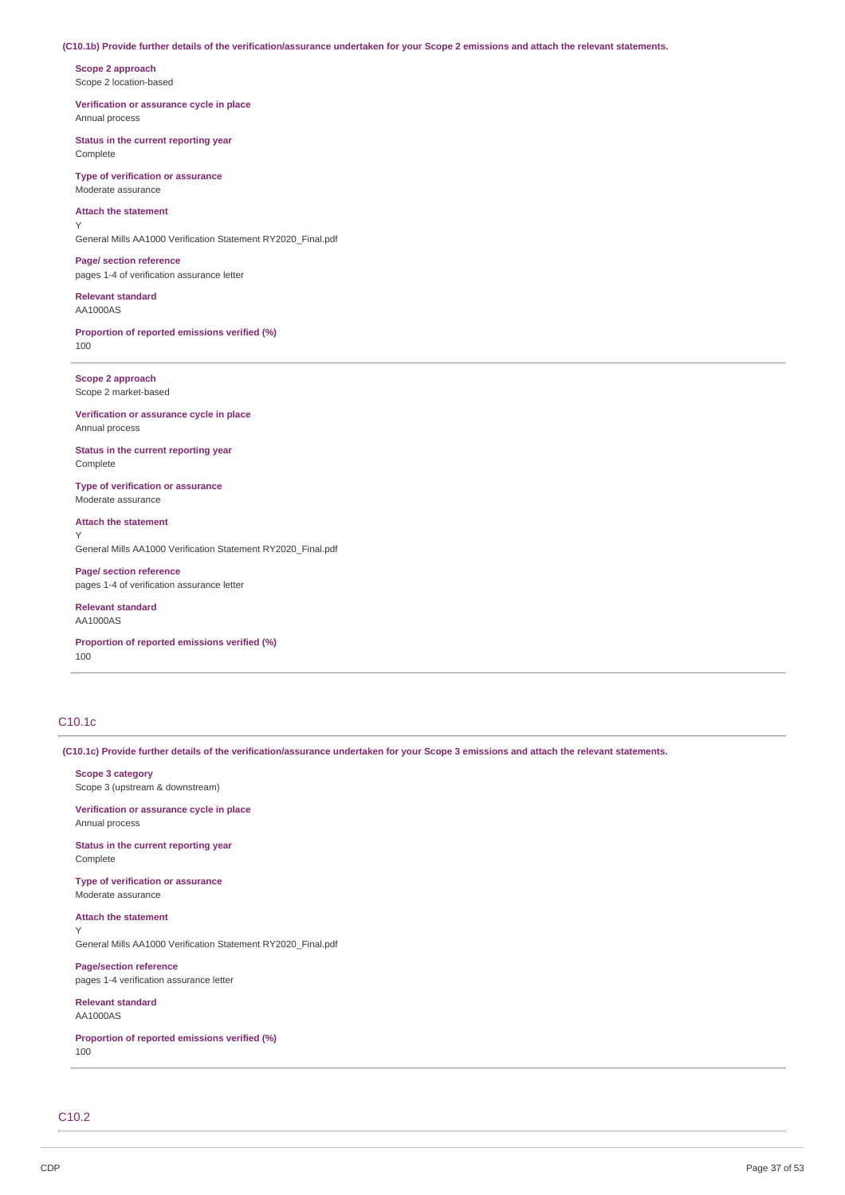#### (C10.1b) Provide further details of the verification/assurance undertaken for your Scope 2 emissions and attach the relevant statements.

**Scope 2 approach** Scope 2 location-based

**Verification or assurance cycle in place** Annual process

**Status in the current reporting year** Complete

**Type of verification or assurance** Moderate assurance

### **Attach the statement**

Y

General Mills AA1000 Verification Statement RY2020\_Final.pdf

**Page/ section reference** pages 1-4 of verification assurance letter

**Relevant standard** AA1000AS

**Proportion of reported emissions verified (%)** 100

**Scope 2 approach** Scope 2 market-based

**Verification or assurance cycle in place** Annual process

**Status in the current reporting year** Complete

**Type of verification or assurance** Moderate assurance

**Attach the statement** Y

General Mills AA1000 Verification Statement RY2020\_Final.pdf

**Page/ section reference** pages 1-4 of verification assurance letter

**Relevant standard** AA1000AS

**Proportion of reported emissions verified (%)** 100

### C10.1c

(C10.1c) Provide further details of the verification/assurance undertaken for your Scope 3 emissions and attach the relevant statements.

**Scope 3 category** Scope 3 (upstream & downstream)

**Verification or assurance cycle in place** Annual process

**Status in the current reporting year Complete** 

**Type of verification or assurance** Moderate assurance

**Attach the statement** Y

General Mills AA1000 Verification Statement RY2020\_Final.pdf

**Page/section reference** pages 1-4 verification assurance letter

**Relevant standard** AA1000AS

**Proportion of reported emissions verified (%)** 100

C10.2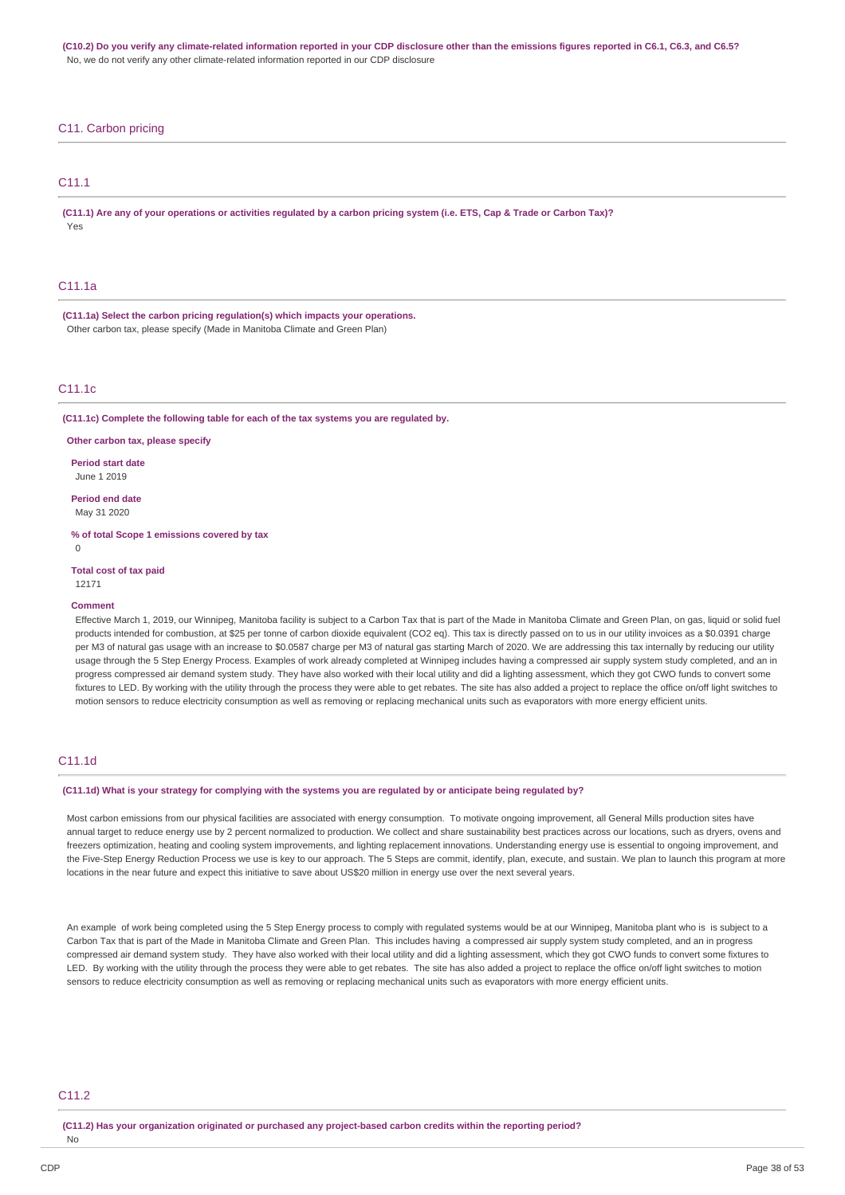(C10.2) Do you verify any climate-related information reported in your CDP disclosure other than the emissions figures reported in C6.1, C6.3, and C6.5? No, we do not verify any other climate-related information reported in our CDP disclosure

### C11. Carbon pricing

### C11.1

(C11.1) Are any of your operations or activities requlated by a carbon pricing system (i.e. ETS, Cap & Trade or Carbon Tax)? Yes

### C11.1a

**(C11.1a) Select the carbon pricing regulation(s) which impacts your operations.** Other carbon tax, please specify (Made in Manitoba Climate and Green Plan)

### $C11.1c$

**(C11.1c) Complete the following table for each of the tax systems you are regulated by.**

**Other carbon tax, please specify**

**Period start date** June 1 2019

**Period end date** May 31 2020

**% of total Scope 1 emissions covered by tax**  $\Omega$ 

**Total cost of tax paid**

12171

#### **Comment**

Effective March 1, 2019, our Winnipeg, Manitoba facility is subject to a Carbon Tax that is part of the Made in Manitoba Climate and Green Plan, on gas, liquid or solid fuel products intended for combustion, at \$25 per tonne of carbon dioxide equivalent (CO2 eq). This tax is directly passed on to us in our utility invoices as a \$0.0391 charge per M3 of natural gas usage with an increase to \$0.0587 charge per M3 of natural gas starting March of 2020. We are addressing this tax internally by reducing our utility usage through the 5 Step Energy Process. Examples of work already completed at Winnipeg includes having a compressed air supply system study completed, and an in progress compressed air demand system study. They have also worked with their local utility and did a lighting assessment, which they got CWO funds to convert some fixtures to LED. By working with the utility through the process they were able to get rebates. The site has also added a project to replace the office on/off light switches to motion sensors to reduce electricity consumption as well as removing or replacing mechanical units such as evaporators with more energy efficient units.

### C11.1d

#### (C11.1d) What is your strategy for complying with the systems you are regulated by or anticipate being regulated by?

Most carbon emissions from our physical facilities are associated with energy consumption. To motivate ongoing improvement, all General Mills production sites have annual target to reduce energy use by 2 percent normalized to production. We collect and share sustainability best practices across our locations, such as dryers, ovens and freezers optimization, heating and cooling system improvements, and lighting replacement innovations. Understanding energy use is essential to ongoing improvement, and the Five-Step Energy Reduction Process we use is key to our approach. The 5 Steps are commit, identify, plan, execute, and sustain. We plan to launch this program at more locations in the near future and expect this initiative to save about US\$20 million in energy use over the next several years.

An example of work being completed using the 5 Step Energy process to comply with regulated systems would be at our Winnipeg, Manitoba plant who is is subject to a Carbon Tax that is part of the Made in Manitoba Climate and Green Plan. This includes having a compressed air supply system study completed, and an in progress compressed air demand system study. They have also worked with their local utility and did a lighting assessment, which they got CWO funds to convert some fixtures to LED. By working with the utility through the process they were able to get rebates. The site has also added a project to replace the office on/off light switches to motion sensors to reduce electricity consumption as well as removing or replacing mechanical units such as evaporators with more energy efficient units.

### C11.2

**(C11.2) Has your organization originated or purchased any project-based carbon credits within the reporting period?** No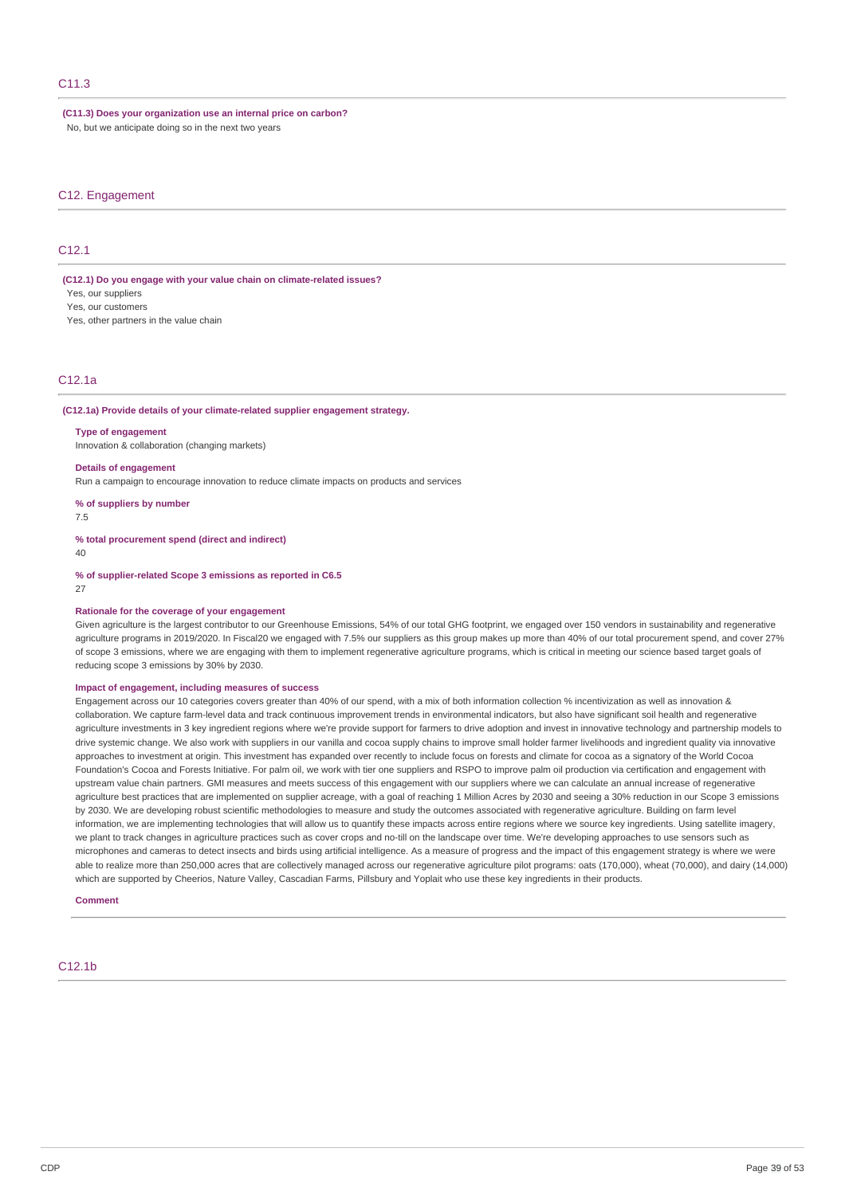#### **(C11.3) Does your organization use an internal price on carbon?**

No, but we anticipate doing so in the next two years

### C12. Engagement

### C12.1

**(C12.1) Do you engage with your value chain on climate-related issues?** Yes, our suppliers

Yes, our customers

Yes, other partners in the value chain

### C12.1a

#### **(C12.1a) Provide details of your climate-related supplier engagement strategy.**

#### **Type of engagement**

Innovation & collaboration (changing markets)

#### **Details of engagement**

Run a campaign to encourage innovation to reduce climate impacts on products and services

**% of suppliers by number**

7.5

**% total procurement spend (direct and indirect)**

40

**% of supplier-related Scope 3 emissions as reported in C6.5**

#### 27

#### **Rationale for the coverage of your engagement**

Given agriculture is the largest contributor to our Greenhouse Emissions, 54% of our total GHG footprint, we engaged over 150 vendors in sustainability and regenerative agriculture programs in 2019/2020. In Fiscal20 we engaged with 7.5% our suppliers as this group makes up more than 40% of our total procurement spend, and cover 27% of scope 3 emissions, where we are engaging with them to implement regenerative agriculture programs, which is critical in meeting our science based target goals of reducing scope 3 emissions by 30% by 2030.

### **Impact of engagement, including measures of success**

Engagement across our 10 categories covers greater than 40% of our spend, with a mix of both information collection % incentivization as well as innovation & collaboration. We capture farm-level data and track continuous improvement trends in environmental indicators, but also have significant soil health and regenerative agriculture investments in 3 key ingredient regions where we're provide support for farmers to drive adoption and invest in innovative technology and partnership models to drive systemic change. We also work with suppliers in our vanilla and cocoa supply chains to improve small holder farmer livelihoods and ingredient quality via innovative approaches to investment at origin. This investment has expanded over recently to include focus on forests and climate for cocoa as a signatory of the World Cocoa Foundation's Cocoa and Forests Initiative. For palm oil, we work with tier one suppliers and RSPO to improve palm oil production via certification and engagement with upstream value chain partners. GMI measures and meets success of this engagement with our suppliers where we can calculate an annual increase of regenerative agriculture best practices that are implemented on supplier acreage, with a goal of reaching 1 Million Acres by 2030 and seeing a 30% reduction in our Scope 3 emissions by 2030. We are developing robust scientific methodologies to measure and study the outcomes associated with regenerative agriculture. Building on farm level information, we are implementing technologies that will allow us to quantify these impacts across entire regions where we source key ingredients. Using satellite imagery, we plant to track changes in agriculture practices such as cover crops and no-till on the landscape over time. We're developing approaches to use sensors such as microphones and cameras to detect insects and birds using artificial intelligence. As a measure of progress and the impact of this engagement strategy is where we were able to realize more than 250,000 acres that are collectively managed across our regenerative agriculture pilot programs: oats (170,000), wheat (70,000), and dairy (14,000) which are supported by Cheerios, Nature Valley, Cascadian Farms, Pillsbury and Yoplait who use these key ingredients in their products.

#### **Comment**

### C12.1b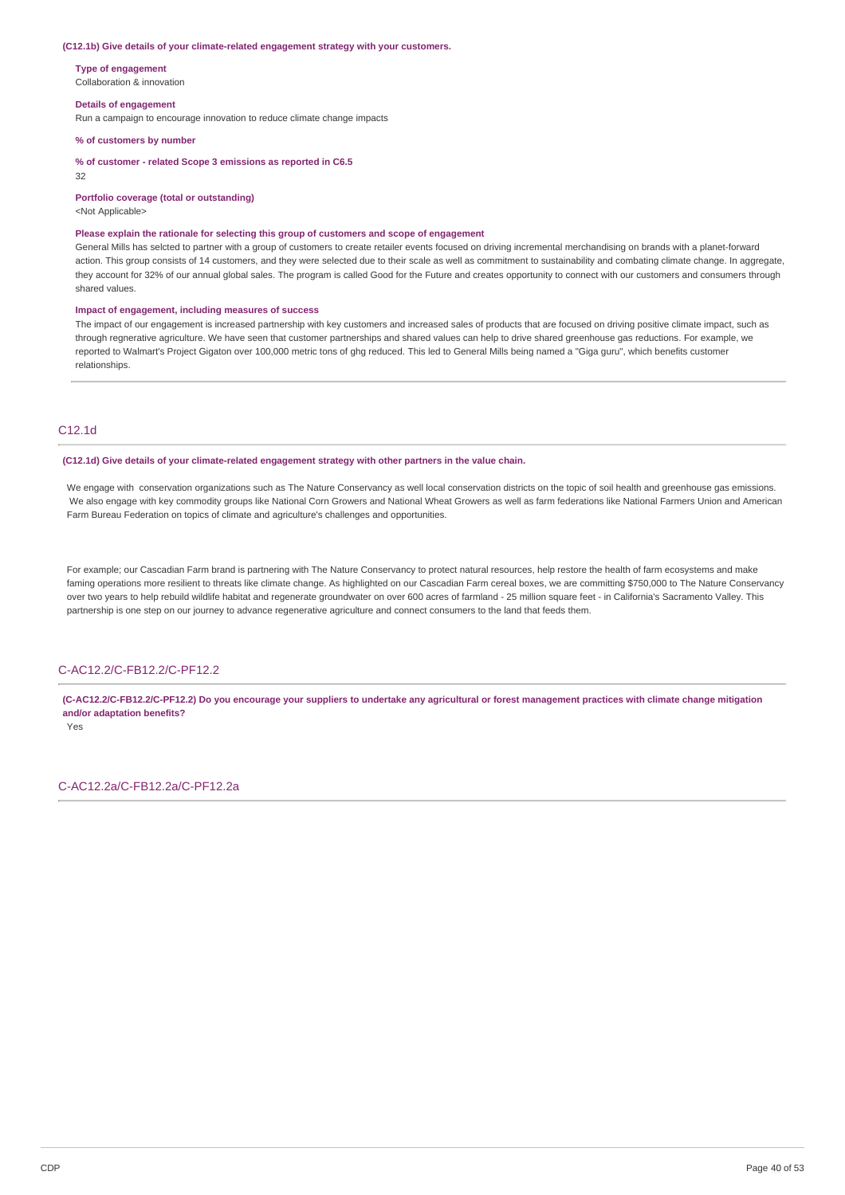#### **(C12.1b) Give details of your climate-related engagement strategy with your customers.**

**Type of engagement** Collaboration & innovation

#### **Details of engagement**

Run a campaign to encourage innovation to reduce climate change impacts

**% of customers by number**

**% of customer - related Scope 3 emissions as reported in C6.5**

### 32

#### **Portfolio coverage (total or outstanding)**

<Not Applicable>

#### **Please explain the rationale for selecting this group of customers and scope of engagement**

General Mills has selcted to partner with a group of customers to create retailer events focused on driving incremental merchandising on brands with a planet-forward action. This group consists of 14 customers, and they were selected due to their scale as well as commitment to sustainability and combating climate change. In aggregate, they account for 32% of our annual global sales. The program is called Good for the Future and creates opportunity to connect with our customers and consumers through shared values.

#### **Impact of engagement, including measures of success**

The impact of our engagement is increased partnership with key customers and increased sales of products that are focused on driving positive climate impact, such as through regnerative agriculture. We have seen that customer partnerships and shared values can help to drive shared greenhouse gas reductions. For example, we reported to Walmart's Project Gigaton over 100,000 metric tons of ghg reduced. This led to General Mills being named a "Giga guru", which benefits customer relationships.

### C12.1d

#### **(C12.1d) Give details of your climate-related engagement strategy with other partners in the value chain.**

We engage with conservation organizations such as The Nature Conservancy as well local conservation districts on the topic of soil health and greenhouse gas emissions. We also engage with key commodity groups like National Corn Growers and National Wheat Growers as well as farm federations like National Farmers Union and American Farm Bureau Federation on topics of climate and agriculture's challenges and opportunities.

For example; our Cascadian Farm brand is partnering with The Nature Conservancy to protect natural resources, help restore the health of farm ecosystems and make faming operations more resilient to threats like climate change. As highlighted on our Cascadian Farm cereal boxes, we are committing \$750,000 to The Nature Conservancy over two years to help rebuild wildlife habitat and regenerate groundwater on over 600 acres of farmland - 25 million square feet - in California's Sacramento Valley. This partnership is one step on our journey to advance regenerative agriculture and connect consumers to the land that feeds them.

### C-AC12.2/C-FB12.2/C-PF12.2

(C-AC12.2/C-FB12.2/C-PF12.2) Do you encourage your suppliers to undertake any agricultural or forest management practices with climate change mitigation **and/or adaptation benefits?**

Yes

C-AC12.2a/C-FB12.2a/C-PF12.2a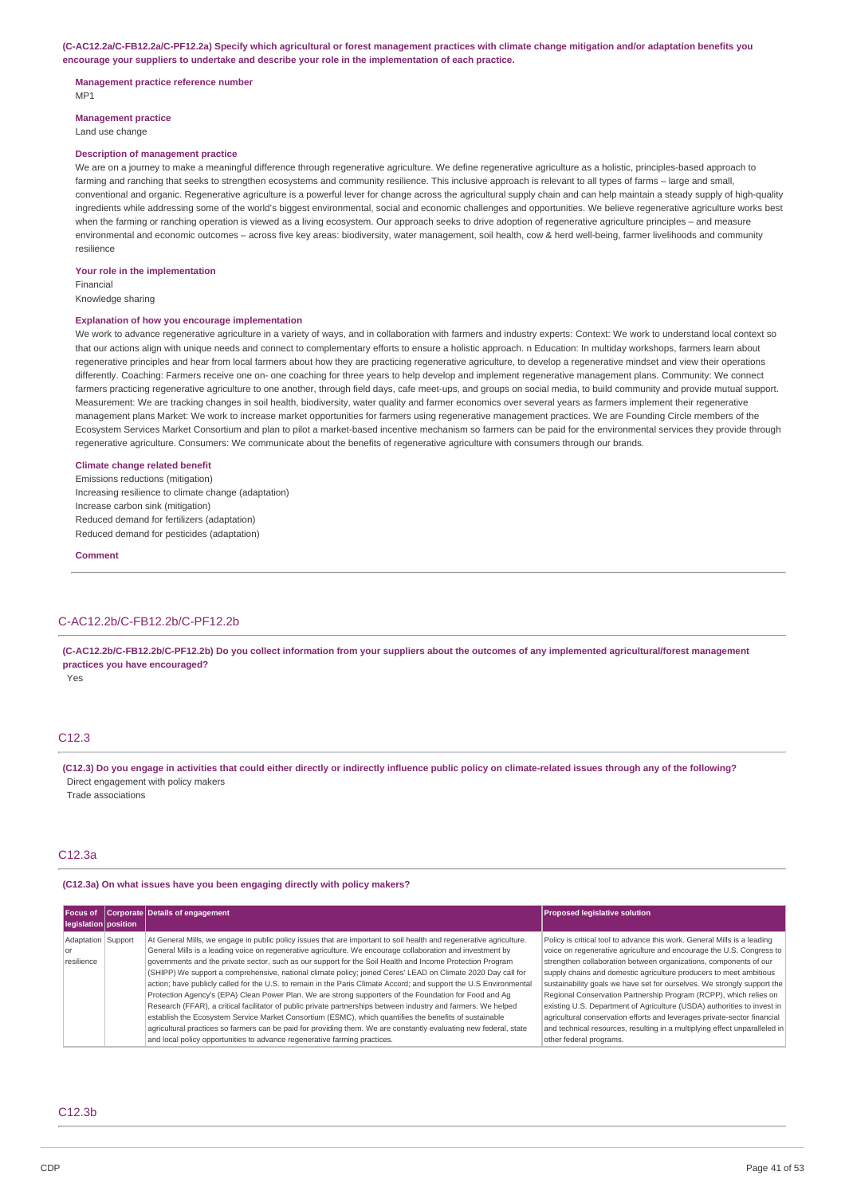(C-AC12.2a/C-FB12.2a/C-PF12.2a) Specify which agricultural or forest management practices with climate change mitigation and/or adaptation benefits you **encourage your suppliers to undertake and describe your role in the implementation of each practice.**

#### **Management practice reference number**

MP1

**Management practice**

Land use change

#### **Description of management practice**

We are on a journey to make a meaningful difference through regenerative agriculture. We define regenerative agriculture as a holistic, principles-based approach to farming and ranching that seeks to strengthen ecosystems and community resilience. This inclusive approach is relevant to all types of farms – large and small, conventional and organic. Regenerative agriculture is a powerful lever for change across the agricultural supply chain and can help maintain a steady supply of high-quality ingredients while addressing some of the world's biggest environmental, social and economic challenges and opportunities. We believe regenerative agriculture works best when the farming or ranching operation is viewed as a living ecosystem. Our approach seeks to drive adoption of regenerative agriculture principles - and measure environmental and economic outcomes – across five key areas: biodiversity, water management, soil health, cow & herd well-being, farmer livelihoods and community resilience

#### **Your role in the implementation**

Financial

Knowledge sharing

#### **Explanation of how you encourage implementation**

We work to advance regenerative agriculture in a variety of ways, and in collaboration with farmers and industry experts: Context: We work to understand local context so that our actions align with unique needs and connect to complementary efforts to ensure a holistic approach. n Education: In multiday workshops, farmers learn about regenerative principles and hear from local farmers about how they are practicing regenerative agriculture, to develop a regenerative mindset and view their operations differently. Coaching: Farmers receive one on- one coaching for three years to help develop and implement regenerative management plans. Community: We connect farmers practicing regenerative agriculture to one another, through field days, cafe meet-ups, and groups on social media, to build community and provide mutual support. Measurement: We are tracking changes in soil health, biodiversity, water quality and farmer economics over several years as farmers implement their regenerative management plans Market: We work to increase market opportunities for farmers using regenerative management practices. We are Founding Circle members of the Ecosystem Services Market Consortium and plan to pilot a market-based incentive mechanism so farmers can be paid for the environmental services they provide through regenerative agriculture. Consumers: We communicate about the benefits of regenerative agriculture with consumers through our brands.

#### **Climate change related benefit**

Emissions reductions (mitigation) Increasing resilience to climate change (adaptation) Increase carbon sink (mitigation) Reduced demand for fertilizers (adaptation) Reduced demand for pesticides (adaptation)

#### **Comment**

### C-AC12.2b/C-FB12.2b/C-PF12.2b

(C-AC12.2b/C-FB12.2b/C-PF12.2b) Do you collect information from your suppliers about the outcomes of any implemented agricultural/forest management **practices you have encouraged?**

Yes

### C12.3

(C12.3) Do you engage in activities that could either directly or indirectly influence public policy on climate-related issues through any of the following? Direct engagement with policy makers

Trade associations

#### C12.3a

#### **(C12.3a) On what issues have you been engaging directly with policy makers?**

| Focus of<br>legislation position       | Corporate Details of engagement                                                                                                                                                                                                                                                                                                                                                                                                                                                                                                                                                                                                                                                                                                                                                                                                                                                                                                                                                                                                                                                                                              | <b>Proposed legislative solution</b>                                                                                                                                                                                                                                                                                                                                                                                                                                                                                                                                                                                                                                                                        |
|----------------------------------------|------------------------------------------------------------------------------------------------------------------------------------------------------------------------------------------------------------------------------------------------------------------------------------------------------------------------------------------------------------------------------------------------------------------------------------------------------------------------------------------------------------------------------------------------------------------------------------------------------------------------------------------------------------------------------------------------------------------------------------------------------------------------------------------------------------------------------------------------------------------------------------------------------------------------------------------------------------------------------------------------------------------------------------------------------------------------------------------------------------------------------|-------------------------------------------------------------------------------------------------------------------------------------------------------------------------------------------------------------------------------------------------------------------------------------------------------------------------------------------------------------------------------------------------------------------------------------------------------------------------------------------------------------------------------------------------------------------------------------------------------------------------------------------------------------------------------------------------------------|
| Adaptation Support<br>or<br>resilience | At General Mills, we engage in public policy issues that are important to soil health and regenerative agriculture.<br>General Mills is a leading voice on regenerative agriculture. We encourage collaboration and investment by<br>governments and the private sector, such as our support for the Soil Health and Income Protection Program<br>(SHIPP) We support a comprehensive, national climate policy; joined Ceres' LEAD on Climate 2020 Day call for<br>action; have publicly called for the U.S. to remain in the Paris Climate Accord; and support the U.S Environmental<br>Protection Agency's (EPA) Clean Power Plan. We are strong supporters of the Foundation for Food and Ag<br>Research (FFAR), a critical facilitator of public private partnerships between industry and farmers. We helped<br>establish the Ecosystem Service Market Consortium (ESMC), which quantifies the benefits of sustainable<br>agricultural practices so farmers can be paid for providing them. We are constantly evaluating new federal, state<br>and local policy opportunities to advance regenerative farming practices. | Policy is critical tool to advance this work. General Mills is a leading<br>voice on regenerative agriculture and encourage the U.S. Congress to<br>strengthen collaboration between organizations, components of our<br>supply chains and domestic agriculture producers to meet ambitious<br>sustainability goals we have set for ourselves. We strongly support the<br>Regional Conservation Partnership Program (RCPP), which relies on<br>existing U.S. Department of Agriculture (USDA) authorities to invest in<br>agricultural conservation efforts and leverages private-sector financial<br>and technical resources, resulting in a multiplying effect unparalleled in<br>other federal programs. |

### C12.3b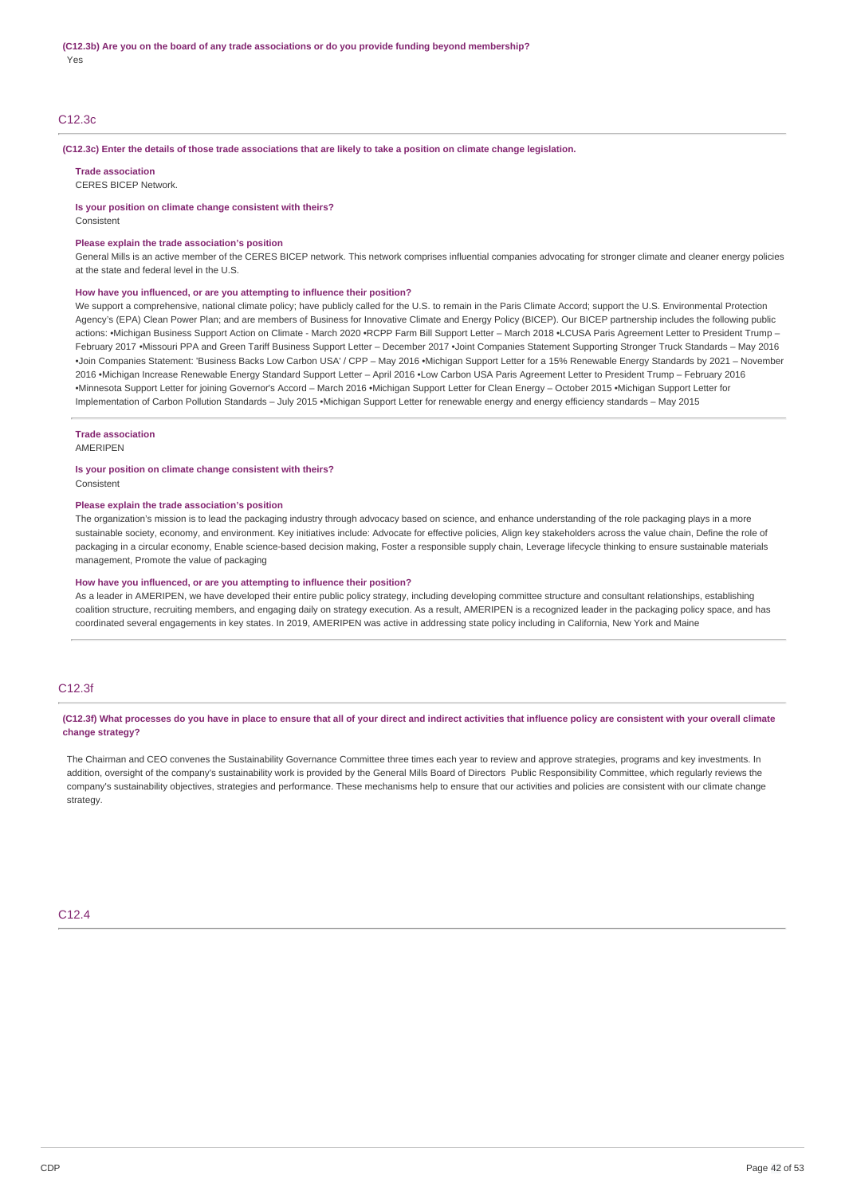### C12.3c

#### (C12.3c) Enter the details of those trade associations that are likely to take a position on climate change legislation.

**Trade association**

CERES BICEP Network.

#### **Is your position on climate change consistent with theirs?**

Consistent

#### **Please explain the trade association's position**

General Mills is an active member of the CERES BICEP network. This network comprises influential companies advocating for stronger climate and cleaner energy policies at the state and federal level in the U.S.

#### **How have you influenced, or are you attempting to influence their position?**

We support a comprehensive, national climate policy; have publicly called for the U.S. to remain in the Paris Climate Accord; support the U.S. Environmental Protection Agency's (EPA) Clean Power Plan; and are members of Business for Innovative Climate and Energy Policy (BICEP). Our BICEP partnership includes the following public actions: •Michigan Business Support Action on Climate - March 2020 •RCPP Farm Bill Support Letter – March 2018 •LCUSA Paris Agreement Letter to President Trump – February 2017 •Missouri PPA and Green Tariff Business Support Letter – December 2017 •Joint Companies Statement Supporting Stronger Truck Standards – May 2016 •Join Companies Statement: 'Business Backs Low Carbon USA' / CPP – May 2016 •Michigan Support Letter for a 15% Renewable Energy Standards by 2021 – November 2016 •Michigan Increase Renewable Energy Standard Support Letter – April 2016 •Low Carbon USA Paris Agreement Letter to President Trump – February 2016 •Minnesota Support Letter for joining Governor's Accord – March 2016 •Michigan Support Letter for Clean Energy – October 2015 •Michigan Support Letter for Implementation of Carbon Pollution Standards – July 2015 •Michigan Support Letter for renewable energy and energy efficiency standards – May 2015

#### **Trade association**

AMERIPEN

# **Is your position on climate change consistent with theirs?**

Consistent

### **Please explain the trade association's position**

The organization's mission is to lead the packaging industry through advocacy based on science, and enhance understanding of the role packaging plays in a more sustainable society, economy, and environment. Key initiatives include: Advocate for effective policies, Align key stakeholders across the value chain, Define the role of packaging in a circular economy, Enable science-based decision making, Foster a responsible supply chain, Leverage lifecycle thinking to ensure sustainable materials management, Promote the value of packaging

#### **How have you influenced, or are you attempting to influence their position?**

As a leader in AMERIPEN, we have developed their entire public policy strategy, including developing committee structure and consultant relationships, establishing coalition structure, recruiting members, and engaging daily on strategy execution. As a result, AMERIPEN is a recognized leader in the packaging policy space, and has coordinated several engagements in key states. In 2019, AMERIPEN was active in addressing state policy including in California, New York and Maine

### C12.3f

(C12.3f) What processes do you have in place to ensure that all of your direct and indirect activities that influence policy are consistent with your overall climate **change strategy?**

The Chairman and CEO convenes the Sustainability Governance Committee three times each year to review and approve strategies, programs and key investments. In addition, oversight of the company's sustainability work is provided by the General Mills Board of Directors Public Responsibility Committee, which regularly reviews the company's sustainability objectives, strategies and performance. These mechanisms help to ensure that our activities and policies are consistent with our climate change strategy.

 $C12A$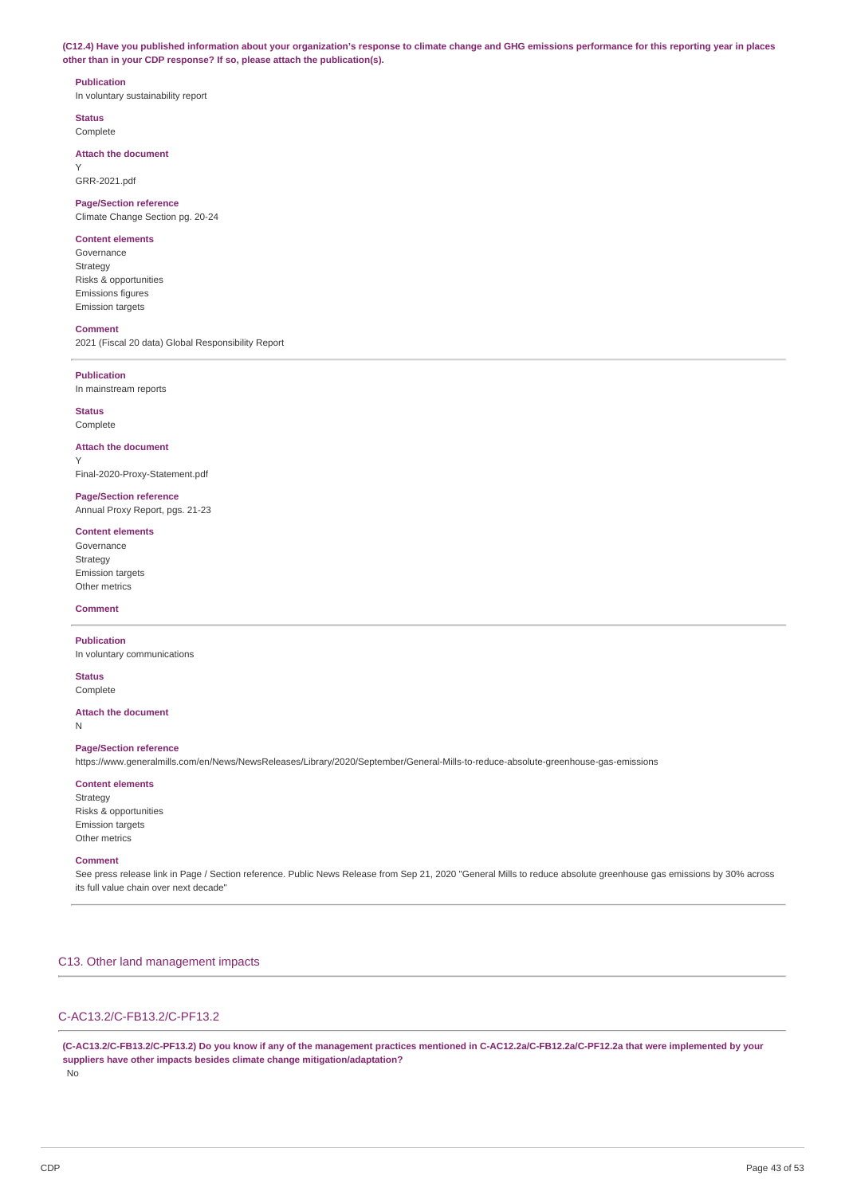(C12.4) Have you published information about your organization's response to climate change and GHG emissions performance for this reporting year in places **other than in your CDP response? If so, please attach the publication(s).**

#### **Publication**

In voluntary sustainability report

**Status** Complete

### **Attach the document**

Y GRR-2021.pdf

# **Page/Section reference**

Climate Change Section pg. 20-24

# **Content elements**

Governance Strategy Risks & opportunities Emissions figures Emission targets

#### **Comment**

2021 (Fiscal 20 data) Global Responsibility Report

#### **Publication**

In mainstream reports

### **Status**

Y

Complete

### **Attach the document**

Final-2020-Proxy-Statement.pdf

### **Page/Section reference** Annual Proxy Report, pgs. 21-23

#### **Content elements**

Governance Strategy Emission targets Other metrics

### **Comment**

# **Publication**

In voluntary communications

# **Status**

Complete

### **Attach the document**

N

#### **Page/Section reference**

https://www.generalmills.com/en/News/NewsReleases/Library/2020/September/General-Mills-to-reduce-absolute-greenhouse-gas-emissions

### **Content elements**

**Strategy** Risks & opportunities Emission targets Other metrics

#### **Comment**

See press release link in Page / Section reference. Public News Release from Sep 21, 2020 "General Mills to reduce absolute greenhouse gas emissions by 30% across its full value chain over next decade"

### C13. Other land management impacts

# C-AC13.2/C-FB13.2/C-PF13.2

(C-AC13.2/C-FB13.2/C-PF13.2) Do you know if any of the management practices mentioned in C-AC12.2a/C-FB12.2a/C-PF12.2a that were implemented by your **suppliers have other impacts besides climate change mitigation/adaptation?** No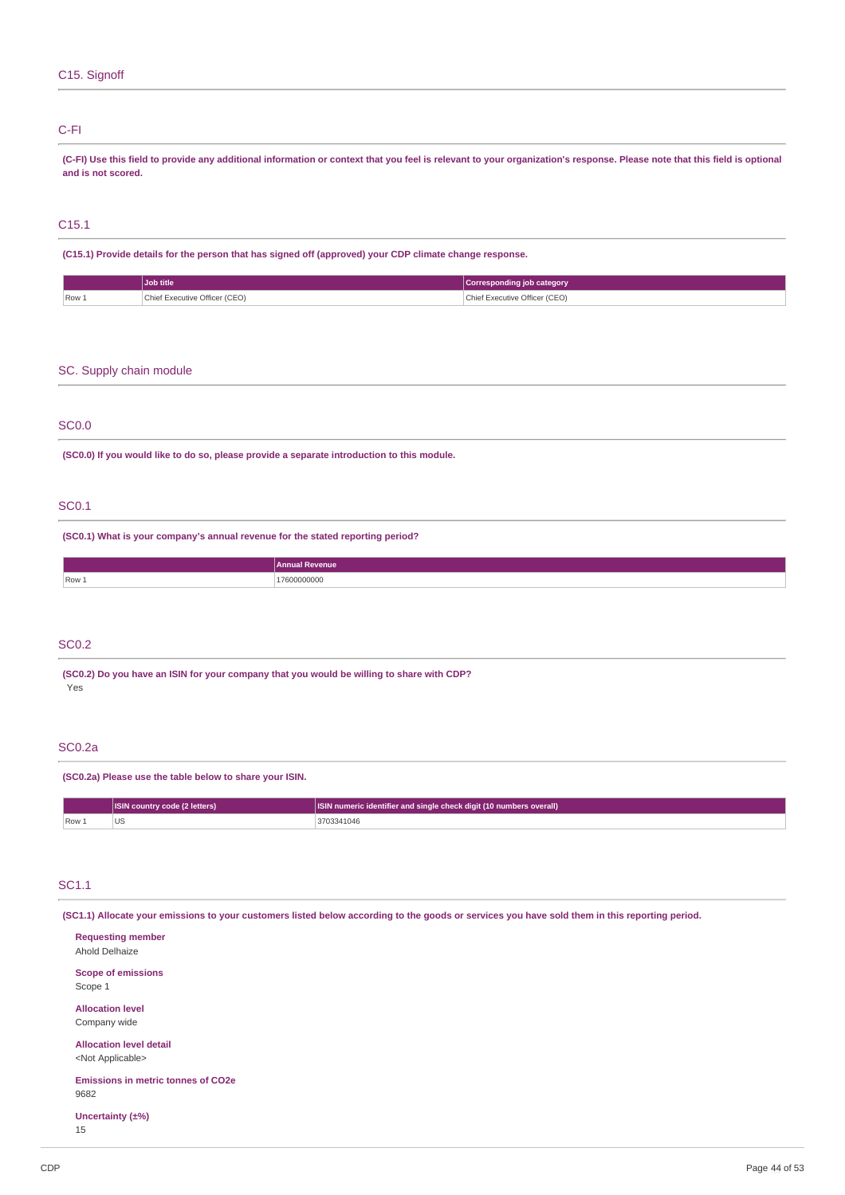### C15. Signoff

### C-FI

(C-FI) Use this field to provide any additional information or context that you feel is relevant to your organization's response. Please note that this field is optional **and is not scored.**

### C15.1

**(C15.1) Provide details for the person that has signed off (approved) your CDP climate change response.**

|               | Job title                     | Corresponding job category         |
|---------------|-------------------------------|------------------------------------|
| Row 1<br>$-1$ | Chief Executive Officer (CEO) | Chief Executive Officer (CEO)<br>. |

### SC. Supply chain module

### SC0.0

**(SC0.0) If you would like to do so, please provide a separate introduction to this module.**

### SC0.1

**(SC0.1) What is your company's annual revenue for the stated reporting period?**

| Annual Revenue   |
|------------------|
| . הר<br>uuu<br>. |
|                  |

### SC0.2

**(SC0.2) Do you have an ISIN for your company that you would be willing to share with CDP?** Yes

### SC0.2a

**(SC0.2a) Please use the table below to share your ISIN.**

|         | <b>ISIN country code (2 letters)</b> | <b>ISIN</b> numeric identifier and single check digit (10 numbers overall) |
|---------|--------------------------------------|----------------------------------------------------------------------------|
| $Row_+$ |                                      | 3703341046                                                                 |

### SC1.1

(SC1.1) Allocate your emissions to your customers listed below according to the goods or services you have sold them in this reporting period.

| <b>Requesting member</b><br>Ahold Delhaize                  |  |  |
|-------------------------------------------------------------|--|--|
| <b>Scope of emissions</b><br>Scope 1                        |  |  |
| <b>Allocation level</b><br>Company wide                     |  |  |
| <b>Allocation level detail</b><br><not applicable=""></not> |  |  |
| <b>Emissions in metric tonnes of CO2e</b><br>9682           |  |  |
| Uncertainty (±%)<br>15                                      |  |  |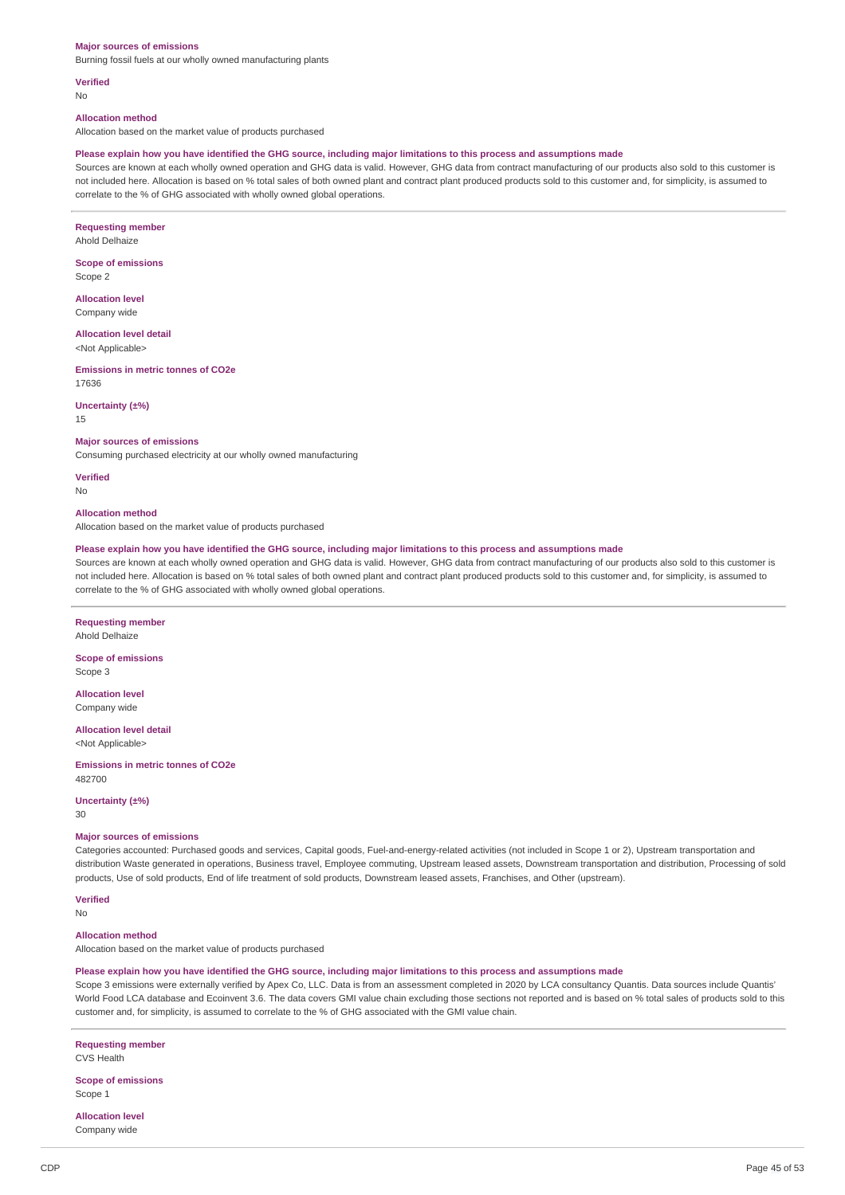#### **Major sources of emissions**

Burning fossil fuels at our wholly owned manufacturing plants

**Verified**

No

#### **Allocation method**

Allocation based on the market value of products purchased

#### Please explain how you have identified the GHG source, including major limitations to this process and assumptions made

Sources are known at each wholly owned operation and GHG data is valid. However, GHG data from contract manufacturing of our products also sold to this customer is not included here. Allocation is based on % total sales of both owned plant and contract plant produced products sold to this customer and, for simplicity, is assumed to correlate to the % of GHG associated with wholly owned global operations.

**Requesting member** Ahold Delhaize

**Scope of emissions**

Scope 2

**Allocation level** Company wide

**Allocation level detail** <Not Applicable>

**Emissions in metric tonnes of CO2e** 17636

**Uncertainty (±%)**

15

#### **Major sources of emissions**

Consuming purchased electricity at our wholly owned manufacturing

**Verified** No

#### **Allocation method**

Allocation based on the market value of products purchased

### Please explain how you have identified the GHG source, including major limitations to this process and assumptions made

Sources are known at each wholly owned operation and GHG data is valid. However, GHG data from contract manufacturing of our products also sold to this customer is not included here. Allocation is based on % total sales of both owned plant and contract plant produced products sold to this customer and, for simplicity, is assumed to correlate to the % of GHG associated with wholly owned global operations.

**Requesting member** Ahold Delhaize

**Scope of emissions** Scope 3

**Allocation level** Company wide

**Allocation level detail** <Not Applicable>

**Emissions in metric tonnes of CO2e** 482700

**Uncertainty (±%)**

30

#### **Major sources of emissions**

Categories accounted: Purchased goods and services, Capital goods, Fuel-and-energy-related activities (not included in Scope 1 or 2), Upstream transportation and distribution Waste generated in operations, Business travel, Employee commuting, Upstream leased assets, Downstream transportation and distribution, Processing of sold products, Use of sold products, End of life treatment of sold products, Downstream leased assets, Franchises, and Other (upstream).

**Verified**

No

#### **Allocation method**

Allocation based on the market value of products purchased

#### Please explain how you have identified the GHG source, including major limitations to this process and assumptions made

Scope 3 emissions were externally verified by Apex Co, LLC. Data is from an assessment completed in 2020 by LCA consultancy Quantis. Data sources include Quantis' World Food LCA database and Ecoinvent 3.6. The data covers GMI value chain excluding those sections not reported and is based on % total sales of products sold to this customer and, for simplicity, is assumed to correlate to the % of GHG associated with the GMI value chain.

# **Requesting member**

CVS Health

**Scope of emissions** Scope 1

**Allocation level**

Company wide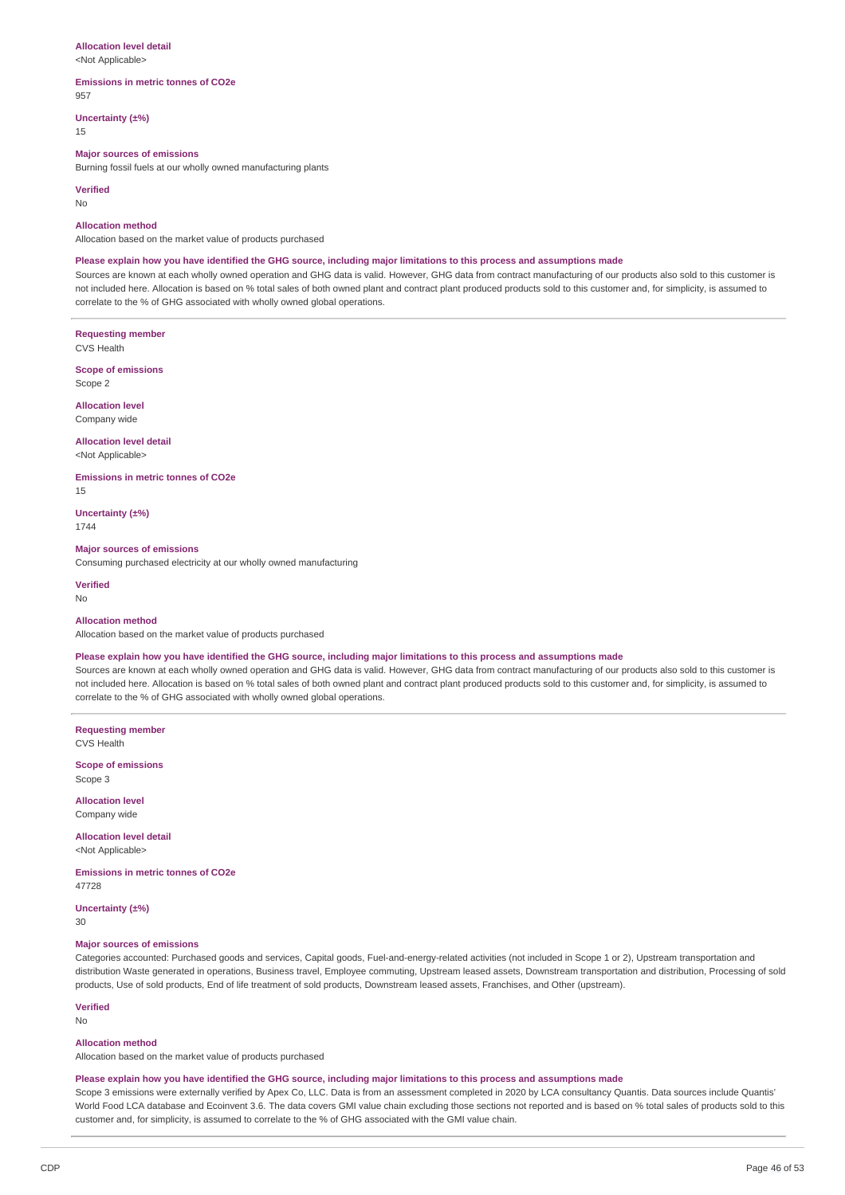#### **Allocation level detail**

<Not Applicable>

#### **Emissions in metric tonnes of CO2e**

957 **Uncertainty (±%)**

15

#### **Major sources of emissions**

Burning fossil fuels at our wholly owned manufacturing plants

#### **Verified**

No

#### **Allocation method**

Allocation based on the market value of products purchased

#### Please explain how you have identified the GHG source, including major limitations to this process and assumptions made

Sources are known at each wholly owned operation and GHG data is valid. However, GHG data from contract manufacturing of our products also sold to this customer is not included here. Allocation is based on % total sales of both owned plant and contract plant produced products sold to this customer and, for simplicity, is assumed to correlate to the % of GHG associated with wholly owned global operations.

**Requesting member** CVS Health

**Scope of emissions** Scope 2

**Allocation level** Company wide

### **Allocation level detail**

<Not Applicable>

**Emissions in metric tonnes of CO2e**

15

**Uncertainty (±%)** 1744

**Major sources of emissions** Consuming purchased electricity at our wholly owned manufacturing

#### **Verified**

No

#### **Allocation method**

Allocation based on the market value of products purchased

#### Please explain how you have identified the GHG source, including major limitations to this process and assumptions made

Sources are known at each wholly owned operation and GHG data is valid. However, GHG data from contract manufacturing of our products also sold to this customer is not included here. Allocation is based on % total sales of both owned plant and contract plant produced products sold to this customer and, for simplicity, is assumed to correlate to the % of GHG associated with wholly owned global operations.

**Requesting member** CVS Health

**Scope of emissions** Scope 3

**Allocation level** Company wide

**Allocation level detail** <Not Applicable>

**Emissions in metric tonnes of CO2e** 47728

**Uncertainty (±%)**

30

#### **Major sources of emissions**

Categories accounted: Purchased goods and services, Capital goods, Fuel-and-energy-related activities (not included in Scope 1 or 2), Upstream transportation and distribution Waste generated in operations, Business travel, Employee commuting, Upstream leased assets, Downstream transportation and distribution, Processing of sold products, Use of sold products, End of life treatment of sold products, Downstream leased assets, Franchises, and Other (upstream).

**Verified**

No

#### **Allocation method**

Allocation based on the market value of products purchased

### Please explain how you have identified the GHG source, including major limitations to this process and assumptions made

Scope 3 emissions were externally verified by Apex Co, LLC. Data is from an assessment completed in 2020 by LCA consultancy Quantis. Data sources include Quantis' World Food LCA database and Ecoinvent 3.6. The data covers GMI value chain excluding those sections not reported and is based on % total sales of products sold to this customer and, for simplicity, is assumed to correlate to the % of GHG associated with the GMI value chain.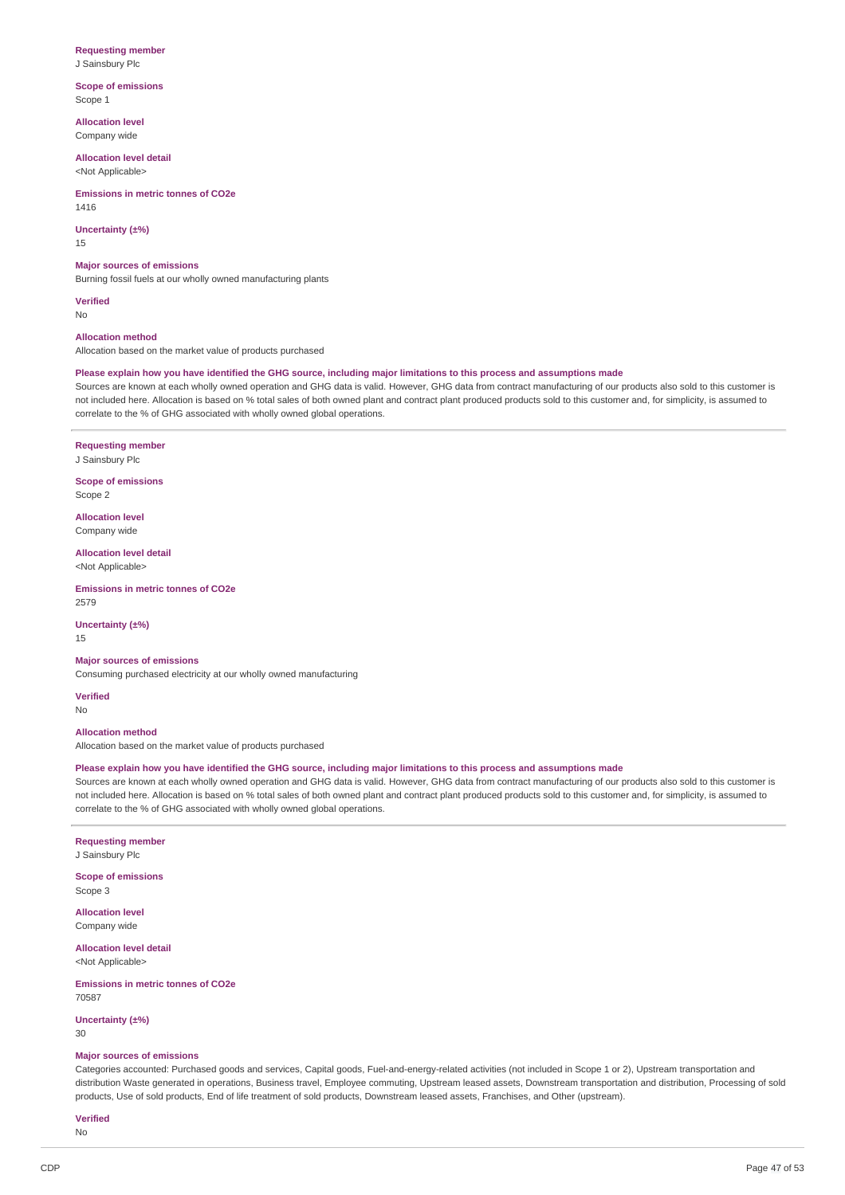### **Requesting member**

J Sainsbury Plc

**Scope of emissions** Scope 1

**Allocation level** Company wide

**Allocation level detail** <Not Applicable>

#### **Emissions in metric tonnes of CO2e**

1416

**Uncertainty (±%)**

15

#### **Major sources of emissions**

Burning fossil fuels at our wholly owned manufacturing plants

**Verified** No

#### **Allocation method**

Allocation based on the market value of products purchased

### Please explain how you have identified the GHG source, including major limitations to this process and assumptions made

Sources are known at each wholly owned operation and GHG data is valid. However, GHG data from contract manufacturing of our products also sold to this customer is not included here. Allocation is based on % total sales of both owned plant and contract plant produced products sold to this customer and, for simplicity, is assumed to correlate to the % of GHG associated with wholly owned global operations.

### **Requesting member**

J Sainsbury Plc

**Scope of emissions** Scope 2

**Allocation level** Company wide

**Allocation level detail** <Not Applicable>

#### **Emissions in metric tonnes of CO2e** 2579

**Uncertainty (±%)** 15

### **Major sources of emissions**

Consuming purchased electricity at our wholly owned manufacturing

**Verified** No

# **Allocation method**

Allocation based on the market value of products purchased

### Please explain how you have identified the GHG source, including major limitations to this process and assumptions made

Sources are known at each wholly owned operation and GHG data is valid. However, GHG data from contract manufacturing of our products also sold to this customer is not included here. Allocation is based on % total sales of both owned plant and contract plant produced products sold to this customer and, for simplicity, is assumed to correlate to the % of GHG associated with wholly owned global operations.

# **Requesting member**

J Sainsbury Plc

**Scope of emissions** Scope 3

**Allocation level** Company wide

**Allocation level detail** <Not Applicable>

#### **Emissions in metric tonnes of CO2e** 70587

**Uncertainty (±%)** 30

#### **Major sources of emissions**

Categories accounted: Purchased goods and services, Capital goods, Fuel-and-energy-related activities (not included in Scope 1 or 2), Upstream transportation and distribution Waste generated in operations, Business travel, Employee commuting, Upstream leased assets, Downstream transportation and distribution, Processing of sold products, Use of sold products, End of life treatment of sold products, Downstream leased assets, Franchises, and Other (upstream).

**Verified** No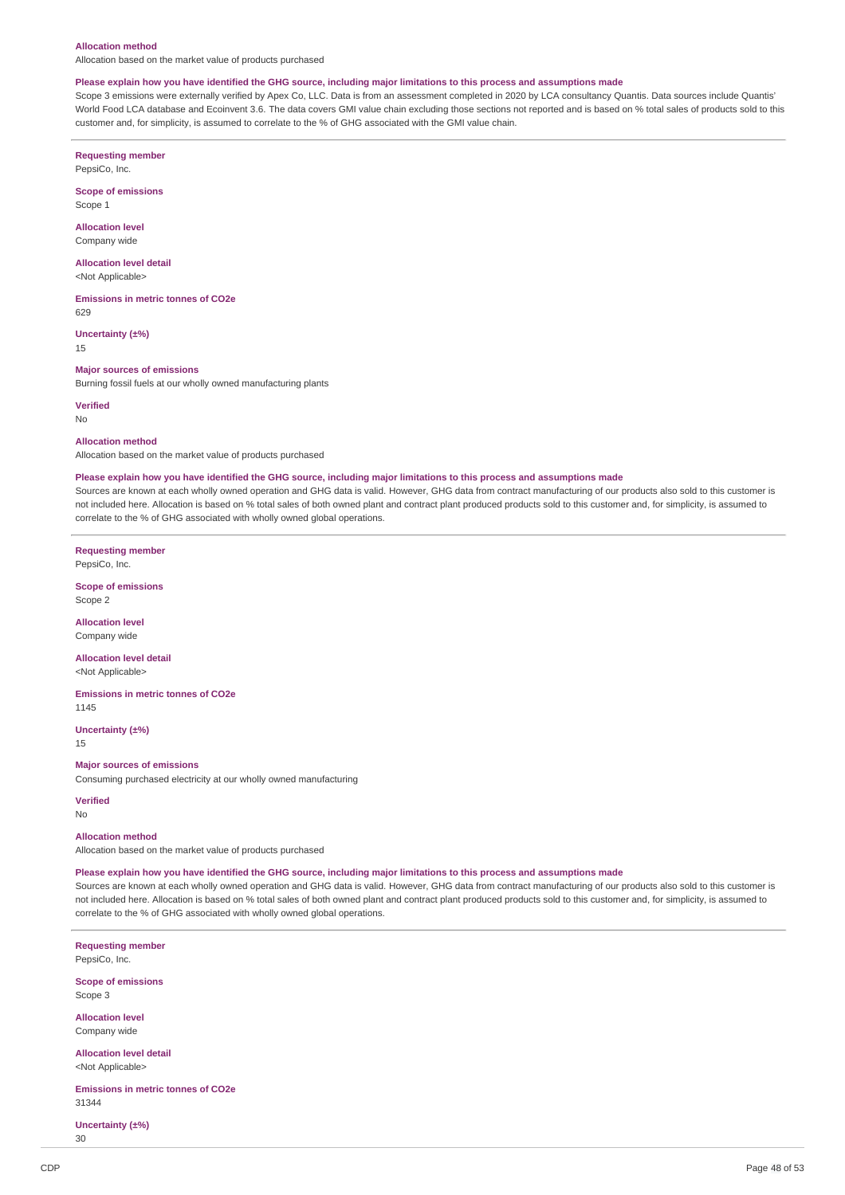#### **Allocation method**

Allocation based on the market value of products purchased

#### Please explain how you have identified the GHG source, including major limitations to this process and assumptions made

Scope 3 emissions were externally verified by Apex Co, LLC. Data is from an assessment completed in 2020 by LCA consultancy Quantis. Data sources include Quantis' World Food LCA database and Ecoinvent 3.6. The data covers GMI value chain excluding those sections not reported and is based on % total sales of products sold to this customer and, for simplicity, is assumed to correlate to the % of GHG associated with the GMI value chain.

**Requesting member** PepsiCo, Inc.

**Scope of emissions**

Scope 1

**Allocation level** Company wide

**Allocation level detail**

<Not Applicable>

**Emissions in metric tonnes of CO2e** 629

**Uncertainty (±%)** 15

#### **Major sources of emissions**

Burning fossil fuels at our wholly owned manufacturing plants

**Verified** No

#### **Allocation method**

Allocation based on the market value of products purchased

#### Please explain how you have identified the GHG source, including major limitations to this process and assumptions made

Sources are known at each wholly owned operation and GHG data is valid. However, GHG data from contract manufacturing of our products also sold to this customer is not included here. Allocation is based on % total sales of both owned plant and contract plant produced products sold to this customer and, for simplicity, is assumed to correlate to the % of GHG associated with wholly owned global operations.

**Requesting member**

PepsiCo, Inc.

**Scope of emissions** Scope 2

**Allocation level** Company wide

**Allocation level detail** <Not Applicable>

**Emissions in metric tonnes of CO2e** 1145

**Uncertainty (±%)**

15

#### **Major sources of emissions**

Consuming purchased electricity at our wholly owned manufacturing

**Verified**

No

### **Allocation method**

Allocation based on the market value of products purchased

#### Please explain how you have identified the GHG source, including major limitations to this process and assumptions made

Sources are known at each wholly owned operation and GHG data is valid. However, GHG data from contract manufacturing of our products also sold to this customer is not included here. Allocation is based on % total sales of both owned plant and contract plant produced products sold to this customer and, for simplicity, is assumed to correlate to the % of GHG associated with wholly owned global operations.

**Requesting member** PepsiCo, Inc.

**Scope of emissions** Scope 3

**Allocation level** Company wide

**Allocation level detail** <Not Applicable>

**Emissions in metric tonnes of CO2e** 31344

**Uncertainty (±%)**

30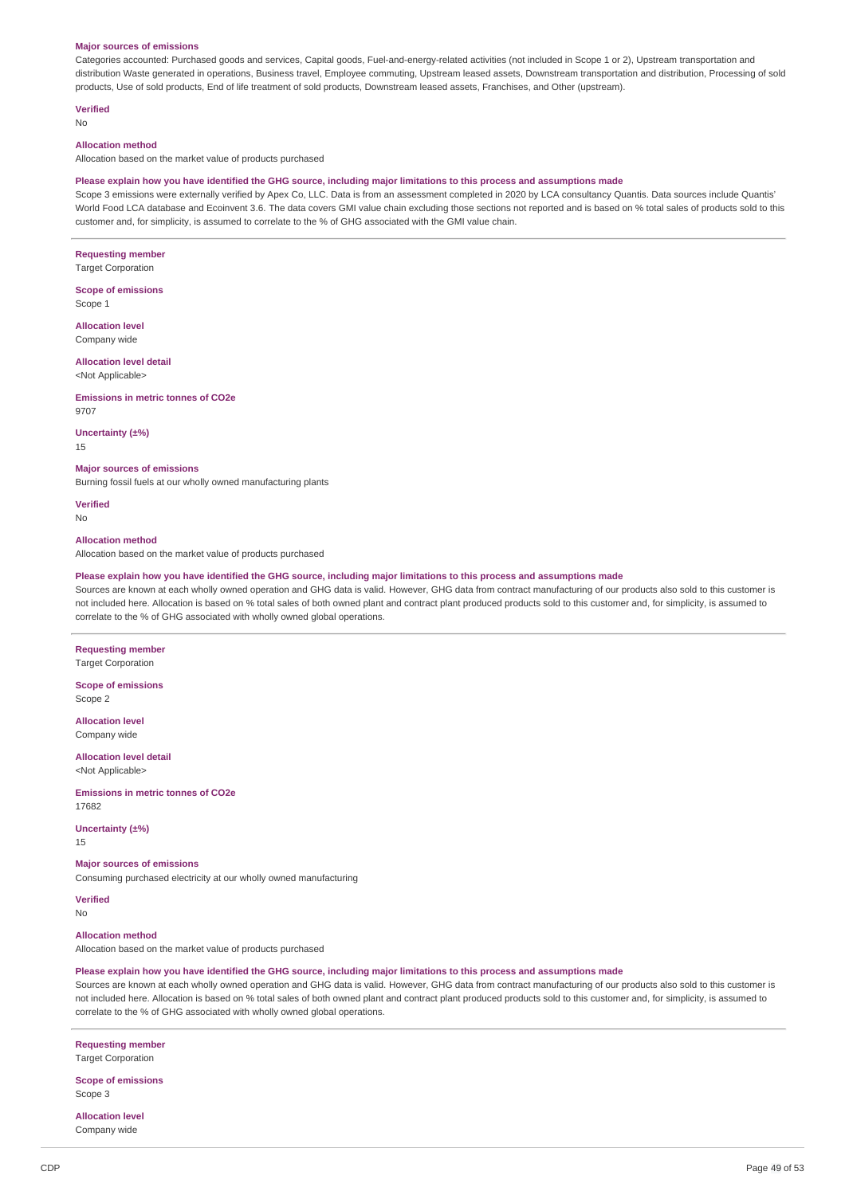#### **Major sources of emissions**

Categories accounted: Purchased goods and services, Capital goods, Fuel-and-energy-related activities (not included in Scope 1 or 2), Upstream transportation and distribution Waste generated in operations, Business travel, Employee commuting, Upstream leased assets, Downstream transportation and distribution, Processing of sold products, Use of sold products, End of life treatment of sold products, Downstream leased assets, Franchises, and Other (upstream).

**Verified**

#### No

#### **Allocation method**

Allocation based on the market value of products purchased

#### Please explain how you have identified the GHG source, including major limitations to this process and assumptions made

Scope 3 emissions were externally verified by Apex Co, LLC. Data is from an assessment completed in 2020 by LCA consultancy Quantis. Data sources include Quantis' World Food LCA database and Ecoinvent 3.6. The data covers GMI value chain excluding those sections not reported and is based on % total sales of products sold to this customer and, for simplicity, is assumed to correlate to the % of GHG associated with the GMI value chain.

#### **Requesting member Target Corporation**

#### **Scope of emissions** Scope 1

**Allocation level** Company wide

# **Allocation level detail**

<Not Applicable>

#### **Emissions in metric tonnes of CO2e** 9707

### **Uncertainty (±%)**

15

#### **Major sources of emissions**

Burning fossil fuels at our wholly owned manufacturing plants

**Verified** No

#### **Allocation method**

Allocation based on the market value of products purchased

#### Please explain how you have identified the GHG source, including major limitations to this process and assumptions made

Sources are known at each wholly owned operation and GHG data is valid. However, GHG data from contract manufacturing of our products also sold to this customer is not included here. Allocation is based on % total sales of both owned plant and contract plant produced products sold to this customer and, for simplicity, is assumed to correlate to the % of GHG associated with wholly owned global operations.

#### **Requesting member Target Corporation**

**Scope of emissions** Scope 2

**Allocation level** Company wide

**Allocation level detail** <Not Applicable>

#### **Emissions in metric tonnes of CO2e**

**Uncertainty (±%)**

## 15

17682

### **Major sources of emissions**

Consuming purchased electricity at our wholly owned manufacturing

**Verified** No

# **Allocation method**

Allocation based on the market value of products purchased

#### Please explain how you have identified the GHG source, including major limitations to this process and assumptions made

Sources are known at each wholly owned operation and GHG data is valid. However, GHG data from contract manufacturing of our products also sold to this customer is not included here. Allocation is based on % total sales of both owned plant and contract plant produced products sold to this customer and, for simplicity, is assumed to correlate to the % of GHG associated with wholly owned global operations.

### **Requesting member**

Target Corporation

#### **Scope of emissions** Scope 3

**Allocation level** Company wide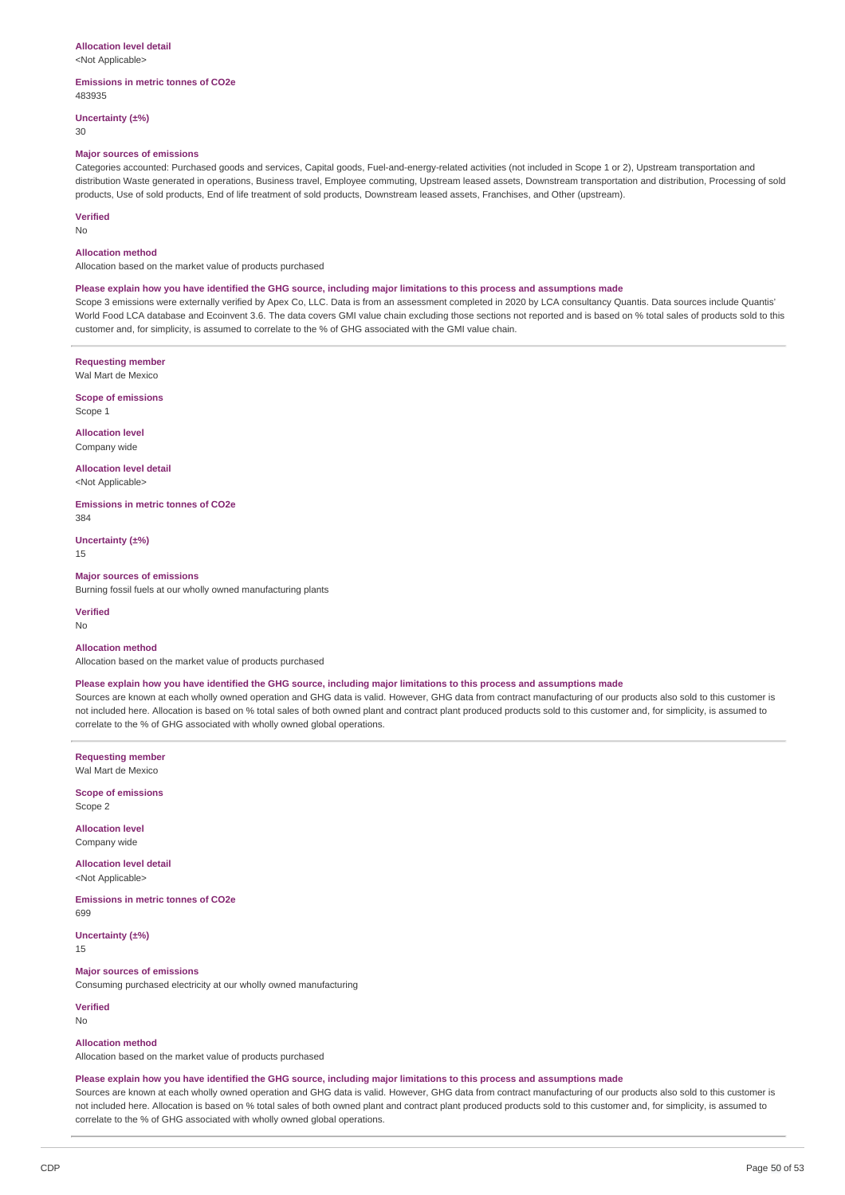#### **Allocation level detail**

<Not Applicable>

#### **Emissions in metric tonnes of CO2e** 483935

**Uncertainty (±%)**

30

### **Major sources of emissions**

Categories accounted: Purchased goods and services, Capital goods, Fuel-and-energy-related activities (not included in Scope 1 or 2), Upstream transportation and distribution Waste generated in operations, Business travel, Employee commuting, Upstream leased assets, Downstream transportation and distribution, Processing of sold products, Use of sold products, End of life treatment of sold products, Downstream leased assets, Franchises, and Other (upstream).

#### **Verified**

No

#### **Allocation method**

Allocation based on the market value of products purchased

### Please explain how you have identified the GHG source, including major limitations to this process and assumptions made

Scope 3 emissions were externally verified by Apex Co, LLC. Data is from an assessment completed in 2020 by LCA consultancy Quantis. Data sources include Quantis' World Food LCA database and Ecoinvent 3.6. The data covers GMI value chain excluding those sections not reported and is based on % total sales of products sold to this customer and, for simplicity, is assumed to correlate to the % of GHG associated with the GMI value chain.

**Requesting member** Wal Mart de Mexico

**Scope of emissions** Scope 1

**Allocation level** Company wide

**Allocation level detail** <Not Applicable>

**Emissions in metric tonnes of CO2e** 384

**Uncertainty (±%)** 15

#### **Major sources of emissions**

Burning fossil fuels at our wholly owned manufacturing plants

**Verified**

No

#### **Allocation method**

Allocation based on the market value of products purchased

#### Please explain how you have identified the GHG source, including major limitations to this process and assumptions made

Sources are known at each wholly owned operation and GHG data is valid. However, GHG data from contract manufacturing of our products also sold to this customer is not included here. Allocation is based on % total sales of both owned plant and contract plant produced products sold to this customer and, for simplicity, is assumed to correlate to the % of GHG associated with wholly owned global operations.

**Requesting member** Wal Mart de Mexico

**Scope of emissions** Scope 2

**Allocation level** Company wide

**Allocation level detail** <Not Applicable>

**Emissions in metric tonnes of CO2e** 699

**Uncertainty (±%)** 15

### **Major sources of emissions**

Consuming purchased electricity at our wholly owned manufacturing

**Verified**

No

#### **Allocation method**

Allocation based on the market value of products purchased

### Please explain how you have identified the GHG source, including major limitations to this process and assumptions made

Sources are known at each wholly owned operation and GHG data is valid. However, GHG data from contract manufacturing of our products also sold to this customer is not included here. Allocation is based on % total sales of both owned plant and contract plant produced products sold to this customer and, for simplicity, is assumed to correlate to the % of GHG associated with wholly owned global operations.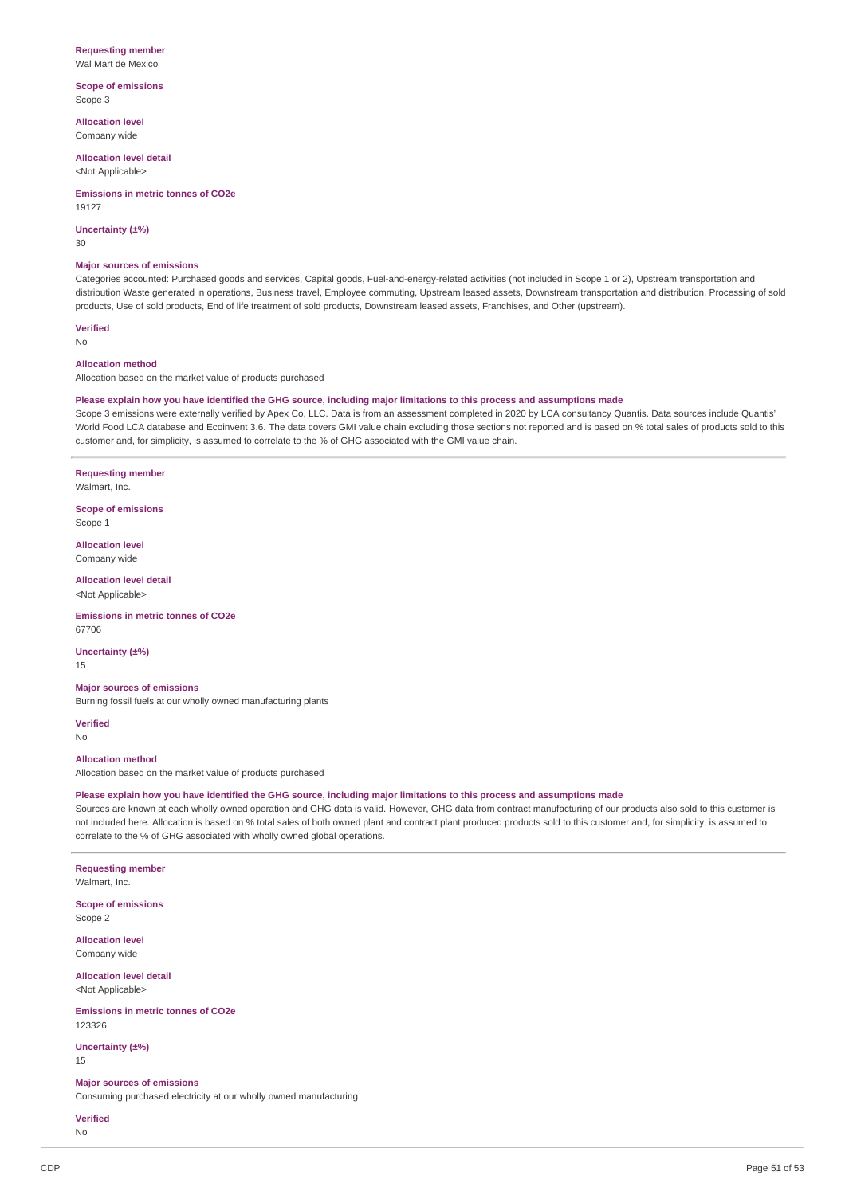### **Requesting member**

Wal Mart de Mexico

**Scope of emissions** Scope 3

**Allocation level** Company wide

**Allocation level detail** <Not Applicable>

**Emissions in metric tonnes of CO2e**

19127

**Uncertainty (±%)**

30

#### **Major sources of emissions**

Categories accounted: Purchased goods and services, Capital goods, Fuel-and-energy-related activities (not included in Scope 1 or 2), Upstream transportation and distribution Waste generated in operations, Business travel, Employee commuting, Upstream leased assets, Downstream transportation and distribution, Processing of sold products, Use of sold products, End of life treatment of sold products, Downstream leased assets, Franchises, and Other (upstream).

**Verified** No

#### **Allocation method**

Allocation based on the market value of products purchased

#### Please explain how you have identified the GHG source, including major limitations to this process and assumptions made

Scope 3 emissions were externally verified by Apex Co, LLC. Data is from an assessment completed in 2020 by LCA consultancy Quantis. Data sources include Quantis' World Food LCA database and Ecoinvent 3.6. The data covers GMI value chain excluding those sections not reported and is based on % total sales of products sold to this customer and, for simplicity, is assumed to correlate to the % of GHG associated with the GMI value chain.

**Requesting member** Walmart, Inc.

**Scope of emissions** Scope 1

**Allocation level** Company wide

**Allocation level detail** <Not Applicable>

**Emissions in metric tonnes of CO2e** 67706

**Uncertainty (±%)** 15

### **Major sources of emissions**

Burning fossil fuels at our wholly owned manufacturing plants

**Verified** No

#### **Allocation method**

Allocation based on the market value of products purchased

#### Please explain how you have identified the GHG source, including major limitations to this process and assumptions made

Sources are known at each wholly owned operation and GHG data is valid. However, GHG data from contract manufacturing of our products also sold to this customer is not included here. Allocation is based on % total sales of both owned plant and contract plant produced products sold to this customer and, for simplicity, is assumed to correlate to the % of GHG associated with wholly owned global operations.

**Requesting member** Walmart, Inc.

**Scope of emissions** Scope 2

**Allocation level** Company wide

**Allocation level detail** <Not Applicable>

**Emissions in metric tonnes of CO2e** 123326

**Uncertainty (±%)** 15

**Major sources of emissions**

Consuming purchased electricity at our wholly owned manufacturing

**Verified**

No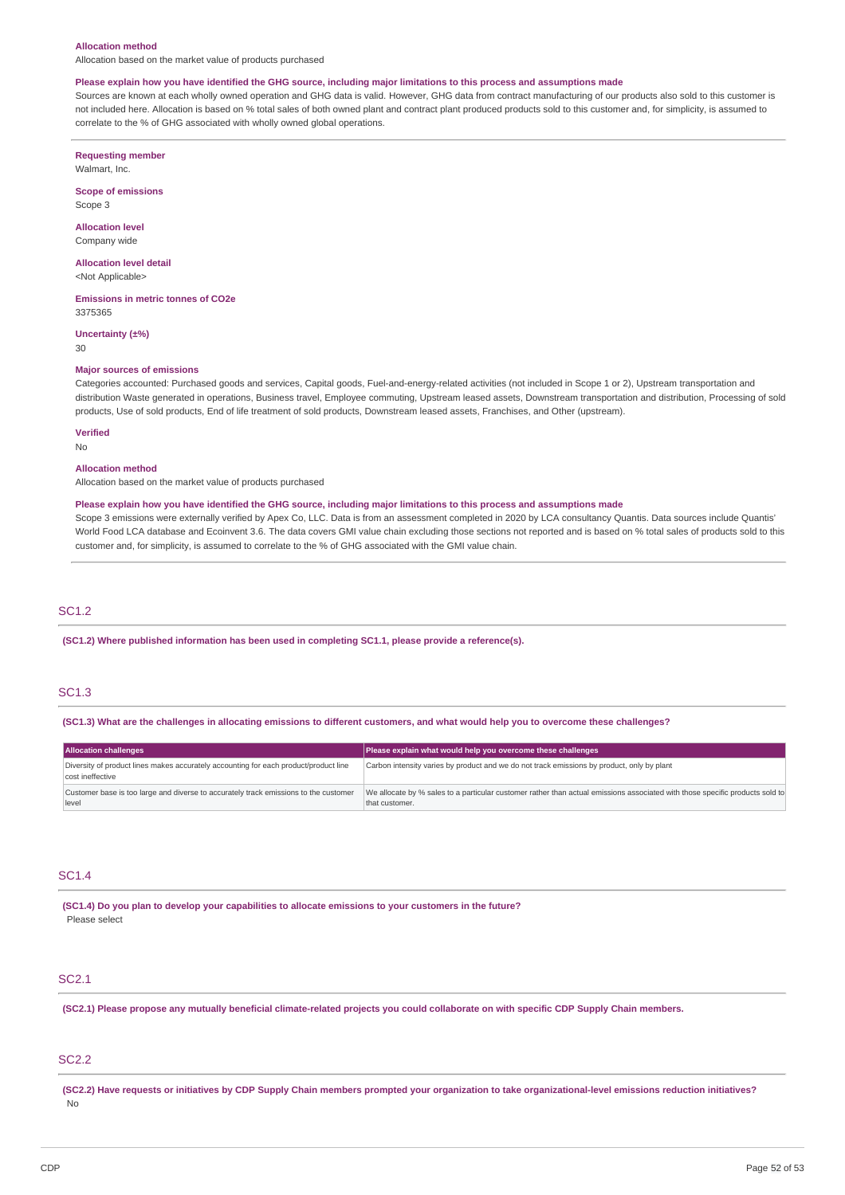#### **Allocation method**

Allocation based on the market value of products purchased

#### Please explain how you have identified the GHG source, including major limitations to this process and assumptions made

Sources are known at each wholly owned operation and GHG data is valid. However, GHG data from contract manufacturing of our products also sold to this customer is not included here. Allocation is based on % total sales of both owned plant and contract plant produced products sold to this customer and, for simplicity, is assumed to correlate to the % of GHG associated with wholly owned global operations.

**Requesting member**

Walmart, Inc.

**Scope of emissions**

Scope 3

**Allocation level** Company wide

**Allocation level detail**

<Not Applicable>

**Emissions in metric tonnes of CO2e** 3375365

**Uncertainty (±%)**

30

#### **Major sources of emissions**

Categories accounted: Purchased goods and services, Capital goods, Fuel-and-energy-related activities (not included in Scope 1 or 2), Upstream transportation and distribution Waste generated in operations, Business travel, Employee commuting, Upstream leased assets, Downstream transportation and distribution, Processing of sold products, Use of sold products, End of life treatment of sold products, Downstream leased assets, Franchises, and Other (upstream).

#### **Verified**

No

#### **Allocation method**

Allocation based on the market value of products purchased

#### Please explain how you have identified the GHG source, including major limitations to this process and assumptions made

Scope 3 emissions were externally verified by Apex Co, LLC. Data is from an assessment completed in 2020 by LCA consultancy Quantis. Data sources include Quantis' World Food LCA database and Ecoinvent 3.6. The data covers GMI value chain excluding those sections not reported and is based on % total sales of products sold to this customer and, for simplicity, is assumed to correlate to the % of GHG associated with the GMI value chain.

### SC1.2

**(SC1.2) Where published information has been used in completing SC1.1, please provide a reference(s).**

### SC1.3

(SC1.3) What are the challenges in allocating emissions to different customers, and what would help you to overcome these challenges?

| <b>Allocation challenges</b>                                                                             | Please explain what would help you overcome these challenges                                                                                   |
|----------------------------------------------------------------------------------------------------------|------------------------------------------------------------------------------------------------------------------------------------------------|
| Diversity of product lines makes accurately accounting for each product/product line<br>cost ineffective | Carbon intensity varies by product and we do not track emissions by product, only by plant                                                     |
| Customer base is too large and diverse to accurately track emissions to the customer<br>level            | We allocate by % sales to a particular customer rather than actual emissions associated with those specific products sold to<br>that customer. |

### SC1.4

**(SC1.4) Do you plan to develop your capabilities to allocate emissions to your customers in the future?** Please select

#### SC2.1

(SC2.1) Please propose any mutually beneficial climate-related projects you could collaborate on with specific CDP Supply Chain members.

### SC2.2

(SC2.2) Have requests or initiatives by CDP Supply Chain members prompted your organization to take organizational-level emissions reduction initiatives? No